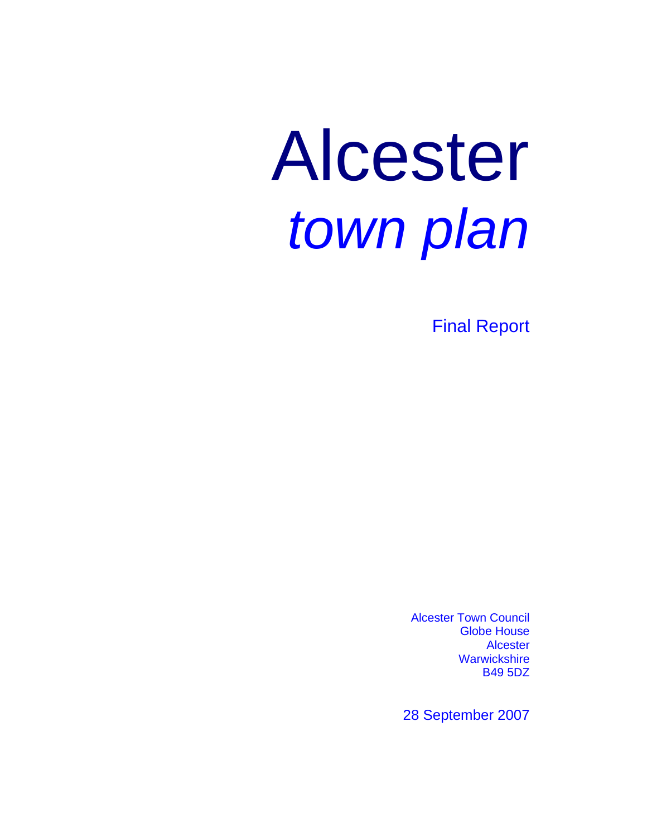# Alcester *town plan*

Final Report

Alcester Town Council Globe House Alcester **Warwickshire** B49 5DZ

28 September 2007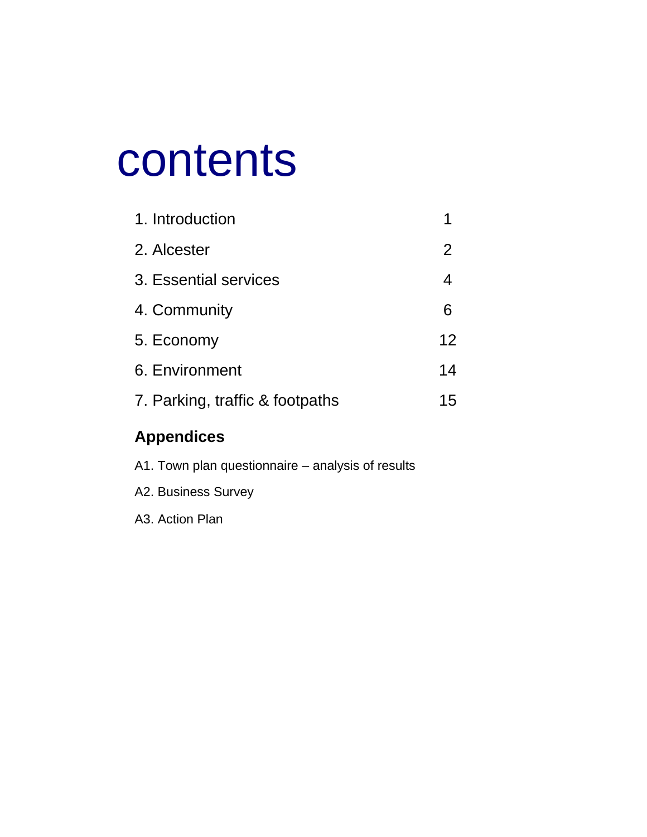# contents

| 1. Introduction                 |    |
|---------------------------------|----|
| 2. Alcester                     | 2  |
| 3. Essential services           | 4  |
| 4. Community                    | 6  |
| 5. Economy                      | 12 |
| 6. Environment                  | 14 |
| 7. Parking, traffic & footpaths | 15 |

## **Appendices**

| A1. Town plan questionnaire – analysis of results |
|---------------------------------------------------|
| A2. Business Survey                               |
| A3. Action Plan                                   |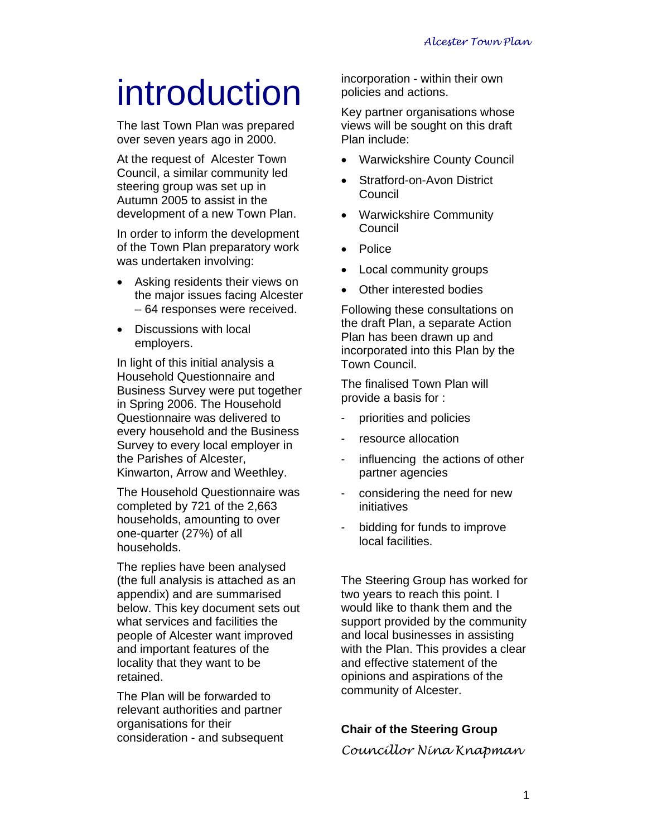## introduction

The last Town Plan was prepared over seven years ago in 2000.

At the request of Alcester Town Council, a similar community led steering group was set up in Autumn 2005 to assist in the development of a new Town Plan.

In order to inform the development of the Town Plan preparatory work was undertaken involving:

- Asking residents their views on the major issues facing Alcester – 64 responses were received.
- Discussions with local employers.

In light of this initial analysis a Household Questionnaire and Business Survey were put together in Spring 2006. The Household Questionnaire was delivered to every household and the Business Survey to every local employer in the Parishes of Alcester, Kinwarton, Arrow and Weethley.

The Household Questionnaire was completed by 721 of the 2,663 households, amounting to over one-quarter (27%) of all households.

The replies have been analysed (the full analysis is attached as an appendix) and are summarised below. This key document sets out what services and facilities the people of Alcester want improved and important features of the locality that they want to be retained.

The Plan will be forwarded to relevant authorities and partner organisations for their consideration - and subsequent incorporation - within their own policies and actions.

Key partner organisations whose views will be sought on this draft Plan include:

- Warwickshire County Council
- Stratford-on-Avon District Council
- Warwickshire Community **Council**
- Police
- Local community groups
- Other interested bodies

Following these consultations on the draft Plan, a separate Action Plan has been drawn up and incorporated into this Plan by the Town Council.

The finalised Town Plan will provide a basis for :

- priorities and policies
- resource allocation
- influencing the actions of other partner agencies
- considering the need for new initiatives
- bidding for funds to improve local facilities.

The Steering Group has worked for two years to reach this point. I would like to thank them and the support provided by the community and local businesses in assisting with the Plan. This provides a clear and effective statement of the opinions and aspirations of the community of Alcester.

### **Chair of the Steering Group**

*Councillor Nina Knapman*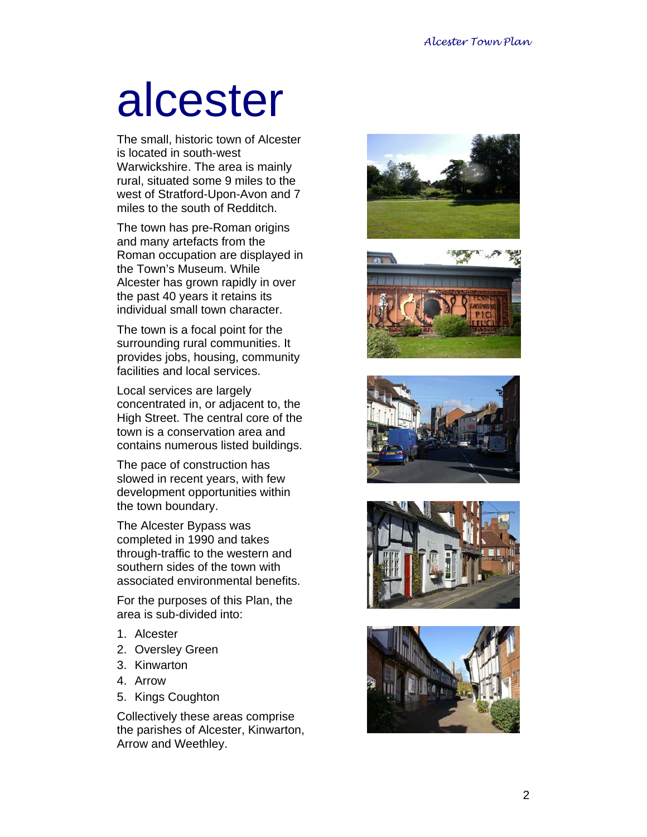# alcester

The small, historic town of Alcester is located in south-west Warwickshire. The area is mainly rural, situated some 9 miles to the west of Stratford-Upon-Avon and 7 miles to the south of Redditch.

The town has pre-Roman origins and many artefacts from the Roman occupation are displayed in the Town's Museum. While Alcester has grown rapidly in over the past 40 years it retains its individual small town character.

The town is a focal point for the surrounding rural communities. It provides jobs, housing, community facilities and local services.

Local services are largely concentrated in, or adjacent to, the High Street. The central core of the town is a conservation area and contains numerous listed buildings.

The pace of construction has slowed in recent years, with few development opportunities within the town boundary.

The Alcester Bypass was completed in 1990 and takes through-traffic to the western and southern sides of the town with associated environmental benefits.

For the purposes of this Plan, the area is sub-divided into:

- 1. Alcester
- 2. Oversley Green
- 3. Kinwarton
- 4. Arrow
- 5. Kings Coughton

Collectively these areas comprise the parishes of Alcester, Kinwarton, Arrow and Weethley.









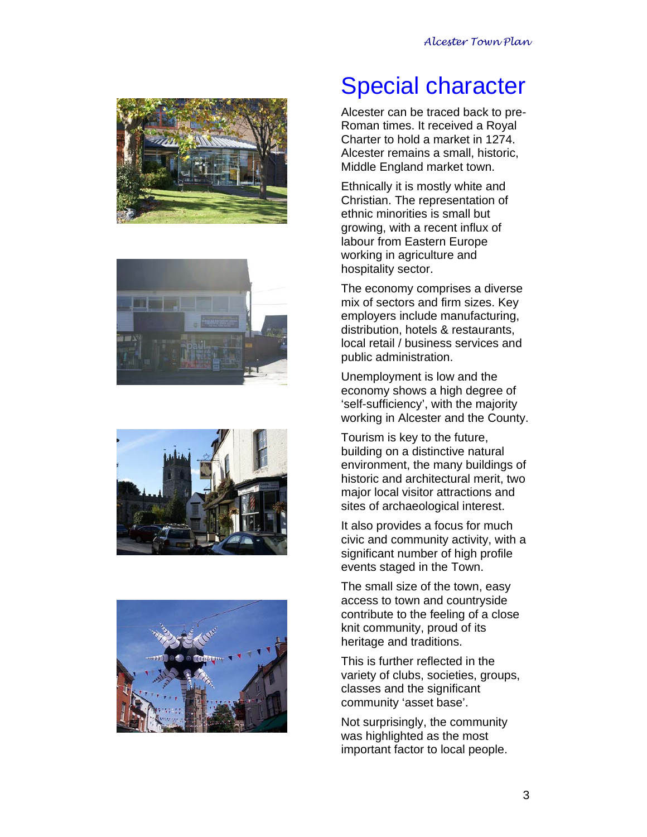







## Special character

Alcester can be traced back to pre-Roman times. It received a Royal Charter to hold a market in 1274. Alcester remains a small, historic, Middle England market town.

Ethnically it is mostly white and Christian. The representation of ethnic minorities is small but growing, with a recent influx of labour from Eastern Europe working in agriculture and hospitality sector.

The economy comprises a diverse mix of sectors and firm sizes. Key employers include manufacturing, distribution, hotels & restaurants, local retail / business services and public administration.

Unemployment is low and the economy shows a high degree of 'self-sufficiency', with the majority working in Alcester and the County.

Tourism is key to the future, building on a distinctive natural environment, the many buildings of historic and architectural merit, two major local visitor attractions and sites of archaeological interest.

It also provides a focus for much civic and community activity, with a significant number of high profile events staged in the Town.

The small size of the town, easy access to town and countryside contribute to the feeling of a close knit community, proud of its heritage and traditions.

This is further reflected in the variety of clubs, societies, groups, classes and the significant community 'asset base'.

Not surprisingly, the community was highlighted as the most important factor to local people.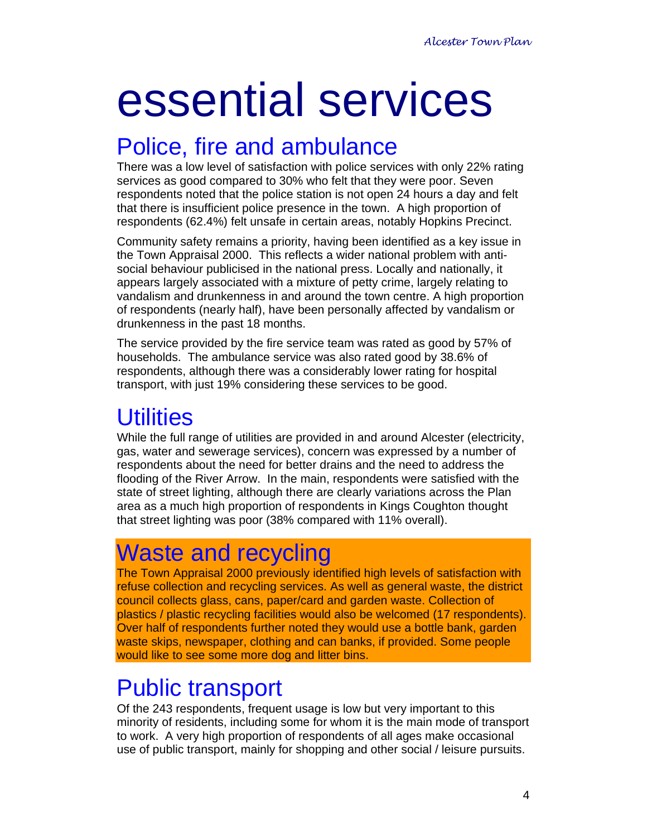# essential services

## Police, fire and ambulance

There was a low level of satisfaction with police services with only 22% rating services as good compared to 30% who felt that they were poor. Seven respondents noted that the police station is not open 24 hours a day and felt that there is insufficient police presence in the town. A high proportion of respondents (62.4%) felt unsafe in certain areas, notably Hopkins Precinct.

Community safety remains a priority, having been identified as a key issue in the Town Appraisal 2000. This reflects a wider national problem with antisocial behaviour publicised in the national press. Locally and nationally, it appears largely associated with a mixture of petty crime, largely relating to vandalism and drunkenness in and around the town centre. A high proportion of respondents (nearly half), have been personally affected by vandalism or drunkenness in the past 18 months.

The service provided by the fire service team was rated as good by 57% of households. The ambulance service was also rated good by 38.6% of respondents, although there was a considerably lower rating for hospital transport, with just 19% considering these services to be good.

## **Utilities**

While the full range of utilities are provided in and around Alcester (electricity, gas, water and sewerage services), concern was expressed by a number of respondents about the need for better drains and the need to address the flooding of the River Arrow. In the main, respondents were satisfied with the state of street lighting, although there are clearly variations across the Plan area as a much high proportion of respondents in Kings Coughton thought that street lighting was poor (38% compared with 11% overall).

## Waste and recycling

The Town Appraisal 2000 previously identified high levels of satisfaction with refuse collection and recycling services. As well as general waste, the district council collects glass, cans, paper/card and garden waste. Collection of plastics / plastic recycling facilities would also be welcomed (17 respondents). Over half of respondents further noted they would use a bottle bank, garden waste skips, newspaper, clothing and can banks, if provided. Some people would like to see some more dog and litter bins.

## Public transport

Of the 243 respondents, frequent usage is low but very important to this minority of residents, including some for whom it is the main mode of transport to work. A very high proportion of respondents of all ages make occasional use of public transport, mainly for shopping and other social / leisure pursuits.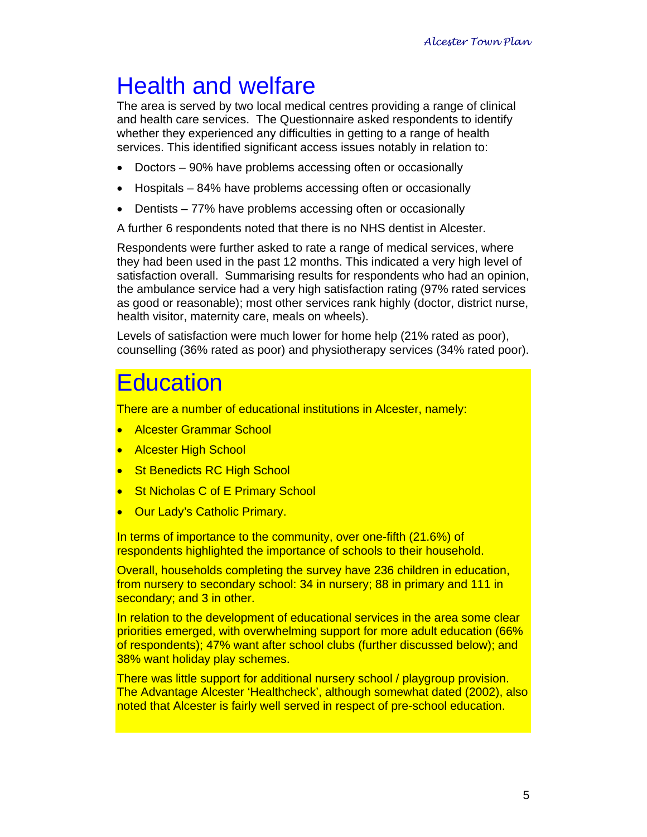## Health and welfare

The area is served by two local medical centres providing a range of clinical and health care services. The Questionnaire asked respondents to identify whether they experienced any difficulties in getting to a range of health services. This identified significant access issues notably in relation to:

- Doctors 90% have problems accessing often or occasionally
- Hospitals 84% have problems accessing often or occasionally
- Dentists 77% have problems accessing often or occasionally

A further 6 respondents noted that there is no NHS dentist in Alcester.

Respondents were further asked to rate a range of medical services, where they had been used in the past 12 months. This indicated a very high level of satisfaction overall. Summarising results for respondents who had an opinion, the ambulance service had a very high satisfaction rating (97% rated services as good or reasonable); most other services rank highly (doctor, district nurse, health visitor, maternity care, meals on wheels).

Levels of satisfaction were much lower for home help (21% rated as poor), counselling (36% rated as poor) and physiotherapy services (34% rated poor).

## **Education**

There are a number of educational institutions in Alcester, namely:

- Alcester Grammar School
- Alcester High School
- St Benedicts RC High School
- **St Nicholas C of E Primary School**
- Our Lady's Catholic Primary.

In terms of importance to the community, over one-fifth (21.6%) of respondents highlighted the importance of schools to their household.

Overall, households completing the survey have 236 children in education, from nursery to secondary school: 34 in nursery; 88 in primary and 111 in secondary; and 3 in other.

In relation to the development of educational services in the area some clear priorities emerged, with overwhelming support for more adult education (66% of respondents); 47% want after school clubs (further discussed below); and 38% want holiday play schemes.

There was little support for additional nursery school / playgroup provision. The Advantage Alcester 'Healthcheck', although somewhat dated (2002), also noted that Alcester is fairly well served in respect of pre-school education.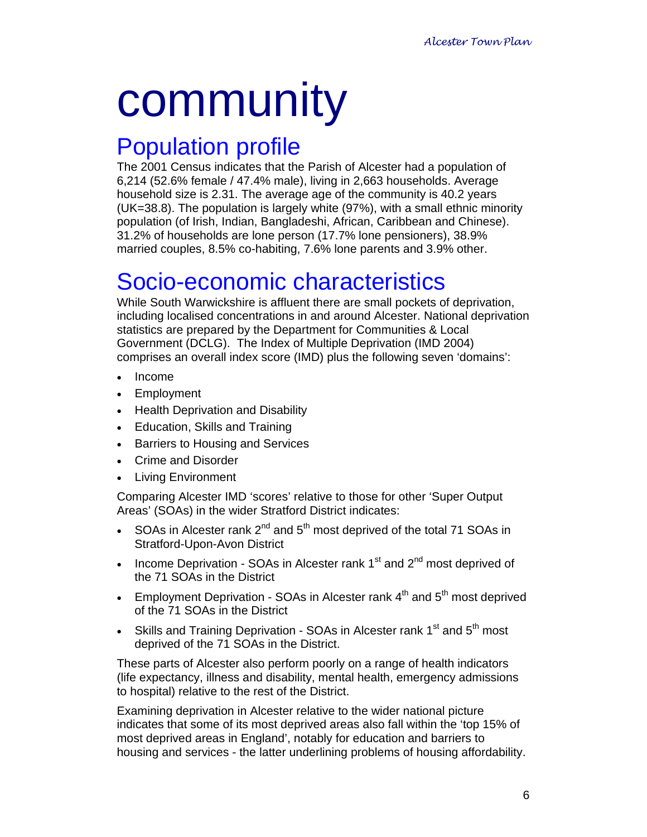# community

## Population profile

The 2001 Census indicates that the Parish of Alcester had a population of 6,214 (52.6% female / 47.4% male), living in 2,663 households. Average household size is 2.31. The average age of the community is 40.2 years (UK=38.8). The population is largely white (97%), with a small ethnic minority population (of Irish, Indian, Bangladeshi, African, Caribbean and Chinese). 31.2% of households are lone person (17.7% lone pensioners), 38.9% married couples, 8.5% co-habiting, 7.6% lone parents and 3.9% other.

## Socio-economic characteristics

While South Warwickshire is affluent there are small pockets of deprivation, including localised concentrations in and around Alcester. National deprivation statistics are prepared by the Department for Communities & Local Government (DCLG). The Index of Multiple Deprivation (IMD 2004) comprises an overall index score (IMD) plus the following seven 'domains':

- Income
- Employment
- Health Deprivation and Disability
- Education, Skills and Training
- Barriers to Housing and Services
- Crime and Disorder
- Living Environment

Comparing Alcester IMD 'scores' relative to those for other 'Super Output Areas' (SOAs) in the wider Stratford District indicates:

- SOAs in Alcester rank  $2^{nd}$  and  $5^{th}$  most deprived of the total 71 SOAs in Stratford-Upon-Avon District
- Income Deprivation SOAs in Alcester rank  $1<sup>st</sup>$  and  $2<sup>nd</sup>$  most deprived of the 71 SOAs in the District
- Employment Deprivation SOAs in Alcester rank  $4<sup>th</sup>$  and  $5<sup>th</sup>$  most deprived of the 71 SOAs in the District
- Skills and Training Deprivation SOAs in Alcester rank  $1<sup>st</sup>$  and  $5<sup>th</sup>$  most deprived of the 71 SOAs in the District.

These parts of Alcester also perform poorly on a range of health indicators (life expectancy, illness and disability, mental health, emergency admissions to hospital) relative to the rest of the District.

Examining deprivation in Alcester relative to the wider national picture indicates that some of its most deprived areas also fall within the 'top 15% of most deprived areas in England', notably for education and barriers to housing and services - the latter underlining problems of housing affordability.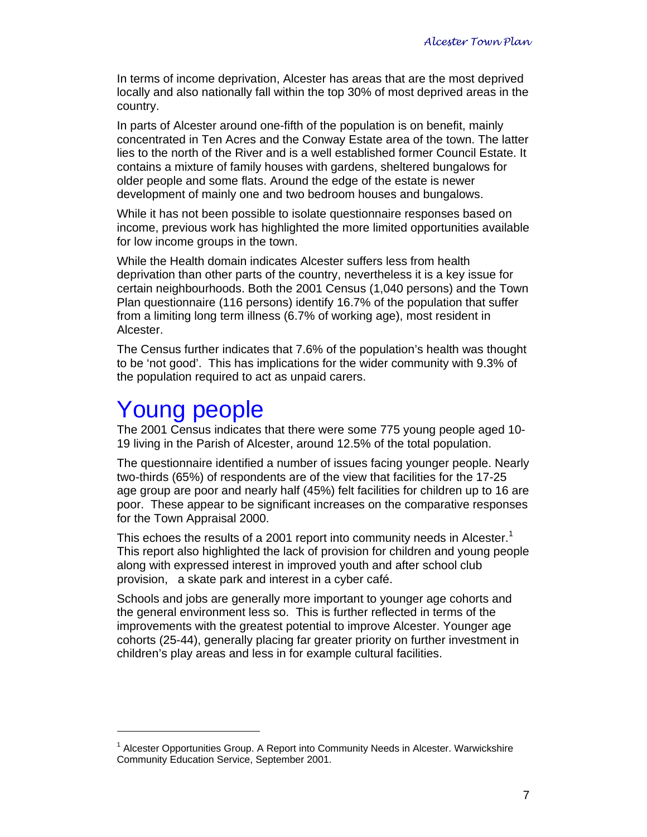In terms of income deprivation, Alcester has areas that are the most deprived locally and also nationally fall within the top 30% of most deprived areas in the country.

In parts of Alcester around one-fifth of the population is on benefit, mainly concentrated in Ten Acres and the Conway Estate area of the town. The latter lies to the north of the River and is a well established former Council Estate. It contains a mixture of family houses with gardens, sheltered bungalows for older people and some flats. Around the edge of the estate is newer development of mainly one and two bedroom houses and bungalows.

While it has not been possible to isolate questionnaire responses based on income, previous work has highlighted the more limited opportunities available for low income groups in the town.

While the Health domain indicates Alcester suffers less from health deprivation than other parts of the country, nevertheless it is a key issue for certain neighbourhoods. Both the 2001 Census (1,040 persons) and the Town Plan questionnaire (116 persons) identify 16.7% of the population that suffer from a limiting long term illness (6.7% of working age), most resident in Alcester.

The Census further indicates that 7.6% of the population's health was thought to be 'not good'. This has implications for the wider community with 9.3% of the population required to act as unpaid carers.

## Young people

 $\overline{a}$ 

The 2001 Census indicates that there were some 775 young people aged 10- 19 living in the Parish of Alcester, around 12.5% of the total population.

The questionnaire identified a number of issues facing younger people. Nearly two-thirds (65%) of respondents are of the view that facilities for the 17-25 age group are poor and nearly half (45%) felt facilities for children up to 16 are poor. These appear to be significant increases on the comparative responses for the Town Appraisal 2000.

This echoes the results of a 2001 report into community needs in Alcester.<sup>1</sup> This report also highlighted the lack of provision for children and young people along with expressed interest in improved youth and after school club provision, a skate park and interest in a cyber café.

Schools and jobs are generally more important to younger age cohorts and the general environment less so. This is further reflected in terms of the improvements with the greatest potential to improve Alcester. Younger age cohorts (25-44), generally placing far greater priority on further investment in children's play areas and less in for example cultural facilities.

<sup>&</sup>lt;sup>1</sup> Alcester Opportunities Group. A Report into Community Needs in Alcester. Warwickshire Community Education Service, September 2001.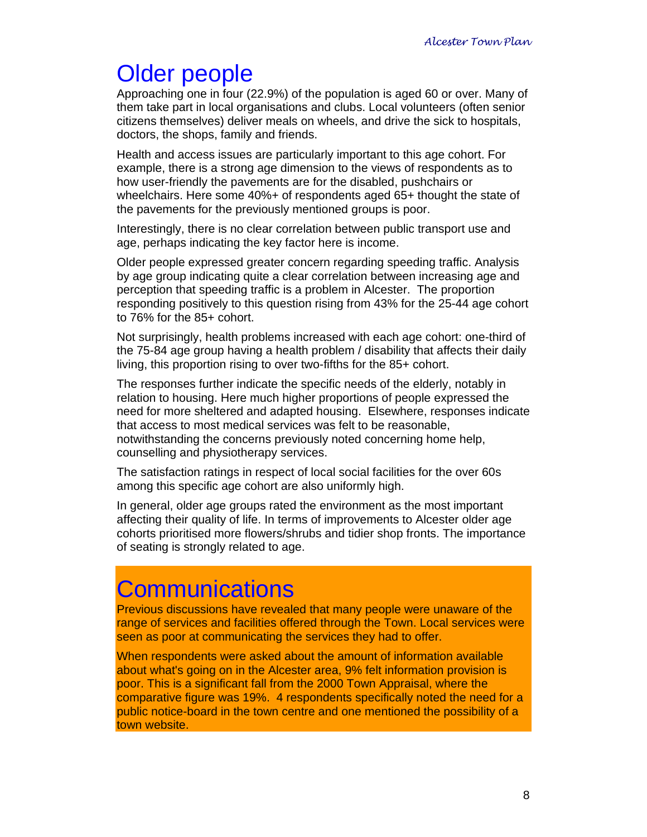## Older people

Approaching one in four (22.9%) of the population is aged 60 or over. Many of them take part in local organisations and clubs. Local volunteers (often senior citizens themselves) deliver meals on wheels, and drive the sick to hospitals, doctors, the shops, family and friends.

Health and access issues are particularly important to this age cohort. For example, there is a strong age dimension to the views of respondents as to how user-friendly the pavements are for the disabled, pushchairs or wheelchairs. Here some 40%+ of respondents aged 65+ thought the state of the pavements for the previously mentioned groups is poor.

Interestingly, there is no clear correlation between public transport use and age, perhaps indicating the key factor here is income.

Older people expressed greater concern regarding speeding traffic. Analysis by age group indicating quite a clear correlation between increasing age and perception that speeding traffic is a problem in Alcester. The proportion responding positively to this question rising from 43% for the 25-44 age cohort to 76% for the 85+ cohort.

Not surprisingly, health problems increased with each age cohort: one-third of the 75-84 age group having a health problem / disability that affects their daily living, this proportion rising to over two-fifths for the 85+ cohort.

The responses further indicate the specific needs of the elderly, notably in relation to housing. Here much higher proportions of people expressed the need for more sheltered and adapted housing. Elsewhere, responses indicate that access to most medical services was felt to be reasonable, notwithstanding the concerns previously noted concerning home help, counselling and physiotherapy services.

The satisfaction ratings in respect of local social facilities for the over 60s among this specific age cohort are also uniformly high.

In general, older age groups rated the environment as the most important affecting their quality of life. In terms of improvements to Alcester older age cohorts prioritised more flowers/shrubs and tidier shop fronts. The importance of seating is strongly related to age.

## **Communications**

Previous discussions have revealed that many people were unaware of the range of services and facilities offered through the Town. Local services were seen as poor at communicating the services they had to offer.

When respondents were asked about the amount of information available about what's going on in the Alcester area, 9% felt information provision is poor. This is a significant fall from the 2000 Town Appraisal, where the comparative figure was 19%. 4 respondents specifically noted the need for a public notice-board in the town centre and one mentioned the possibility of a town website.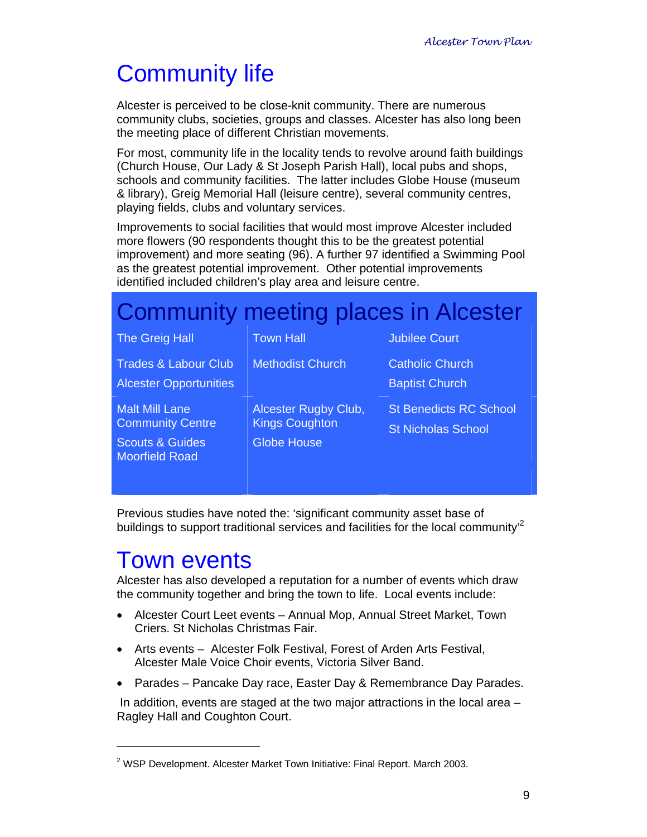## Community life

Alcester is perceived to be close-knit community. There are numerous community clubs, societies, groups and classes. Alcester has also long been the meeting place of different Christian movements.

For most, community life in the locality tends to revolve around faith buildings (Church House, Our Lady & St Joseph Parish Hall), local pubs and shops, schools and community facilities. The latter includes Globe House (museum & library), Greig Memorial Hall (leisure centre), several community centres, playing fields, clubs and voluntary services.

Improvements to social facilities that would most improve Alcester included more flowers (90 respondents thought this to be the greatest potential improvement) and more seating (96). A further 97 identified a Swimming Pool as the greatest potential improvement. Other potential improvements identified included children's play area and leisure centre.

| <b>Community meeting places in Alcester</b>                                    |                                                                     |                                                            |  |  |  |  |  |  |  |  |  |
|--------------------------------------------------------------------------------|---------------------------------------------------------------------|------------------------------------------------------------|--|--|--|--|--|--|--|--|--|
| <b>The Greig Hall</b>                                                          | <b>Town Hall</b>                                                    | <b>Jubilee Court</b>                                       |  |  |  |  |  |  |  |  |  |
| <b>Trades &amp; Labour Club</b><br><b>Alcester Opportunities</b>               | <b>Methodist Church</b>                                             | <b>Catholic Church</b><br><b>Baptist Church</b>            |  |  |  |  |  |  |  |  |  |
| <b>Malt Mill Lane</b><br><b>Community Centre</b><br><b>Scouts &amp; Guides</b> | Alcester Rugby Club,<br><b>Kings Coughton</b><br><b>Globe House</b> | <b>St Benedicts RC School</b><br><b>St Nicholas School</b> |  |  |  |  |  |  |  |  |  |
| <b>Moorfield Road</b>                                                          |                                                                     |                                                            |  |  |  |  |  |  |  |  |  |

Previous studies have noted the: 'significant community asset base of buildings to support traditional services and facilities for the local community<sup>2</sup>

## Town events

 $\overline{a}$ 

Alcester has also developed a reputation for a number of events which draw the community together and bring the town to life. Local events include:

- Alcester Court Leet events Annual Mop, Annual Street Market, Town Criers. St Nicholas Christmas Fair.
- Arts events Alcester Folk Festival, Forest of Arden Arts Festival, Alcester Male Voice Choir events, Victoria Silver Band.
- Parades Pancake Day race, Easter Day & Remembrance Day Parades.

 In addition, events are staged at the two major attractions in the local area – Ragley Hall and Coughton Court.

<sup>&</sup>lt;sup>2</sup> WSP Development. Alcester Market Town Initiative: Final Report. March 2003.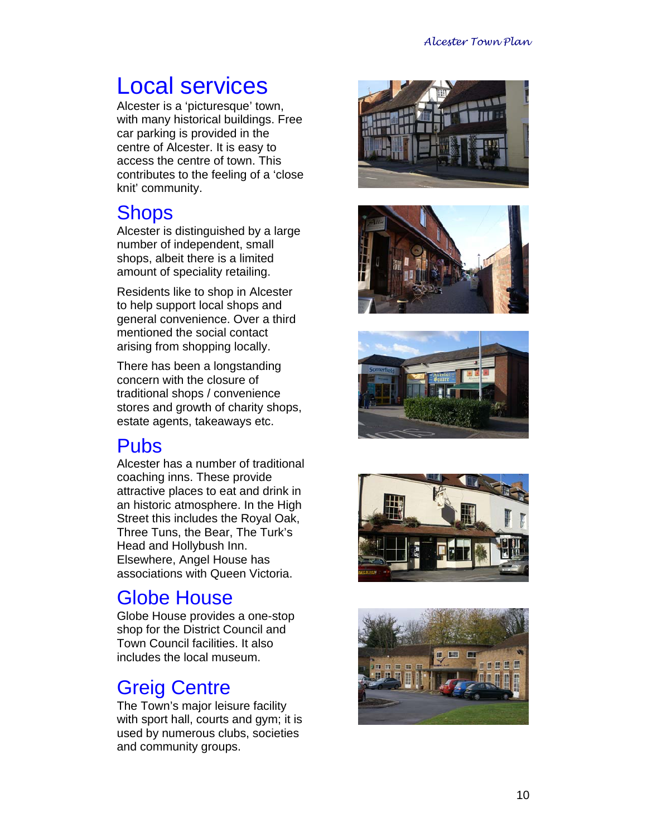## Local services

Alcester is a 'picturesque' town, with many historical buildings. Free car parking is provided in the centre of Alcester. It is easy to access the centre of town. This contributes to the feeling of a 'close knit' community.

### **Shops**

Alcester is distinguished by a large number of independent, small shops, albeit there is a limited amount of speciality retailing.

Residents like to shop in Alcester to help support local shops and general convenience. Over a third mentioned the social contact arising from shopping locally.

There has been a longstanding concern with the closure of traditional shops / convenience stores and growth of charity shops, estate agents, takeaways etc.

## Pubs

Alcester has a number of traditional coaching inns. These provide attractive places to eat and drink in an historic atmosphere. In the High Street this includes the Royal Oak, Three Tuns, the Bear, The Turk's Head and Hollybush Inn. Elsewhere, Angel House has associations with Queen Victoria.

## Globe House

Globe House provides a one-stop shop for the District Council and Town Council facilities. It also includes the local museum.

## Greig Centre

The Town's major leisure facility with sport hall, courts and gym; it is used by numerous clubs, societies and community groups.









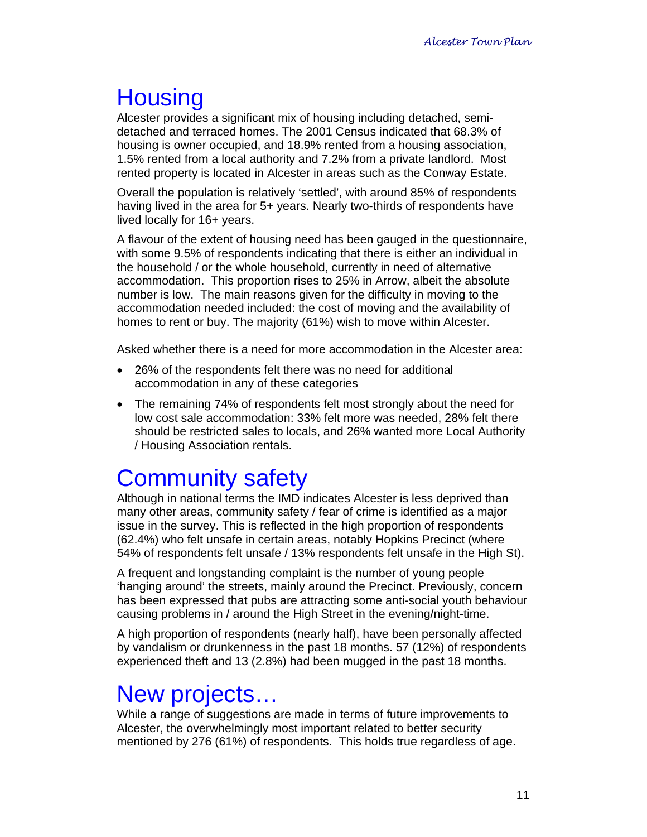## **Housing**

Alcester provides a significant mix of housing including detached, semidetached and terraced homes. The 2001 Census indicated that 68.3% of housing is owner occupied, and 18.9% rented from a housing association, 1.5% rented from a local authority and 7.2% from a private landlord. Most rented property is located in Alcester in areas such as the Conway Estate.

Overall the population is relatively 'settled', with around 85% of respondents having lived in the area for 5+ years. Nearly two-thirds of respondents have lived locally for 16+ years.

A flavour of the extent of housing need has been gauged in the questionnaire, with some 9.5% of respondents indicating that there is either an individual in the household / or the whole household, currently in need of alternative accommodation. This proportion rises to 25% in Arrow, albeit the absolute number is low. The main reasons given for the difficulty in moving to the accommodation needed included: the cost of moving and the availability of homes to rent or buy. The majority (61%) wish to move within Alcester.

Asked whether there is a need for more accommodation in the Alcester area:

- 26% of the respondents felt there was no need for additional accommodation in any of these categories
- The remaining 74% of respondents felt most strongly about the need for low cost sale accommodation: 33% felt more was needed, 28% felt there should be restricted sales to locals, and 26% wanted more Local Authority / Housing Association rentals.

## Community safety

Although in national terms the IMD indicates Alcester is less deprived than many other areas, community safety / fear of crime is identified as a major issue in the survey. This is reflected in the high proportion of respondents (62.4%) who felt unsafe in certain areas, notably Hopkins Precinct (where 54% of respondents felt unsafe / 13% respondents felt unsafe in the High St).

A frequent and longstanding complaint is the number of young people 'hanging around' the streets, mainly around the Precinct. Previously, concern has been expressed that pubs are attracting some anti-social youth behaviour causing problems in / around the High Street in the evening/night-time.

A high proportion of respondents (nearly half), have been personally affected by vandalism or drunkenness in the past 18 months. 57 (12%) of respondents experienced theft and 13 (2.8%) had been mugged in the past 18 months.

## New projects…

While a range of suggestions are made in terms of future improvements to Alcester, the overwhelmingly most important related to better security mentioned by 276 (61%) of respondents. This holds true regardless of age.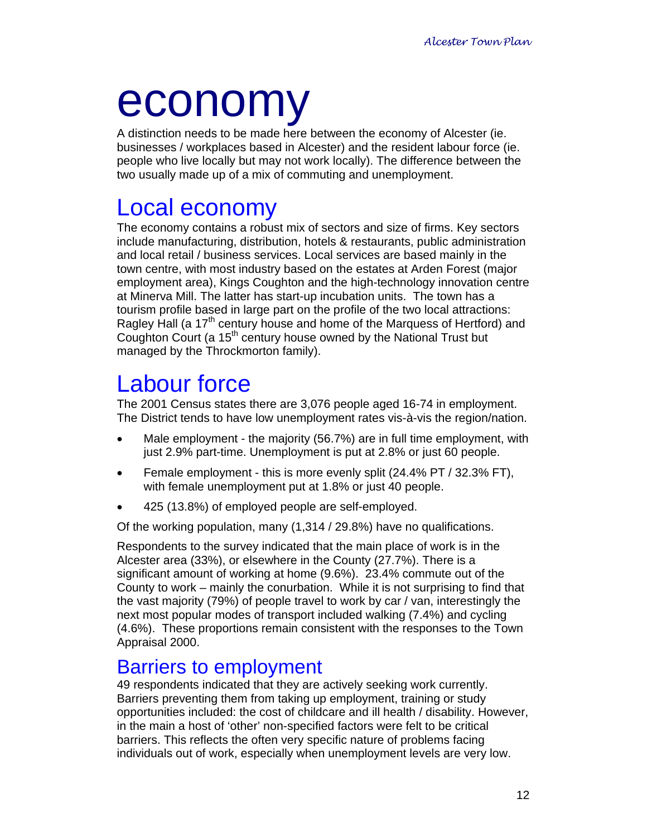# economy

A distinction needs to be made here between the economy of Alcester (ie. businesses / workplaces based in Alcester) and the resident labour force (ie. people who live locally but may not work locally). The difference between the two usually made up of a mix of commuting and unemployment.

## Local economy

The economy contains a robust mix of sectors and size of firms. Key sectors include manufacturing, distribution, hotels & restaurants, public administration and local retail / business services. Local services are based mainly in the town centre, with most industry based on the estates at Arden Forest (major employment area), Kings Coughton and the high-technology innovation centre at Minerva Mill. The latter has start-up incubation units. The town has a tourism profile based in large part on the profile of the two local attractions: Ragley Hall (a 17<sup>th</sup> century house and home of the Marquess of Hertford) and Coughton Court (a 15<sup>th</sup> century house owned by the National Trust but managed by the Throckmorton family).

## Labour force

The 2001 Census states there are 3,076 people aged 16-74 in employment. The District tends to have low unemployment rates vis-à-vis the region/nation.

- Male employment the majority (56.7%) are in full time employment, with just 2.9% part-time. Unemployment is put at 2.8% or just 60 people.
- Female employment this is more evenly split (24.4% PT / 32.3% FT), with female unemployment put at 1.8% or just 40 people.
- 425 (13.8%) of employed people are self-employed.

Of the working population, many (1,314 / 29.8%) have no qualifications.

Respondents to the survey indicated that the main place of work is in the Alcester area (33%), or elsewhere in the County (27.7%). There is a significant amount of working at home (9.6%). 23.4% commute out of the County to work – mainly the conurbation. While it is not surprising to find that the vast majority (79%) of people travel to work by car / van, interestingly the next most popular modes of transport included walking (7.4%) and cycling (4.6%). These proportions remain consistent with the responses to the Town Appraisal 2000.

### Barriers to employment

49 respondents indicated that they are actively seeking work currently. Barriers preventing them from taking up employment, training or study opportunities included: the cost of childcare and ill health / disability. However, in the main a host of 'other' non-specified factors were felt to be critical barriers. This reflects the often very specific nature of problems facing individuals out of work, especially when unemployment levels are very low.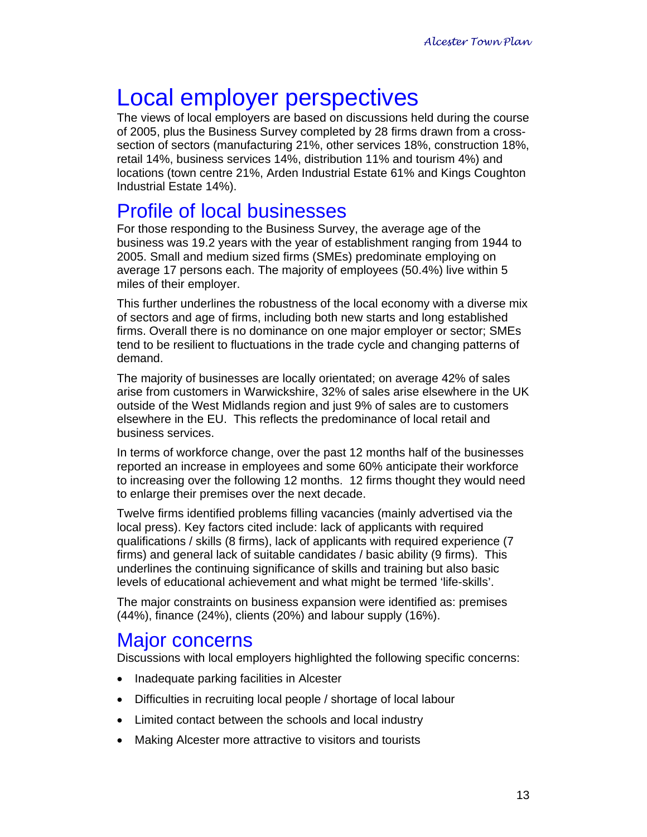## Local employer perspectives

The views of local employers are based on discussions held during the course of 2005, plus the Business Survey completed by 28 firms drawn from a crosssection of sectors (manufacturing 21%, other services 18%, construction 18%, retail 14%, business services 14%, distribution 11% and tourism 4%) and locations (town centre 21%, Arden Industrial Estate 61% and Kings Coughton Industrial Estate 14%).

### Profile of local businesses

For those responding to the Business Survey, the average age of the business was 19.2 years with the year of establishment ranging from 1944 to 2005. Small and medium sized firms (SMEs) predominate employing on average 17 persons each. The majority of employees (50.4%) live within 5 miles of their employer.

This further underlines the robustness of the local economy with a diverse mix of sectors and age of firms, including both new starts and long established firms. Overall there is no dominance on one major employer or sector; SMEs tend to be resilient to fluctuations in the trade cycle and changing patterns of demand.

The majority of businesses are locally orientated; on average 42% of sales arise from customers in Warwickshire, 32% of sales arise elsewhere in the UK outside of the West Midlands region and just 9% of sales are to customers elsewhere in the EU. This reflects the predominance of local retail and business services.

In terms of workforce change, over the past 12 months half of the businesses reported an increase in employees and some 60% anticipate their workforce to increasing over the following 12 months. 12 firms thought they would need to enlarge their premises over the next decade.

Twelve firms identified problems filling vacancies (mainly advertised via the local press). Key factors cited include: lack of applicants with required qualifications / skills (8 firms), lack of applicants with required experience (7 firms) and general lack of suitable candidates / basic ability (9 firms). This underlines the continuing significance of skills and training but also basic levels of educational achievement and what might be termed 'life-skills'.

The major constraints on business expansion were identified as: premises (44%), finance (24%), clients (20%) and labour supply (16%).

### Major concerns

Discussions with local employers highlighted the following specific concerns:

- Inadequate parking facilities in Alcester
- Difficulties in recruiting local people / shortage of local labour
- Limited contact between the schools and local industry
- Making Alcester more attractive to visitors and tourists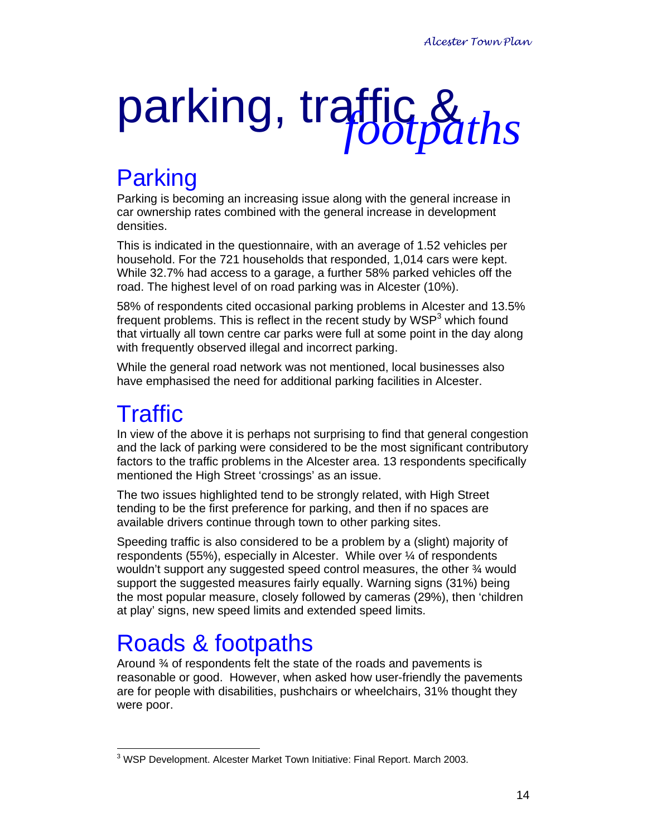## parking, traffic & *footpaths*

## Parking

Parking is becoming an increasing issue along with the general increase in car ownership rates combined with the general increase in development densities.

This is indicated in the questionnaire, with an average of 1.52 vehicles per household. For the 721 households that responded, 1,014 cars were kept. While 32.7% had access to a garage, a further 58% parked vehicles off the road. The highest level of on road parking was in Alcester (10%).

58% of respondents cited occasional parking problems in Alcester and 13.5% frequent problems. This is reflect in the recent study by  $WSP<sup>3</sup>$  which found that virtually all town centre car parks were full at some point in the day along with frequently observed illegal and incorrect parking.

While the general road network was not mentioned, local businesses also have emphasised the need for additional parking facilities in Alcester.

## **Traffic**

In view of the above it is perhaps not surprising to find that general congestion and the lack of parking were considered to be the most significant contributory factors to the traffic problems in the Alcester area. 13 respondents specifically mentioned the High Street 'crossings' as an issue.

The two issues highlighted tend to be strongly related, with High Street tending to be the first preference for parking, and then if no spaces are available drivers continue through town to other parking sites.

Speeding traffic is also considered to be a problem by a (slight) majority of respondents (55%), especially in Alcester. While over ¼ of respondents wouldn't support any suggested speed control measures, the other 3⁄4 would support the suggested measures fairly equally. Warning signs (31%) being the most popular measure, closely followed by cameras (29%), then 'children at play' signs, new speed limits and extended speed limits.

## Roads & footpaths

Around ¾ of respondents felt the state of the roads and pavements is reasonable or good. However, when asked how user-friendly the pavements are for people with disabilities, pushchairs or wheelchairs, 31% thought they were poor.

 $\overline{a}$ <sup>3</sup> WSP Development. Alcester Market Town Initiative: Final Report. March 2003.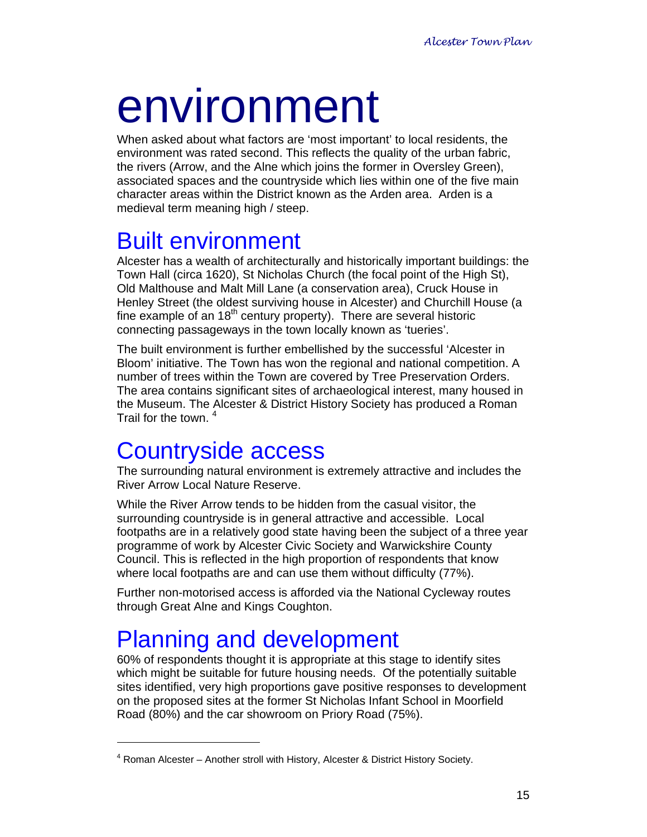# environment

When asked about what factors are 'most important' to local residents, the environment was rated second. This reflects the quality of the urban fabric, the rivers (Arrow, and the Alne which joins the former in Oversley Green), associated spaces and the countryside which lies within one of the five main character areas within the District known as the Arden area. Arden is a medieval term meaning high / steep.

## Built environment

Alcester has a wealth of architecturally and historically important buildings: the Town Hall (circa 1620), St Nicholas Church (the focal point of the High St), Old Malthouse and Malt Mill Lane (a conservation area), Cruck House in Henley Street (the oldest surviving house in Alcester) and Churchill House (a fine example of an  $18<sup>th</sup>$  century property). There are several historic connecting passageways in the town locally known as 'tueries'.

The built environment is further embellished by the successful 'Alcester in Bloom' initiative. The Town has won the regional and national competition. A number of trees within the Town are covered by Tree Preservation Orders. The area contains significant sites of archaeological interest, many housed in the Museum. The Alcester & District History Society has produced a Roman Trail for the town.<sup>4</sup>

## Countryside access

The surrounding natural environment is extremely attractive and includes the River Arrow Local Nature Reserve.

While the River Arrow tends to be hidden from the casual visitor, the surrounding countryside is in general attractive and accessible. Local footpaths are in a relatively good state having been the subject of a three year programme of work by Alcester Civic Society and Warwickshire County Council. This is reflected in the high proportion of respondents that know where local footpaths are and can use them without difficulty (77%).

Further non-motorised access is afforded via the National Cycleway routes through Great Alne and Kings Coughton.

## Planning and development

 $\overline{a}$ 

60% of respondents thought it is appropriate at this stage to identify sites which might be suitable for future housing needs. Of the potentially suitable sites identified, very high proportions gave positive responses to development on the proposed sites at the former St Nicholas Infant School in Moorfield Road (80%) and the car showroom on Priory Road (75%).

<sup>&</sup>lt;sup>4</sup> Roman Alcester – Another stroll with History, Alcester & District History Society.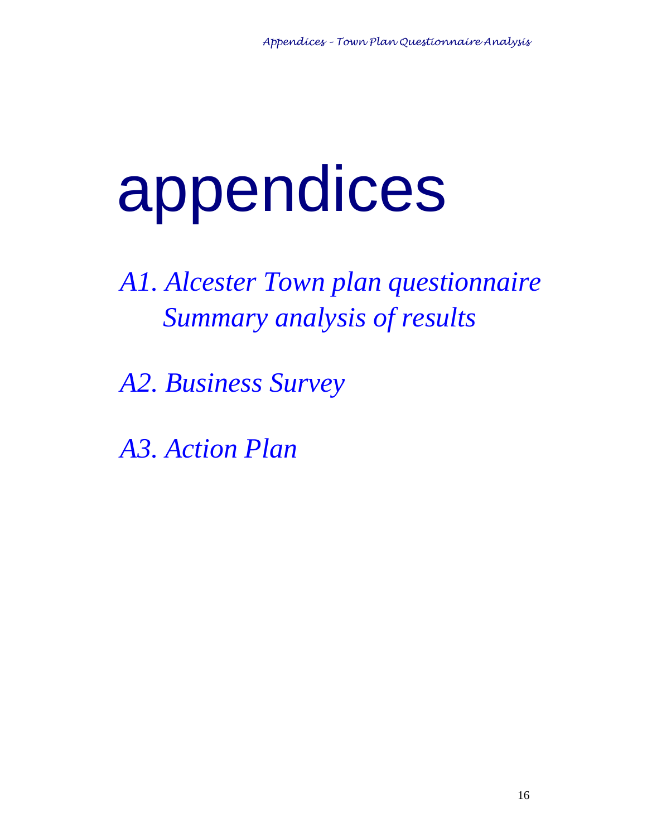# appendices

*A1. Alcester Town plan questionnaire Summary analysis of results* 

*A2. Business Survey* 

*A3. Action Plan*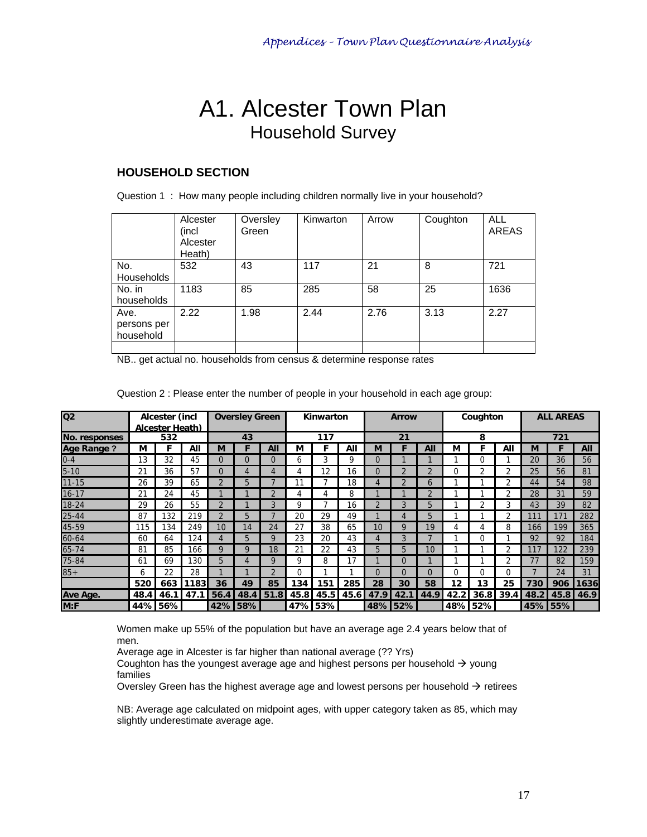## A1. Alcester Town Plan Household Survey

### **HOUSEHOLD SECTION**

|  |  |  |  | Question 1 : How many people including children normally live in your household? |
|--|--|--|--|----------------------------------------------------------------------------------|
|  |  |  |  |                                                                                  |

|                                  | Alcester<br>(incl<br>Alcester<br>Heath) | Oversley<br>Green | Kinwarton | Arrow | Coughton | <b>ALL</b><br><b>AREAS</b> |
|----------------------------------|-----------------------------------------|-------------------|-----------|-------|----------|----------------------------|
| No.<br>Households                | 532                                     | 43                | 117       | 21    | 8        | 721                        |
| No. in<br>households             | 1183                                    | 85                | 285       | 58    | 25       | 1636                       |
| Ave.<br>persons per<br>household | 2.22                                    | 1.98              | 2.44      | 2.76  | 3.13     | 2.27                       |
|                                  |                                         |                   |           |       |          |                            |

NB.. get actual no. households from census & determine response rates

| Q <sub>2</sub>    |      | Alcester (incl<br>Alcester Heath) |      |               | <b>Oversley Green</b> |             |      | Kinwarton |      |      | <b>Arrow</b> |          |      | Coughton |      |      | <b>ALL AREAS</b> |      |
|-------------------|------|-----------------------------------|------|---------------|-----------------------|-------------|------|-----------|------|------|--------------|----------|------|----------|------|------|------------------|------|
| No. responses     |      | 532                               |      |               | 43                    |             |      | 117       |      | 21   |              | 8        |      |          | 721  |      |                  |      |
| <b>Age Range?</b> | М    |                                   | All  | М             | F                     | All         | М    | F         | All  | М    |              | All      | М    | F        | All  | M    |                  | All  |
| $0 - 4$           | 13   | 32                                | 45   | $\Omega$      | $\Omega$              |             | 6    | 3         | 9    |      |              |          |      | $\Omega$ |      | 20   | 36               | 56   |
| $5 - 10$          | 21   | 36                                | 57   | $\Omega$      | Δ                     |             | 4    | 12        | 16   |      |              |          | O    | 2        |      | 25   | 56               | 81   |
| $11 - 15$         | 26   | 39                                | 65   | $\mathcal{P}$ | 5                     |             |      |           | 18   |      |              | h        |      |          |      | 44   | 54               | 98   |
| $16 - 17$         | 21   | 24                                | 45   |               |                       |             |      | 4         | 8    |      |              | C.       |      |          | າ    | 28   | 31               | 59   |
| $18 - 24$         | 29   | 26                                | 55   | $\mathcal{D}$ |                       |             | 9    |           | 16   |      |              | 5        |      | າ        |      | 43   | 39               | 82   |
| $25 - 44$         | 87   | 132                               | 219  | $\mathcal{D}$ | 5                     |             | 20   | 29        | 49   |      |              | 5        |      |          | ົ    | 111  |                  | 282  |
| 45-59             | 115  | 134                               | 249  | 10            | 14                    | 24          | 27   | 38        | 65   | 10   | a            | 19       |      | 4        | 8    | 166  | 199              | 365  |
| 60-64             | 60   | 64                                | 124  | 4             | 5                     |             | 23   | 20        | 43   |      |              |          |      |          |      | 92   | 92               | 184  |
| 65-74             | 81   | 85                                | 166  | 9             | Q                     | 18          | 21   | 22        | 43   | 5    | 5            | 10       |      |          |      |      | 122              | 239  |
| 75-84             | 61   | 69                                | 130  | 5             | 4                     | Q           | 9    | 8         | 17   |      | 0            |          |      |          |      | 77   | 82               | 159  |
| $85 +$            | 6    | 22                                | 28   |               |                       |             | 0    |           |      |      | 0            | $\Omega$ | 0    | $\Omega$ | 0    |      | 24               | 31   |
|                   | 520  | 663                               | 1183 | 36            | 49                    | 85          | 134  | 151       | 285  | 28   | 30           | 58       | 12   | 13       | 25   | 730  | 906              | 1636 |
| Ave Age.          | 48.4 | 46.1                              | 47.1 | 56.4          |                       | $48.4$ 51.8 | 45.8 | 45.5      | 45.6 | 47.9 | 42.1         | 44.9     | 42.2 | 36.8     | 39.4 | 48.2 | 45.8             | 46.9 |
| M: F              |      | 44% 56%                           |      |               | 42% 58%               |             |      | 47% 53%   |      |      | 48% 52%      |          |      | 48% 52%  |      |      | 45% 55%          |      |

Question 2 : Please enter the number of people in your household in each age group:

Women make up 55% of the population but have an average age 2.4 years below that of men.

Average age in Alcester is far higher than national average (?? Yrs)

Coughton has the youngest average age and highest persons per household  $\rightarrow$  young families

Oversley Green has the highest average age and lowest persons per household  $\rightarrow$  retirees

NB: Average age calculated on midpoint ages, with upper category taken as 85, which may slightly underestimate average age.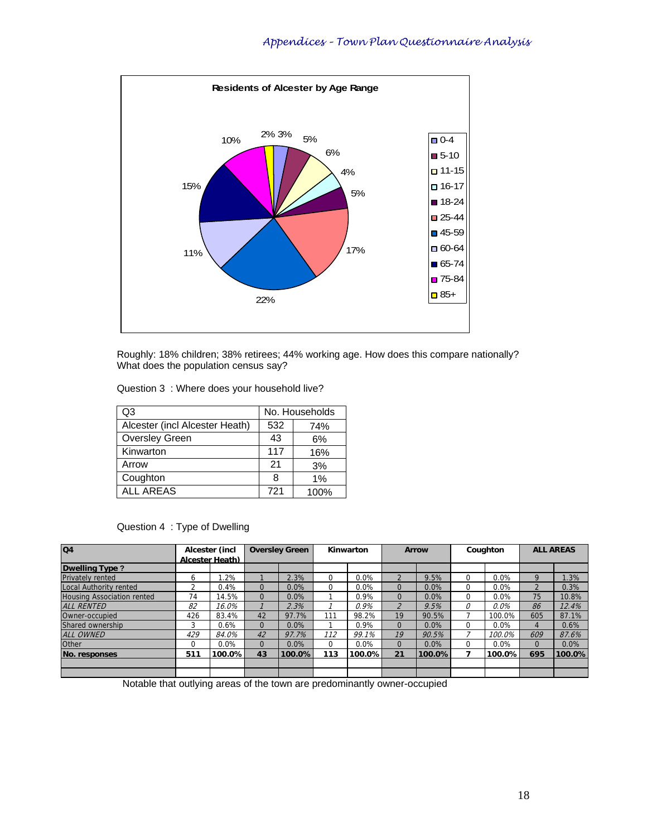

Roughly: 18% children; 38% retirees; 44% working age. How does this compare nationally? What does the population census say?

| Q3                             | No. Households |      |  |  |  |
|--------------------------------|----------------|------|--|--|--|
| Alcester (incl Alcester Heath) | 532            | 74%  |  |  |  |
| <b>Oversley Green</b>          | 43             | 6%   |  |  |  |
| Kinwarton                      | 117            | 16%  |  |  |  |
| Arrow                          | 21             | 3%   |  |  |  |
| Coughton                       | 8              | 1%   |  |  |  |
| <b>ALL AREAS</b>               | 721            | 100% |  |  |  |

### Question 4 : Type of Dwelling

| Q4                                | Alcester (incl<br>Alcester Heath) |        |          | <b>Oversley Green</b><br>Kinwarton |          |         |                | <b>Arrow</b> |          | Coughton |                | <b>ALL AREAS</b> |  |
|-----------------------------------|-----------------------------------|--------|----------|------------------------------------|----------|---------|----------------|--------------|----------|----------|----------------|------------------|--|
| <b>Dwelling Type?</b>             |                                   |        |          |                                    |          |         |                |              |          |          |                |                  |  |
| <b>Privately rented</b>           | 6                                 | .2%    |          | 2.3%                               | $\Omega$ | 0.0%    | $\overline{2}$ | 9.5%         | 0        | 0.0%     | 9              | 1.3%             |  |
| Local Authority rented            |                                   | 0.4%   | $\Omega$ | 0.0%                               | $\Omega$ | 0.0%    | 0              | 0.0%         | $\Omega$ | 0.0%     | $\overline{2}$ | 0.3%             |  |
| <b>Housing Association rented</b> | 74                                | 14.5%  | $\Omega$ | 0.0%                               |          | 0.9%    | 0              | 0.0%         | $\Omega$ | 0.0%     | 75             | 10.8%            |  |
| <b>ALL RENTED</b>                 | 82                                | 16.0%  |          | 2.3%                               |          | 0.9%    | $\overline{2}$ | 9.5%         | 0        | $0.0\%$  | 86             | 12.4%            |  |
| Owner-occupied                    | 426                               | 83.4%  | 42       | 97.7%                              | 111      | 98.2%   | 19             | 90.5%        |          | 100.0%   | 605            | 87.1%            |  |
| Shared ownership                  | 3                                 | 0.6%   | $\Omega$ | 0.0%                               |          | 0.9%    | 0              | 0.0%         | 0        | 0.0%     | 4              | 0.6%             |  |
| ALL OWNED                         | 429                               | 84.0%  | 42       | 97.7%                              | 112      | 99.1%   | 19             | 90.5%        |          | 100.0%   | 609            | 87.6%            |  |
| Other                             |                                   | 0.0%   | $\Omega$ | 0.0%                               | $\Omega$ | $0.0\%$ | 0              | 0.0%         | $\Omega$ | 0.0%     | $\Omega$       | $0.0\%$          |  |
| No. responses                     | 511                               | 100.0% | 43       | 100.0%                             | 113      | 100.0%l | 21             | 100.0%       | 7        | 100.0%   | 695            | 100.0%           |  |
|                                   |                                   |        |          |                                    |          |         |                |              |          |          |                |                  |  |
|                                   |                                   |        |          |                                    |          |         |                |              |          |          |                |                  |  |

Notable that outlying areas of the town are predominantly owner-occupied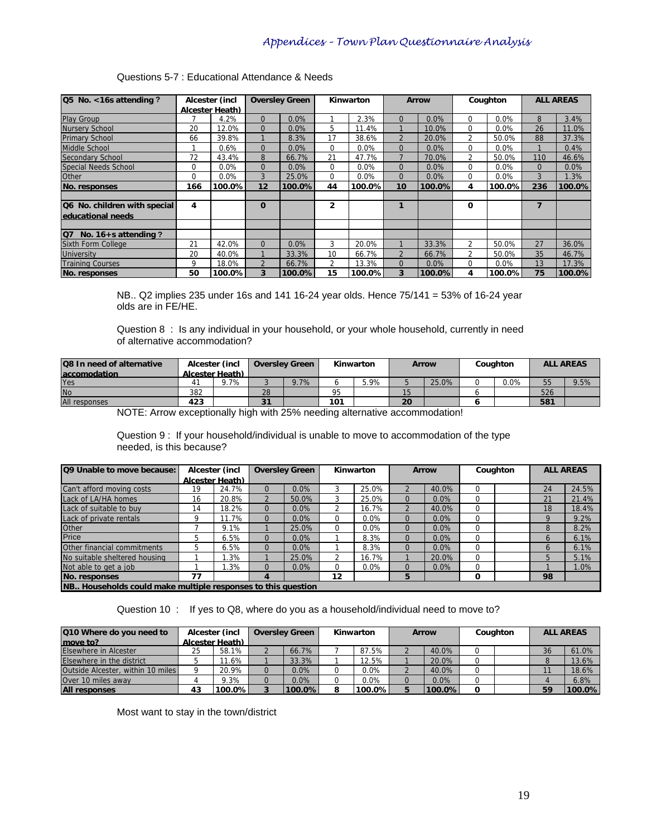| Q5 No. <16s attending?                |          | Alcester (incl         | <b>Oversley Green</b> |        |                | Kinwarton |                | <b>Arrow</b> |                | Coughton |          | <b>ALL AREAS</b> |
|---------------------------------------|----------|------------------------|-----------------------|--------|----------------|-----------|----------------|--------------|----------------|----------|----------|------------------|
|                                       |          | <b>Alcester Heath)</b> |                       |        |                |           |                |              |                |          |          |                  |
| Play Group                            |          | 4.2%                   | $\Omega$              | 0.0%   |                | 2.3%      | 0              | $0.0\%$      | $\Omega$       | 0.0%     | 8        | 3.4%             |
| Nursery School                        | 20       | 12.0%                  | $\Omega$              | 0.0%   | 5              | 11.4%     |                | 10.0%        | $\Omega$       | 0.0%     | 26       | 11.0%            |
| <b>Primary School</b>                 | 66       | 39.8%                  |                       | 8.3%   | 17             | 38.6%     | $\overline{2}$ | 20.0%        | 2              | 50.0%    | 88       | 37.3%            |
| Middle School                         |          | 0.6%                   | $\mathbf 0$           | 0.0%   | $\mathbf 0$    | 0.0%      | $\Omega$       | 0.0%         | $\Omega$       | 0.0%     |          | 0.4%             |
| Secondary School                      | 72       | 43.4%                  | 8                     | 66.7%  | 21             | 47.7%     | 7              | 70.0%        | $\overline{2}$ | 50.0%    | 110      | 46.6%            |
| <b>Special Needs School</b>           | $\Omega$ | 0.0%                   | $\Omega$              | 0.0%   | 0              | 0.0%      | $\Omega$       | $0.0\%$      | $\Omega$       | 0.0%     | $\Omega$ | 0.0%             |
| Other                                 | $\Omega$ | 0.0%                   | 3                     | 25.0%  | 0              | 0.0%      | $\overline{0}$ | $0.0\%$      | $\Omega$       | 0.0%     | 3        | 1.3%             |
| <b>No. responses</b>                  | 166      | 100.0%l                | 12                    | 100.0% | 44             | 100.0%    | 10             | 100.0%       | 4              | 100.0%   | 236      | 100.0%           |
|                                       |          |                        |                       |        |                |           |                |              |                |          |          |                  |
| Q6 No. children with special          | 4        |                        | $\mathbf 0$           |        | $\mathbf{2}$   |           |                |              | $\mathbf 0$    |          | 7        |                  |
| educational needs                     |          |                        |                       |        |                |           |                |              |                |          |          |                  |
|                                       |          |                        |                       |        |                |           |                |              |                |          |          |                  |
| No. $16 + s$ attending ?<br><b>Q7</b> |          |                        |                       |        |                |           |                |              |                |          |          |                  |
| <b>Sixth Form College</b>             | 21       | 42.0%                  | $\Omega$              | 0.0%   | 3              | 20.0%     |                | 33.3%        | 2              | 50.0%    | 27       | 36.0%            |
| <b>University</b>                     | 20       | 40.0%                  |                       | 33.3%  | 10             | 66.7%     | $\overline{2}$ | 66.7%        | $\overline{2}$ | 50.0%    | 35       | 46.7%            |
| <b>Training Courses</b>               | 9        | 18.0%                  | $\overline{2}$        | 66.7%  | $\overline{2}$ | 13.3%     | $\Omega$       | $0.0\%$      | 0              | 0.0%     | 13       | 17.3%            |
| No. responses                         | 50       | 100.0%                 | 3                     | 100.0% | 15             | 100.0%    | 3              | 100.0%       | 4              | 100.0%   | 75       | 100.0%           |

NB.. Q2 implies 235 under 16s and 141 16-24 year olds. Hence 75/141 = 53% of 16-24 year olds are in FE/HE.

Question 8 : Is any individual in your household, or your whole household, currently in need of alternative accommodation?

| <b>Q8 In need of alternative</b> | Alcester (incl  |     |         |         |     |      | <b>Oversley Green</b> |       |  | Kinwarton |     |      | <b>Arrow</b> | Coughton |  | <b>ALL AREAS</b> |  |
|----------------------------------|-----------------|-----|---------|---------|-----|------|-----------------------|-------|--|-----------|-----|------|--------------|----------|--|------------------|--|
| <b>accomodation</b>              | Alcester Heath) |     |         |         |     |      |                       |       |  |           |     |      |              |          |  |                  |  |
| Yes                              | 4               | .7% |         | $7.7\%$ |     | 5.9% |                       | 25.0% |  | $0.0\%$   | 55  | 9.5% |              |          |  |                  |  |
| N <sub>o</sub>                   | 382             |     | 28      |         | 95  |      | כ ו                   |       |  |           | 526 |      |              |          |  |                  |  |
| All responses                    | 423             |     | 21<br>ີ |         | 101 |      | 20                    |       |  |           | 581 |      |              |          |  |                  |  |

NOTE: Arrow exceptionally high with 25% needing alternative accommodation!

Question 9 : If your household/individual is unable to move to accommodation of the type needed, is this because?

| Q9 Unable to move because:                                   |    | Alcester (incl  |          | <b>Oversley Green</b> |          | Kinwarton |          | <b>Arrow</b> |          | Coughton |              | <b>ALL AREAS</b> |
|--------------------------------------------------------------|----|-----------------|----------|-----------------------|----------|-----------|----------|--------------|----------|----------|--------------|------------------|
|                                                              |    | Alcester Heath) |          |                       |          |           |          |              |          |          |              |                  |
| Can't afford moving costs                                    | 19 | 24.7%           | $\Omega$ | 0.0%                  |          | 25.0%     |          | 40.0%        |          |          | 24           | 24.5%            |
| Lack of LA/HA homes                                          | 16 | 20.8%           |          | 50.0%                 | 3        | 25.0%     | 0        | 0.0%         |          |          | 21           | 21.4%            |
| Lack of suitable to buy                                      | 14 | 18.2%           | $\Omega$ | 0.0%                  |          | 16.7%     |          | 40.0%        |          |          | 18           | 18.4%            |
| Lack of private rentals                                      | Q  | .7%             | $\Omega$ | 0.0%                  | 0        | $0.0\%$   | 0        | 0.0%         |          |          |              | 9.2%             |
| Other                                                        |    | 9.1%            |          | 25.0%                 | $\Omega$ | $0.0\%$   | $\Omega$ | 0.0%         |          |          | 8            | 8.2%             |
| Price                                                        | b  | 6.5%            | $\Omega$ | 0.0%                  |          | 8.3%      | $\Omega$ | 0.0%         | $\Omega$ |          | <sub>n</sub> | 6.1%             |
| Other financial commitments                                  | b  | 6.5%            | $\Omega$ | 0.0%                  |          | 8.3%      | $\Omega$ | 0.0%         |          |          | <sub>n</sub> | 6.1%             |
| No suitable sheltered housing                                |    | .3%             |          | 25.0%                 |          | 16.7%     |          | 20.0%        | 0        |          |              | 5.1%             |
| Not able to get a job                                        |    | .3%             | $\Omega$ | $0.0\%$               | $\Omega$ | $0.0\%$   |          | 0.0%         |          |          |              | 1.0%             |
| No. responses                                                | 77 |                 | 4        |                       | 12       |           | 5        |              | 0        |          | 98           |                  |
| NB Households could make multiple responses to this question |    |                 |          |                       |          |           |          |              |          |          |              |                  |

Question 10 : If yes to Q8, where do you as a household/individual need to move to?

| Q10 Where do you need to          | Alcester (incl |                 | <b>Oversley Green</b> | Kinwarton |        | <b>Arrow</b> | Coughton |  | <b>ALL AREAS</b> |        |
|-----------------------------------|----------------|-----------------|-----------------------|-----------|--------|--------------|----------|--|------------------|--------|
| move to?                          |                | Alcester Heath) |                       |           |        |              |          |  |                  |        |
| Elsewhere in Alcester             | 25             | 58.1%           | 66.7%                 |           | 87.5%  | 40.0%        |          |  | 36               | 61.0%  |
| Elsewhere in the district         |                | 1.6%            | 33.3%                 |           | 12.5%  | 20.0%        |          |  |                  | 13.6%  |
| Outside Alcester, within 10 miles |                | 20.9%           | 0.0%                  | 0         | 0.0%   | 40.0%        |          |  |                  | 18.6%  |
| Over 10 miles away                |                | 9.3%            | 0.0%                  | 0         | 0.0%   | $0.0\%$      |          |  |                  | 6.8%   |
| <b>All responses</b>              | 43             | 100.0%          | 100.0%                | 8         | 100.0% | $100.0\%$    | 0        |  | 59               | 100.0% |

Most want to stay in the town/district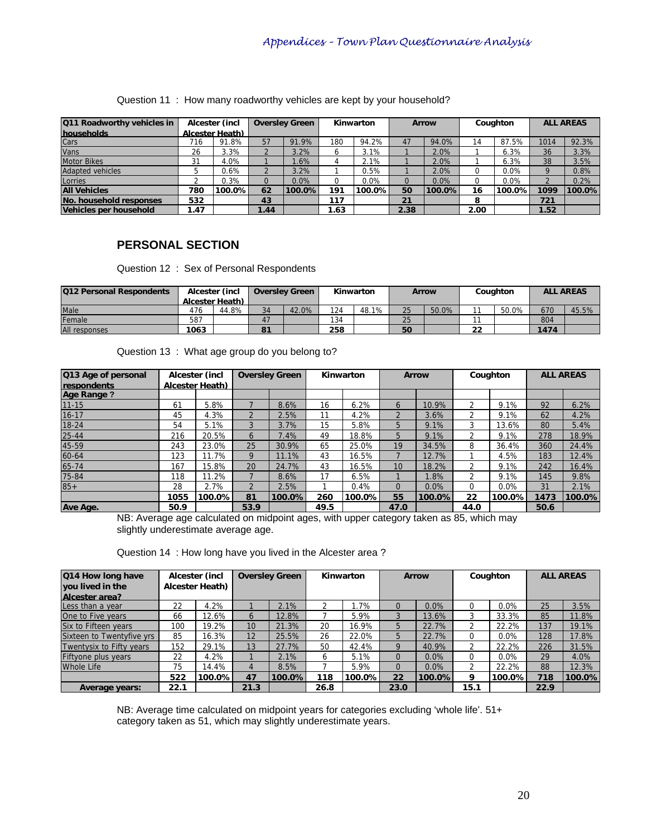| Q11 Roadworthy vehicles in |      | Alcester (incl  |      | <b>Oversley Green</b> |      | Kinwarton |      | <b>Arrow</b> |      | Coughton |      | <b>ALL AREAS</b> |
|----------------------------|------|-----------------|------|-----------------------|------|-----------|------|--------------|------|----------|------|------------------|
| households                 |      | Alcester Heath) |      |                       |      |           |      |              |      |          |      |                  |
| Cars                       | 716  | 91.8%           | 57   | 91.9%                 | 180  | 94.2%     | 47   | 94.0%        | 14   | 87.5%    | 1014 | 92.3%            |
| Vans                       | 26   | 3.3%            |      | 3.2%                  | ь    | 3.1%      |      | 2.0%         |      | 6.3%     | 36   | 3.3%             |
| <b>Motor Bikes</b>         | 31   | 4.0%            |      | .6%                   |      | 2.1%      |      | 2.0%         |      | 6.3%     | 38   | 3.5%             |
| <b>Adapted vehicles</b>    |      | 0.6%            |      | 3.2%                  |      | 0.5%      |      | 2.0%         |      | $0.0\%$  |      | 0.8%             |
| Lorries                    |      | 0.3%            |      | 0.0%                  |      | 0.0%      |      | 0.0%         |      | $0.0\%$  |      | 0.2%             |
| <b>All Vehicles</b>        | 780  | 100.0%          | 62   | 100.0%                | 191  | 100.0%    | 50   | 100.0%       | 16   | 100.0%I  | 1099 | 100.0%           |
| No. household responses    | 532  |                 | 43   |                       | 117  |           | 21   |              |      |          | 721  |                  |
| Vehicles per household     | 1.47 |                 | 1.44 |                       | 1.63 |           | 2.38 |              | 2.00 |          | 1.52 |                  |

#### Question 11 : How many roadworthy vehicles are kept by your household?

### **PERSONAL SECTION**

Question 12 : Sex of Personal Respondents

| <b>Q12 Personal Respondents</b> |                 | Alcester (incl |    | <b>Oversley Green</b> |     | Kinwarton |    | Arrow | Couahton |       | <b>ALL AREAS</b> |       |
|---------------------------------|-----------------|----------------|----|-----------------------|-----|-----------|----|-------|----------|-------|------------------|-------|
|                                 | Alcester Heath) |                |    |                       |     |           |    |       |          |       |                  |       |
| Male                            | 476             | 44.8%          | 34 | 42.0%                 | 124 | 48.1%     | 25 | 50.0% |          | 50.0% | 670              | 45.5% |
| Female                          | 587             |                | 47 |                       | 134 |           | 25 |       |          |       | 804              |       |
| All responses                   | 1063            |                | 81 |                       | 258 |           | 50 |       | 22       |       | 1474             |       |

Question 13 : What age group do you belong to?

| Q13 Age of personal        |      | Alcester (incl  |                | <b>Oversley Green</b> |      | Kinwarton |                | <b>Arrow</b> |          | Coughton |      | <b>ALL AREAS</b> |
|----------------------------|------|-----------------|----------------|-----------------------|------|-----------|----------------|--------------|----------|----------|------|------------------|
| respondents<br>Age Range ? |      | Alcester Heath) |                |                       |      |           |                |              |          |          |      |                  |
| $11 - 15$                  | 61   | 5.8%            |                | 8.6%                  | 16   | 6.2%      | 6              | 10.9%        |          | 9.1%     | 92   | 6.2%             |
| $16 - 17$                  | 45   | 4.3%            | $\overline{2}$ | 2.5%                  | 11   | 4.2%      | $\mathfrak{D}$ | 3.6%         |          | 9.1%     | 62   | 4.2%             |
| 18-24                      | 54   | 5.1%            | 3              | 3.7%                  | 15   | 5.8%      | 5              | 9.1%         | 3        | 13.6%    | 80   | 5.4%             |
| $25 - 44$                  | 216  | 20.5%           | 6              | 7.4%                  | 49   | 18.8%     | 5              | 9.1%         |          | 9.1%     | 278  | 18.9%            |
| 45-59                      | 243  | 23.0%           | 25             | 30.9%                 | 65   | 25.0%     | 19             | 34.5%        | 8        | 36.4%    | 360  | 24.4%            |
| 60-64                      | 123  | 11.7%           | 9              | 1%<br>ฯ1⊾             | 43   | 16.5%     |                | 12.7%        |          | 4.5%     | 183  | 12.4%            |
| 65-74                      | 167  | 15.8%           | 20             | 24.7%                 | 43   | 16.5%     | 10             | 18.2%        |          | 9.1%     | 242  | 16.4%            |
| 75-84                      | 118  | 11.2%           |                | 8.6%                  | 17   | 6.5%      |                | .8%          |          | 9.1%     | 145  | 9.8%             |
| $85+$                      | 28   | 2.7%            | $\mathcal{P}$  | 2.5%                  |      | 0.4%      | $\Omega$       | 0.0%         | $\Omega$ | $0.0\%$  | 31   | 2.1%             |
|                            | 1055 | 100.0%I         | 81             | 100.0%                | 260  | 100.0%    | 55             | 100.0%       | 22       | 100.0%   | 1473 | 100.0%           |
| Ave Age.                   | 50.9 |                 | 53.9           |                       | 49.5 |           | 47.0           |              | 44.0     |          | 50.6 |                  |

NB: Average age calculated on midpoint ages, with upper category taken as 85, which may slightly underestimate average age.

|  | Question 14 : How long have you lived in the Alcester area? |  |  |
|--|-------------------------------------------------------------|--|--|
|--|-------------------------------------------------------------|--|--|

| Q14 How long have<br>vou lived in the |      | Alcester (incl<br>Alcester Heath) | <b>Oversley Green</b> |        |      | Kinwarton |             | <b>Arrow</b> |      | Coughton |      | <b>ALL AREAS</b> |
|---------------------------------------|------|-----------------------------------|-----------------------|--------|------|-----------|-------------|--------------|------|----------|------|------------------|
| Alcester area?                        |      |                                   |                       |        |      |           |             |              |      |          |      |                  |
| Less than a year                      | 22   | 4.2%                              |                       | 2.1%   |      | .7%       | $\Omega$    | 0.0%         |      | 0.0%     | 25   | 3.5%             |
| One to Five years                     | 66   | 12.6%                             | 6                     | 12.8%  |      | 5.9%      |             | 13.6%        |      | 33.3%    | 85   | 11.8%            |
| Six to Fifteen years                  | 100  | 19.2%                             | 10                    | 21.3%  | 20   | 16.9%     | 5           | 22.7%        |      | 22.2%    | 137  | 19.1%            |
| Sixteen to Twentyfive vrs             | 85   | 16.3%                             | 12                    | 25.5%  | 26   | 22.0%     | 5           | 22.7%        |      | 0.0%     | 128  | 17.8%            |
| Twentysix to Fifty years              | 152  | 29.1%                             | 13                    | 27.7%  | 50   | 42.4%     | $\mathbf Q$ | 40.9%        |      | 22.2%    | 226  | 31.5%            |
| Fiftyone plus years                   | 22   | 4.2%                              |                       | 2.1%   | 6    | 5.1%      | $\Omega$    | 0.0%         |      | 0.0%     | 29   | 4.0%             |
| <b>Whole Life</b>                     | 75   | 14.4%                             | 4                     | 8.5%   |      | 5.9%      |             | 0.0%         |      | 22.2%    | 88   | 12.3%            |
|                                       | 522  | 100.0%                            | 47                    | 100.0% | 118  | 100.0%    | 22          | 100.0%       | Q    | 100.0%I  | 718  | 100.0%           |
| Average years:                        | 22.1 |                                   | 21.3                  |        | 26.8 |           | 23.0        |              | 15.1 |          | 22.9 |                  |

NB: Average time calculated on midpoint years for categories excluding 'whole life'. 51+ category taken as 51, which may slightly underestimate years.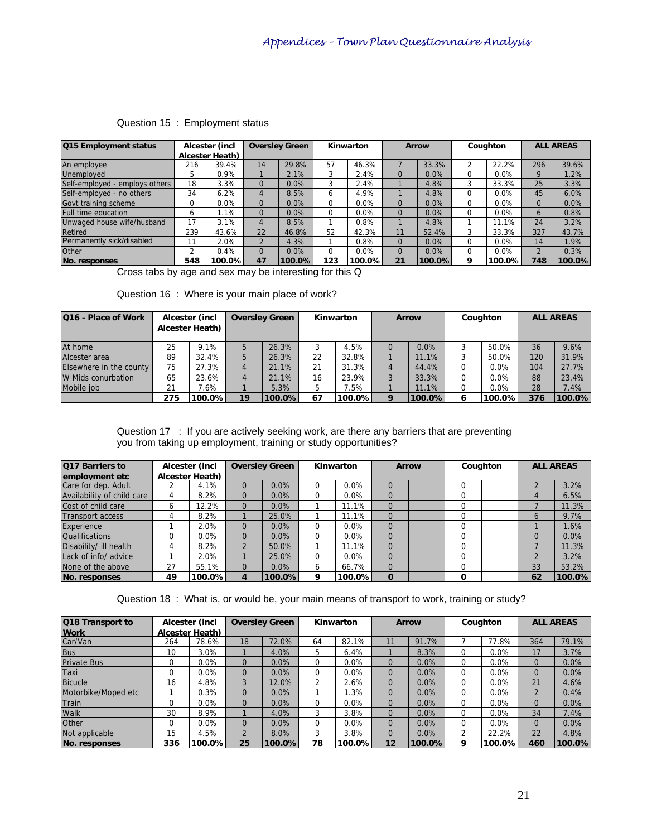| <b>Q15 Employment status</b>   |     | Alcester (incl  |                | <b>Oversley Green</b> |          | Kinwarton |          | <b>Arrow</b> |          | Coughton |              | <b>ALL AREAS</b> |
|--------------------------------|-----|-----------------|----------------|-----------------------|----------|-----------|----------|--------------|----------|----------|--------------|------------------|
|                                |     | Alcester Heath) |                |                       |          |           |          |              |          |          |              |                  |
| An employee                    | 216 | 39.4%           | 14             | 29.8%                 | 57       | 46.3%     |          | 33.3%        |          | 22.2%    | 296          | 39.6%            |
| Unemployed                     | 5   | 0.9%            |                | 2.1%                  | 3        | 2.4%      | $\Omega$ | 0.0%         | 0        | 0.0%     |              | 1.2%             |
| Self-employed - employs others | 18  | 3.3%            | $\Omega$       | 0.0%                  | 3        | 2.4%      |          | 4.8%         |          | 33.3%    | 25           | 3.3%             |
| Self-employed - no others      | 34  | 6.2%            | 4              | 8.5%                  | 6        | 4.9%      |          | 4.8%         |          | 0.0%     | 45           | 6.0%             |
| Govt training scheme           | 0   | $0.0\%$         | $\Omega$       | 0.0%                  | 0        | 0.0%      | 0        | 0.0%         | $\Omega$ | 0.0%     | 0            | 0.0%             |
| <b>Full time education</b>     | ь   | .1%             | $\Omega$       | 0.0%                  | 0        | 0.0%      | $\Omega$ | 0.0%         | O        | 0.0%     | <sub>0</sub> | 0.8%             |
| Unwaged house wife/husband     | 17  | 3.1%            | 4              | 8.5%                  |          | 0.8%      |          | 4.8%         |          | 11.1%    | 24           | 3.2%             |
| Retired                        | 239 | 43.6%           | 22             | 46.8%                 | 52       | 42.3%     | 11       | 52.4%        | 3        | 33.3%    | 327          | 43.7%            |
| Permanently sick/disabled      | 11  | 2.0%            | $\overline{2}$ | 4.3%                  |          | 0.8%      | 0        | 0.0%         | 0        | 0.0%     | 14           | 1.9%             |
| Other                          | ∍   | 0.4%            | $\Omega$       | $0.0\%$               | 0        | $0.0\%$   | 0        | 0.0%         | $\Omega$ | 0.0%     |              | 0.3%             |
| No. responses<br>$\sim$        | 548 | 100.0%          | 47             | 100.0%                | 123<br>. | 100.0%    | 21       | 100.0%       | Q        | 100.0%l  | 748          | 100.0%           |

### Question 15 : Employment status

Cross tabs by age and sex may be interesting for this Q

| <b>Q16 - Place of Work</b> |     | Alcester (incl<br>Alcester Heath) |    | <b>Oversley Green</b> |    | Kinwarton |          | <b>Arrow</b> | Coughton |     | <b>ALL AREAS</b> |
|----------------------------|-----|-----------------------------------|----|-----------------------|----|-----------|----------|--------------|----------|-----|------------------|
| At home                    | 25  | 9.1%                              |    | 26.3%                 | 3  | 4.5%      | 0        | $0.0\%$      | 50.0%    | 36  | 9.6%             |
| Alcester area              | 89  | 32.4%                             | 5  | 26.3%                 | 22 | 32.8%     |          | 11.1%        | 50.0%    | 120 | 31.9%            |
| Elsewhere in the county    | 75  | 27.3%                             |    | 21.1%                 | 21 | 31.3%     |          | 44.4%        | 0.0%     | 104 | 27.7%            |
| W Mids conurbation         | 65  | 23.6%                             |    | 21.1%                 | 16 | 23.9%     |          | 33.3%        | 0.0%     | 88  | 23.4%            |
| Mobile iob                 | 21  | 7.6%                              |    | 5.3%                  | 5  | 7.5%      |          | 11.1%        | $0.0\%$  | 28  | 7.4%             |
|                            | 275 | 100.0%                            | 19 | 100.0%                | 67 | 100.0%    | $\Omega$ | 100.0%       | 100.0%   | 376 | 100.0%           |

Question 17 : If you are actively seeking work, are there any barriers that are preventing you from taking up employment, training or study opportunities?

| Q17 Barriers to            |    | Alcester (incl  |              | <b>Oversley Green</b> |   | Kinwarton |             | <b>Arrow</b> |          | Coughton |          | <b>ALL AREAS</b> |
|----------------------------|----|-----------------|--------------|-----------------------|---|-----------|-------------|--------------|----------|----------|----------|------------------|
| employment etc             |    | Alcester Heath) |              |                       |   |           |             |              |          |          |          |                  |
| Care for dep. Adult        |    | 4.1%            | $\Omega$     | 0.0%                  | 0 | 0.0%      | 0           |              |          |          |          | 3.2%             |
| Availability of child care | 4  | 8.2%            | $\Omega$     | 0.0%                  | 0 | 0.0%      | $\Omega$    |              |          |          | 4        | 6.5%             |
| Cost of child care         | b  | 12.2%           | $\Omega$     | 0.0%                  |   | 11.1%     | $\Omega$    |              |          |          |          | 11.3%            |
| Transport access           | 4  | 8.2%            |              | 25.0%                 |   | 11.1%     | $\Omega$    |              | $\Omega$ |          | $\sigma$ | 9.7%             |
| Experience                 |    | 2.0%            | $\Omega$     | 0.0%                  | 0 | 0.0%      | $\Omega$    |              |          |          |          | .6%              |
| <b>Qualifications</b>      | 0  | 0.0%            | $\Omega$     | 0.0%                  | 0 | 0.0%      | $\Omega$    |              |          |          | $\Omega$ | 0.0%             |
| Disability/ ill health     | 4  | 8.2%            |              | 50.0%                 |   | 11.1%     | $\Omega$    |              |          |          |          | 11.3%            |
| Lack of info/ advice       |    | 2.0%            |              | 25.0%                 | 0 | $0.0\%$   | $\Omega$    |              |          |          |          | 3.2%             |
| None of the above          | 27 | 55.1%           |              | 0.0%                  | 6 | 66.7%     | $\Omega$    |              |          |          | 33       | 53.2%            |
| No. responses              | 49 | 100.0%I         | $\mathbf{A}$ | 100.0%                | 9 | 100.0%    | $\mathbf 0$ |              | 0        |          | 62       | 100.0%           |

Question 18 : What is, or would be, your main means of transport to work, training or study?

| Q18 Transport to    |          | Alcester (incl  |    | <b>Oversley Green</b> |          | Kinwarton |          | <b>Arrow</b> |   | Coughton |     | <b>ALL AREAS</b> |
|---------------------|----------|-----------------|----|-----------------------|----------|-----------|----------|--------------|---|----------|-----|------------------|
| <b>Work</b>         |          | Alcester Heath) |    |                       |          |           |          |              |   |          |     |                  |
| Car/Van             | 264      | 78.6%           | 18 | 72.0%                 | 64       | 82.1%     |          | 91.7%        |   | 77.8%    | 364 | 79.1%            |
| <b>Bus</b>          | 10       | 3.0%            |    | 4.0%                  | 5        | 6.4%      |          | 8.3%         |   | 0.0%     |     | 3.7%             |
| <b>Private Bus</b>  | $\Omega$ | $0.0\%$         | 0  | 0.0%                  | 0        | 0.0%      | $\Omega$ | 0.0%         |   | $0.0\%$  |     | 0.0%             |
| Taxi                | $\Omega$ | $0.0\%$         | 0  | 0.0%                  | $\Omega$ | 0.0%      | $\Omega$ | 0.0%         |   | 0.0%     |     | 0.0%             |
| Bicucle             | 16       | 4.8%            |    | 12.0%                 | っ        | 2.6%      | $\Omega$ | 0.0%         |   | $0.0\%$  | 21  | 4.6%             |
| Motorbike/Moped etc |          | 0.3%            | 0  | $0.0\%$               |          | .3%       | $\Omega$ | 0.0%         |   | 0.0%     |     | 0.4%             |
| Train               | 0        | $0.0\%$         | 0  | 0.0%                  | 0        | 0.0%      | $\Omega$ | 0.0%         |   | $0.0\%$  |     | 0.0%             |
| Walk                | 30       | 8.9%            |    | 4.0%                  | 3        | 3.8%      | $\Omega$ | 0.0%         |   | $0.0\%$  | 34  | 7.4%             |
| Other               | $\Omega$ | 0.0%            | 0  | 0.0%                  | 0        | 0.0%      | $\Omega$ | 0.0%         |   | $0.0\%$  | 0   | 0.0%             |
| Not applicable      | 15       | 4.5%            | C  | 8.0%                  | 3        | 3.8%      | $\Omega$ | 0.0%         |   | 22.2%    | 22  | 4.8%             |
| No. responses       | 336      | 100.0%l         | 25 | 100.0%                | 78       | 100.0%    | 12       | 100.0%       | Q | 100.0%   | 460 | 100.0%           |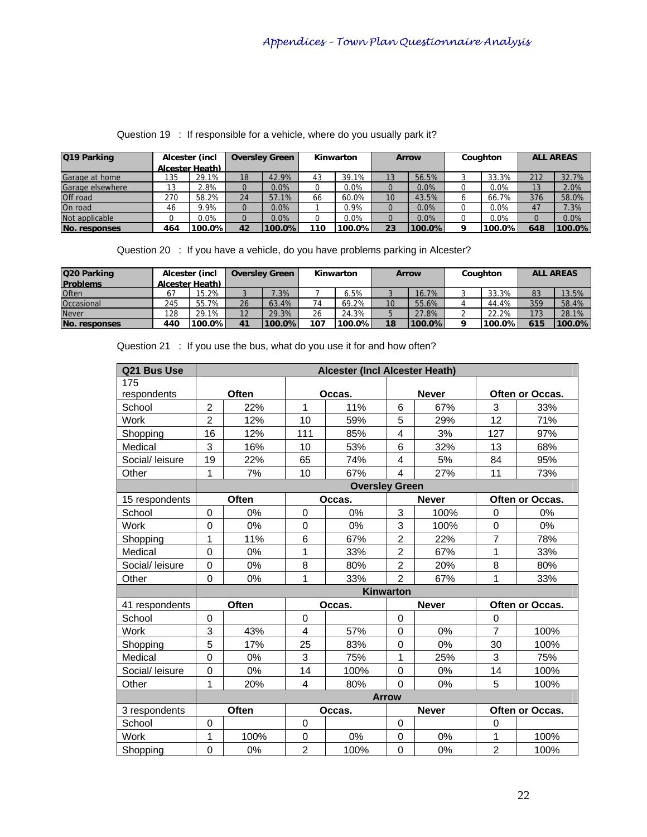| Q19 Parking             |     | Alcester (incl  |    | <b>Oversley Green</b> |     | Kinwarton |    | <b>Arrow</b> |          | Coughton |     | <b>ALL AREAS</b> |
|-------------------------|-----|-----------------|----|-----------------------|-----|-----------|----|--------------|----------|----------|-----|------------------|
|                         |     | Alcester Heath) |    |                       |     |           |    |              |          |          |     |                  |
| Garage at home          | 135 | 29.1%           | 18 | 42.9%                 | 43  | 39.1%     | 13 | 56.5%        |          | 33.3%    | 212 | 32.7%            |
| <b>Garage elsewhere</b> |     | $2.8\%$         |    | 0.0%                  |     | 0.0%      |    | $0.0\%$      |          | $0.0\%$  | 13  | 2.0%             |
| <b>Off road</b>         | 270 | 58.2%           | 24 | 57.1%                 | 66  | 60.0%     | 10 | 43.5%        |          | 66.7%    | 376 | 58.0%            |
| On road                 | 46  | 9.9%            |    | 0.0%                  |     | 0.9%      | 0  | $0.0\%$      |          | $0.0\%$  | 47  | 7.3%             |
| Not applicable          |     | 0.0%            |    | 0.0%                  |     | 0.0%      |    | $0.0\%$      |          | $0.0\%$  |     | 0.0%             |
| <b>No. responses</b>    | 464 | 100.0%          | 42 | 100.0%                | 110 | 100.0%    | 23 | 100.0%       | $\Omega$ | 100.0%I  | 648 | 100.0%           |

Question 19 : If responsible for a vehicle, where do you usually park it?

Question 20 : If you have a vehicle, do you have problems parking in Alcester?

| Q20 Parking     |     | Alcester (incl  |    | <b>Oversley Green</b> | Kinwarton |           | <b>Arrow</b> |        | Coughton |           | <b>ALL AREAS</b> |        |
|-----------------|-----|-----------------|----|-----------------------|-----------|-----------|--------------|--------|----------|-----------|------------------|--------|
| <b>Problems</b> |     | Alcester Heath) |    |                       |           |           |              |        |          |           |                  |        |
| Often           |     | $15.2\%$        |    | 7.3%                  |           | 6.5%      | J            | 16.7%  |          | 33.3%     | 83               | 13.5%  |
| Occasional      | 245 | 55.7%           | 26 | 63.4%                 | 74        | 69.2%     | 10           | 55.6%  |          | 44.4%     | 359              | 58.4%  |
| <b>Never</b>    | 128 | 29.1%           | 12 | 29.3%                 | 26        | 24.3%     |              | 27.8%  |          | 22.2%     | 173              | 28.1%  |
| No. responses   | 440 | $100.0\%$       | 41 | 100.0%                | 107       | $100.0\%$ | 18           | 100.0% |          | $100.0\%$ | 615              | 100.0% |

| Q21 Bus Use     | Alcester (Incl Alcester Heath) |              |                |                       |                         |              |                |                        |
|-----------------|--------------------------------|--------------|----------------|-----------------------|-------------------------|--------------|----------------|------------------------|
| 175             |                                |              |                |                       |                         |              |                |                        |
| respondents     |                                | <b>Often</b> |                | Occas.                |                         | <b>Never</b> |                | <b>Often or Occas.</b> |
| School          | $\overline{2}$                 | 22%          | $\mathbf{1}$   | 11%                   | 6                       | 67%          | 3              | 33%                    |
| Work            | $\overline{2}$                 | 12%          | 10             | 59%                   | 5                       | 29%          | 12             | 71%                    |
| Shopping        | 16                             | 12%          | 111            | 85%                   | $\overline{4}$          | 3%           | 127            | 97%                    |
| Medical         | 3                              | 16%          | 10             | 53%                   | $\,6$                   | 32%          | 13             | 68%                    |
| Social/ leisure | 19                             | 22%          | 65             | 74%                   | $\overline{\mathbf{4}}$ | 5%           | 84             | 95%                    |
| Other           | 1                              | 7%           | 10             | 67%                   | 4                       | 27%          | 11             | 73%                    |
|                 |                                |              |                | <b>Oversley Green</b> |                         |              |                |                        |
| 15 respondents  |                                | Often        |                | Occas.                |                         | <b>Never</b> |                | <b>Often or Occas.</b> |
| School          | $\overline{0}$                 | 0%           | $\Omega$       | 0%                    | 3                       | 100%         | $\mathbf 0$    | 0%                     |
| <b>Work</b>     | $\mathbf 0$                    | 0%           | 0              | 0%                    | 3                       | 100%         | $\pmb{0}$      | 0%                     |
| Shopping        | 1                              | 11%          | 6              | 67%                   | $\overline{2}$          | 22%          | $\overline{7}$ | 78%                    |
| Medical         | $\mathbf 0$                    | 0%           | 1              | 33%                   | $\overline{c}$          | 67%          | 1              | 33%                    |
| Social/ leisure | 0                              | 0%           | 8              | 80%                   | $\overline{2}$          | 20%          | 8              | 80%                    |
| Other           | $\overline{0}$                 | 0%           | 1              | 33%                   | $\overline{2}$          | 67%          | 1              | 33%                    |
|                 |                                |              |                |                       | <b>Kinwarton</b>        |              |                |                        |
| 41 respondents  |                                | Often        |                | Occas.                |                         | <b>Never</b> |                | Often or Occas.        |
| School          | $\Omega$                       |              | $\Omega$       |                       | $\Omega$                |              | $\Omega$       |                        |
| Work            | 3                              | 43%          | 4              | 57%                   | $\mathbf 0$             | 0%           | $\overline{7}$ | 100%                   |
| Shopping        | $\overline{5}$                 | 17%          | 25             | 83%                   | $\mathbf 0$             | 0%           | 30             | 100%                   |
| Medical         | $\mathbf 0$                    | 0%           | 3              | 75%                   | 1                       | 25%          | 3              | 75%                    |
| Social/ leisure | 0                              | 0%           | 14             | 100%                  | $\mathbf 0$             | 0%           | 14             | 100%                   |
| Other           | 1                              | 20%          | 4              | 80%                   | $\Omega$                | 0%           | 5              | 100%                   |
|                 |                                |              |                |                       | <b>Arrow</b>            |              |                |                        |
| 3 respondents   |                                | Often        |                | Occas.                |                         | <b>Never</b> |                | Often or Occas.        |
| School          | 0                              |              | 0              |                       | $\mathbf 0$             |              | $\mathbf 0$    |                        |
| Work            | 1                              | 100%         | $\mathbf 0$    | 0%                    | $\mathbf 0$             | 0%           | 1              | 100%                   |
| Shopping        | $\mathbf 0$                    | 0%           | $\overline{2}$ | 100%                  | $\mathbf 0$             | 0%           | $\overline{2}$ | 100%                   |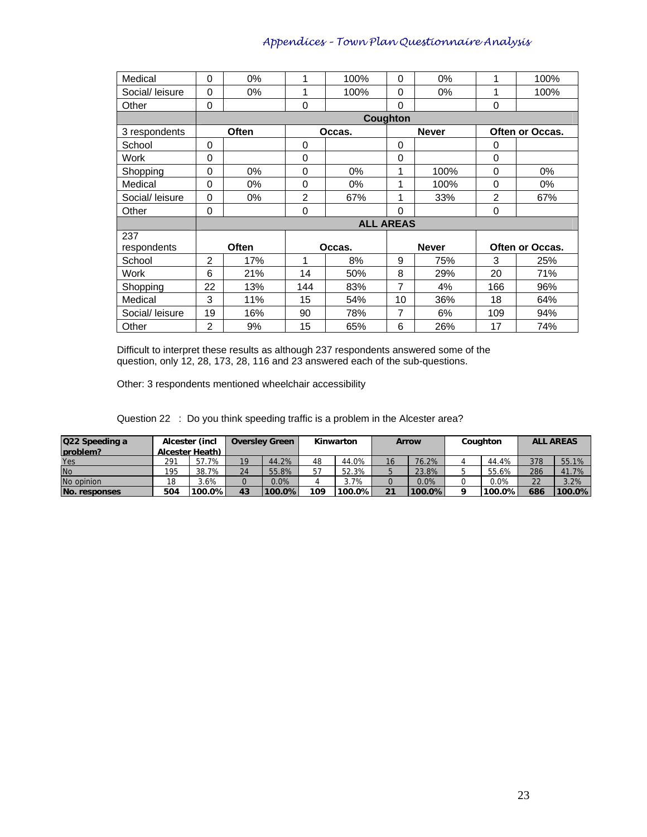| Medical         | $\Omega$       | $0\%$        | 1              | 100%             | 0        | $0\%$        | 1              | 100%            |
|-----------------|----------------|--------------|----------------|------------------|----------|--------------|----------------|-----------------|
| Social/ leisure | $\Omega$       | 0%           | 1              | 100%             | 0        | $0\%$        | 1              | 100%            |
| Other           | 0              |              | 0              |                  | 0        |              | 0              |                 |
|                 |                |              |                |                  | Coughton |              |                |                 |
| 3 respondents   |                | <b>Often</b> |                | Occas.           |          | <b>Never</b> |                | Often or Occas. |
| School          | 0              |              | 0              |                  | 0        |              | 0              |                 |
| Work            | $\Omega$       |              | 0              |                  | 0        |              | $\Omega$       |                 |
| Shopping        | $\Omega$       | $0\%$        | 0              | $0\%$            | 1        | 100%         | 0              | $0\%$           |
| Medical         | 0              | $0\%$        | 0              | $0\%$            | 1        | 100%         | $\mathbf 0$    | $0\%$           |
| Social/ leisure | 0              | 0%           | $\overline{2}$ | 67%              | 1        | 33%          | $\overline{2}$ | 67%             |
| Other           | 0              |              | 0              |                  | 0        |              | 0              |                 |
|                 |                |              |                | <b>ALL AREAS</b> |          |              |                |                 |
| 237             |                |              |                |                  |          |              |                |                 |
| respondents     |                | <b>Often</b> |                | Occas.           |          | <b>Never</b> |                | Often or Occas. |
| School          | $\overline{2}$ | 17%          | 1              | 8%               | 9        | 75%          | 3              | 25%             |
| Work            | 6              | 21%          | 14             | 50%              | 8        | 29%          | 20             | 71%             |
| Shopping        | 22             | 13%          | 144            | 83%              | 7        | 4%           | 166            | 96%             |
| Medical         | 3              | 11%          | 15             | 54%              | 10       | 36%          | 18             | 64%             |
| Social/ leisure | 19             | 16%          | 90             | 78%              | 7        | 6%           | 109            | 94%             |
| Other           | 2              | 9%           | 15             | 65%              | 6        | 26%          | 17             | 74%             |

Difficult to interpret these results as although 237 respondents answered some of the question, only 12, 28, 173, 28, 116 and 23 answered each of the sub-questions.

Other: 3 respondents mentioned wheelchair accessibility

Question 22 : Do you think speeding traffic is a problem in the Alcester area?

| Q22 Speeding a | Alcester (incl<br><b>Oversley Green</b> |                 |    | Kinwarton |     | <b>Arrow</b> |    | Coughton |  | <b>ALL AREAS</b> |     |        |
|----------------|-----------------------------------------|-----------------|----|-----------|-----|--------------|----|----------|--|------------------|-----|--------|
| Iproblem?      |                                         | Alcester Heath) |    |           |     |              |    |          |  |                  |     |        |
| Yes            | 291                                     | 57.7%           | 19 | 44.2%     | 48  | 44.0%        | 16 | 76.2%    |  | 44.4%            | 378 | 55.1%  |
| <b>No</b>      | 195                                     | 38.7%           | 24 | 55.8%     | 57  | 52.3%        |    | 23.8%    |  | 55.6%            | 286 | 41.7%  |
| No opinion     | 18                                      | 3.6%            |    | 0.0%      |     | 3.7%         |    | 0.0%     |  | $0.0\%$          | 22  | 3.2%   |
| No. responses  | 504                                     | $100.0\%$       | 43 | 100.0%    | 109 | $100.0\%$    | 21 | 100.0%   |  | 100.0%           | 686 | 100.0% |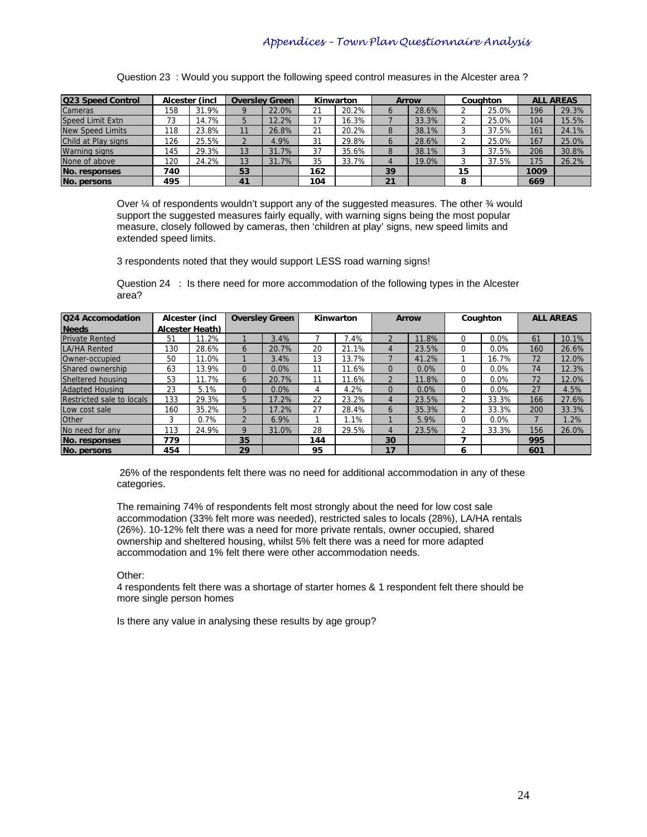| Q23 Speed Control       |     | Alcester (incl |    | <b>Oversley Green</b> |     | Kinwarton |          | <b>Arrow</b> |    | Coughton |      | <b>ALL AREAS</b> |
|-------------------------|-----|----------------|----|-----------------------|-----|-----------|----------|--------------|----|----------|------|------------------|
| Cameras                 | 158 | 31.9%          |    | 22.0%                 | 21  | 20.2%     | $\sigma$ | 28.6%        |    | 25.0%    | 196  | 29.3%            |
| Speed Limit Extn        | 73  | 14.7%          |    | 12.2%                 | 17  | 16.3%     |          | 33.3%        |    | 25.0%    | 104  | 15.5%            |
| <b>New Speed Limits</b> | 118 | 23.8%          |    | 26.8%                 | 21  | 20.2%     | 8        | 38.1%        |    | 37.5%    | 161  | 24.1%            |
| Child at Play signs     | 126 | 25.5%          |    | 4.9%                  | 31  | 29.8%     | $\circ$  | 28.6%        |    | 25.0%    | 167  | 25.0%            |
| <b>Warning signs</b>    | 145 | 29.3%          | 13 | 31.7%                 | 37  | 35.6%     | 8        | 38.1%        |    | 37.5%    | 206  | 30.8%            |
| None of above           | 120 | 24.2%          | 13 | 31.7%                 | 35  | 33.7%     | 4        | 19.0%        |    | 37.5%    | 175  | 26.2%            |
| No. responses           | 740 |                | 53 |                       | 162 |           | 39       |              | 15 |          | 1009 |                  |
| No. persons             | 495 |                | 41 |                       | 104 |           | 21       |              | 8  |          | 669  |                  |

Question 23 : Would you support the following speed control measures in the Alcester area ?

Over ¼ of respondents wouldn't support any of the suggested measures. The other ¾ would support the suggested measures fairly equally, with warning signs being the most popular measure, closely followed by cameras, then 'children at play' signs, new speed limits and extended speed limits.

3 respondents noted that they would support LESS road warning signs!

Question 24 : Is there need for more accommodation of the following types in the Alcester area?

| Q24 Accomodation          |     | Alcester (incl         |    | <b>Oversley Green</b> |     | Kinwarton | <b>Arrow</b>   |       | Coughton |         | <b>ALL AREAS</b> |       |
|---------------------------|-----|------------------------|----|-----------------------|-----|-----------|----------------|-------|----------|---------|------------------|-------|
| <b>Needs</b>              |     | <b>Alcester Heath)</b> |    |                       |     |           |                |       |          |         |                  |       |
| <b>Private Rented</b>     | 51  | 1.2%                   |    | 3.4%                  |     | '.4%      | $\mathfrak{p}$ | 11.8% |          | 0.0%    | 61               | 10.1% |
| <b>LA/HA Rented</b>       | 130 | 28.6%                  | Ō  | 20.7%                 | 20  | 21.1%     | 4              | 23.5% |          | $0.0\%$ | 160              | 26.6% |
| Owner-occupied            | 50  | 11.0%                  |    | 3.4%                  | 13  | 13.7%     |                | 41.2% |          | 16.7%   | 72               | 12.0% |
| Shared ownership          | 63  | 13.9%                  | O  | 0.0%                  | 11  | 11.6%     | $\Omega$       | 0.0%  |          | $0.0\%$ | 74               | 12.3% |
| Sheltered housing         | 53  | 1.7%                   | n  | 20.7%                 | 11  | 11.6%     | $\mathfrak{p}$ | 11.8% |          | $0.0\%$ | 72               | 12.0% |
| <b>Adapted Housing</b>    | 23  | 5.1%                   | ი  | 0.0%                  | 4   | 4.2%      | $\Omega$       | 0.0%  |          | $0.0\%$ | 27               | 4.5%  |
| Restricted sale to locals | 133 | 29.3%                  | 5  | 17.2%                 | 22  | 23.2%     | 4              | 23.5% |          | 33.3%   | 166              | 27.6% |
| Low cost sale             | 160 | 35.2%                  | 5  | 17.2%                 | 27  | 28.4%     | 6              | 35.3% |          | 33.3%   | 200              | 33.3% |
| Other                     | 3   | 0.7%                   |    | 6.9%                  |     | 1.1%      |                | 5.9%  | $\Omega$ | $0.0\%$ |                  | 1.2%  |
| No need for any           | 113 | 24.9%                  | Q  | 31.0%                 | 28  | 29.5%     | $\overline{4}$ | 23.5% |          | 33.3%   | 156              | 26.0% |
| No. responses             | 779 |                        | 35 |                       | 144 |           | 30             |       |          |         | 995              |       |
| No. persons               | 454 |                        | 29 |                       | 95  |           | 17             |       | ь        |         | 601              |       |

 26% of the respondents felt there was no need for additional accommodation in any of these categories.

The remaining 74% of respondents felt most strongly about the need for low cost sale accommodation (33% felt more was needed), restricted sales to locals (28%), LA/HA rentals (26%). 10-12% felt there was a need for more private rentals, owner occupied, shared ownership and sheltered housing, whilst 5% felt there was a need for more adapted accommodation and 1% felt there were other accommodation needs.

Other:

4 respondents felt there was a shortage of starter homes & 1 respondent felt there should be more single person homes

Is there any value in analysing these results by age group?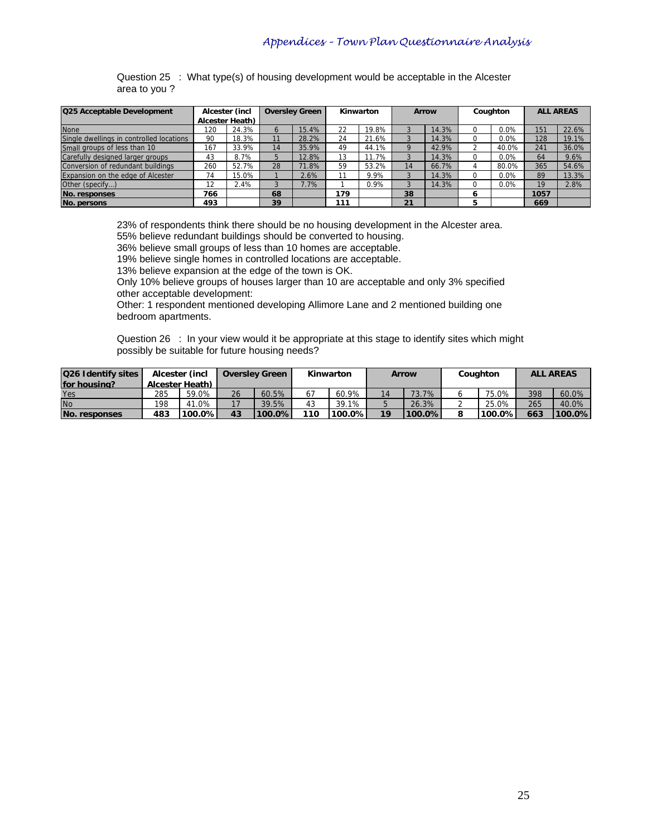Question 25 : What type(s) of housing development would be acceptable in the Alcester area to you ?

| <b>Q25 Acceptable Development</b>        |     | Alcester (incl  |                | <b>Oversley Green</b> |     | Kinwarton |    | <b>Arrow</b> |   | Coughton | <b>ALL AREAS</b> |       |
|------------------------------------------|-----|-----------------|----------------|-----------------------|-----|-----------|----|--------------|---|----------|------------------|-------|
|                                          |     | Alcester Heath) |                |                       |     |           |    |              |   |          |                  |       |
| <b>None</b>                              | 120 | 24.3%           | $\sigma$       | 15.4%                 | 22  | 19.8%     |    | 14.3%        |   | 0.0%     | 151              | 22.6% |
| Single dwellings in controlled locations | 90  | 18.3%           | 11             | 28.2%                 | 24  | 21.6%     |    | 14.3%        |   | 0.0%     | 128              | 19.1% |
| Small groups of less than 10             | 167 | 33.9%           | 14             | 35.9%                 | 49  | 44.1%     |    | 42.9%        |   | 40.0%    | 241              | 36.0% |
| Carefully designed larger groups         | 43  | 8.7%            | 5              | 12.8%                 | 13  | 11.7%     |    | 14.3%        |   | 0.0%     | 64               | 9.6%  |
| Conversion of redundant buildings        | 260 | 52.7%           | 28             | 71.8%                 | 59  | 53.2%     | 14 | 66.7%        |   | 80.0%    | 365              | 54.6% |
| Expansion on the edge of Alcester        | 74  | 15.0%           |                | 2.6%                  |     | 9.9%      |    | 14.3%        | 0 | 0.0%     | 89               | 13.3% |
| Other (specify)                          | 12  | 2.4%            | $\overline{3}$ | $1.7\%$               |     | 0.9%      |    | 14.3%        |   | 0.0%     | 19               | 2.8%  |
| No. responses                            | 766 |                 | 68             |                       | 179 |           | 38 |              | 6 |          | 1057             |       |
| No. persons                              | 493 |                 | 39             |                       | 111 |           | 21 |              | 5 |          | 669              |       |

23% of respondents think there should be no housing development in the Alcester area.

55% believe redundant buildings should be converted to housing.

36% believe small groups of less than 10 homes are acceptable.

19% believe single homes in controlled locations are acceptable.

13% believe expansion at the edge of the town is OK.

Only 10% believe groups of houses larger than 10 are acceptable and only 3% specified other acceptable development:

Other: 1 respondent mentioned developing Allimore Lane and 2 mentioned building one bedroom apartments.

Question 26 : In your view would it be appropriate at this stage to identify sites which might possibly be suitable for future housing needs?

| Q26 Identify sites | Alcester (incl. |           |    | <b>Oversley Green</b> |     | Kinwarton |                 | <b>Arrow</b> |  | Couahton  |     | <b>ALL AREAS</b> |
|--------------------|-----------------|-----------|----|-----------------------|-----|-----------|-----------------|--------------|--|-----------|-----|------------------|
| for housing?       | Alcester Heath) |           |    |                       |     |           |                 |              |  |           |     |                  |
| Yes                | 285             | 59.0%     | 26 | 60.5%                 |     | 60.9%     | 14              | $73.7\%$     |  | 75.0%     | 398 | 60.0%            |
| <b>No</b>          | 198             | 41.0%     | 17 | 39.5%                 | 43  | 39.1%     |                 | 26.3%        |  | 25.0%     | 265 | 40.0%            |
| No. responses      | 483             | $100.0\%$ | 43 | $100.0\%$             | 110 | $100.0\%$ | 19 <sup>°</sup> | $'100.0\%$   |  | $100.0\%$ | 663 | 100.0%           |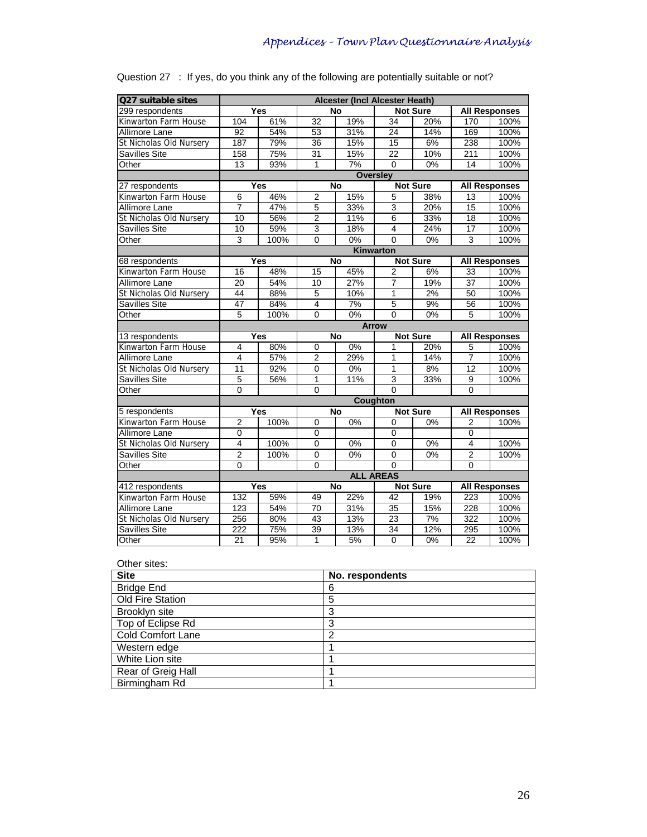| Q27 suitable sites      |                         |            |                | <b>Alcester (Incl Alcester Heath)</b> |                 |                 |                 |                      |
|-------------------------|-------------------------|------------|----------------|---------------------------------------|-----------------|-----------------|-----------------|----------------------|
| 299 respondents         |                         | Yes        |                | No                                    |                 | <b>Not Sure</b> |                 | <b>All Responses</b> |
| Kinwarton Farm House    | 104                     | 61%        | 32             | 19%                                   | 34              | 20%             | 170             | 100%                 |
| Allimore Lane           | 92                      | 54%        | 53             | 31%                                   | 24              | 14%             | 169             | 100%                 |
| St Nicholas Old Nursery | 187                     | 79%        | 36             | 15%                                   | 15              | 6%              | 238             | 100%                 |
| Savilles Site           | 158                     | 75%        | 31             | 15%                                   | $\overline{22}$ | 10%             | 211             | 100%                 |
| Other                   | $\overline{13}$         | 93%        | 1              | 7%                                    | $\Omega$        | $0\%$           | 14              | 100%                 |
|                         |                         |            |                |                                       | <b>Oversley</b> |                 |                 |                      |
| 27 respondents          |                         | Yes        |                | No                                    |                 | <b>Not Sure</b> |                 | <b>All Responses</b> |
| Kinwarton Farm House    | 6                       | 46%        | $\overline{2}$ | 15%                                   | 5               | 38%             | 13              | 100%                 |
| Allimore Lane           | $\overline{7}$          | 47%        | 5              | 33%                                   | $\overline{3}$  | 20%             | 15              | 100%                 |
| St Nicholas Old Nursery | 10                      | 56%        | $\overline{2}$ | 11%                                   | $\overline{6}$  | 33%             | 18              | 100%                 |
| Savilles Site           | 10                      | 59%        | $\overline{3}$ | 18%                                   | $\overline{4}$  | 24%             | 17              | 100%                 |
| Other                   | 3                       | 100%       | $\mathbf 0$    | 0%                                    | $\mathbf 0$     | 0%              | 3               | 100%                 |
|                         |                         |            |                |                                       | Kinwarton       |                 |                 |                      |
| 68 respondents          |                         | <b>Yes</b> |                | <b>No</b>                             |                 | Not Sure        |                 | <b>All Responses</b> |
| Kinwarton Farm House    | 16                      | 48%        | 15             | 45%                                   | $\overline{2}$  | 6%              | 33              | 100%                 |
| Allimore Lane           | 20                      | 54%        | 10             | 27%                                   | 7               | 19%             | $\overline{37}$ | 100%                 |
| St Nicholas Old Nursery | 44                      | 88%        | 5              | 10%                                   | $\mathbf{1}$    | 2%              | 50              | 100%                 |
| Savilles Site           | 47                      | 84%        | $\overline{4}$ | 7%                                    | $\overline{5}$  | 9%              | 56              | 100%                 |
| Other                   | 5                       | 100%       | $\Omega$       | $0\%$                                 | $\Omega$        | $0\%$           | 5               | 100%                 |
|                         |                         |            |                |                                       | <b>Arrow</b>    |                 |                 |                      |
| 13 respondents          |                         | Yes        |                | No                                    |                 | <b>Not Sure</b> |                 | <b>All Responses</b> |
| Kinwarton Farm House    | 4                       | 80%        | 0              | 0%                                    | 1               | 20%             | 5               | 100%                 |
| Allimore Lane           | $\overline{4}$          | 57%        | $\overline{2}$ | 29%                                   | $\mathbf{1}$    | 14%             | $\overline{7}$  | 100%                 |
| St Nicholas Old Nursery | 11                      | 92%        | $\mathbf 0$    | 0%                                    | $\overline{1}$  | 8%              | 12              | 100%                 |
| Savilles Site           | 5                       | 56%        | 1              | 11%                                   | $\overline{3}$  | 33%             | 9               | 100%                 |
| Other                   | $\Omega$                |            | $\Omega$       |                                       | $\Omega$        |                 | 0               |                      |
|                         |                         |            |                |                                       | <b>Coughton</b> |                 |                 |                      |
| 5 respondents           |                         | Yes        |                | No                                    |                 | <b>Not Sure</b> |                 | <b>All Responses</b> |
| Kinwarton Farm House    | $\overline{2}$          | 100%       | $\Omega$       | $0\%$                                 | $\Omega$        | 0%              | $\overline{2}$  | 100%                 |
| Allimore Lane           | 0                       |            | 0              |                                       | 0               |                 | 0               |                      |
| St Nicholas Old Nursery | $\overline{\mathbf{4}}$ | 100%       | $\mathbf 0$    | 0%                                    | $\mathbf 0$     | 0%              | 4               | 100%                 |
| Savilles Site           | $\overline{2}$          | 100%       | $\mathbf 0$    | 0%                                    | $\mathbf 0$     | $0\%$           | $\overline{2}$  | 100%                 |
| Other                   | $\Omega$                |            | $\Omega$       |                                       | $\Omega$        |                 | $\Omega$        |                      |
|                         |                         |            |                | <b>ALL AREAS</b>                      |                 |                 |                 |                      |
| 412 respondents         |                         | Yes        |                | <b>No</b>                             |                 | <b>Not Sure</b> |                 | <b>All Responses</b> |
| Kinwarton Farm House    | 132                     | 59%        | 49             | 22%                                   | $\overline{42}$ | 19%             | 223             | 100%                 |
| Allimore Lane           | 123                     | 54%        | 70             | 31%                                   | 35              | 15%             | 228             | 100%                 |
| St Nicholas Old Nursery | 256                     | 80%        | 43             | 13%                                   | $\overline{23}$ | 7%              | 322             | 100%                 |
| Savilles Site           | 222                     | 75%        | 39             | 13%                                   | 34              | 12%             | 295             | 100%                 |
| Other                   | 21                      | 95%        | $\mathbf{1}$   | 5%                                    | $\overline{0}$  | $0\%$           | 22              | 100%                 |

|  |  |  | Question 27 : If yes, do you think any of the following are potentially suitable or not? |
|--|--|--|------------------------------------------------------------------------------------------|
|  |  |  |                                                                                          |

| Other sites:       |                 |
|--------------------|-----------------|
| <b>Site</b>        | No. respondents |
| <b>Bridge End</b>  | 6               |
| Old Fire Station   | 5               |
| Brooklyn site      | 3               |
| Top of Eclipse Rd  | 3               |
| Cold Comfort Lane  | 2               |
| Western edge       |                 |
| White Lion site    |                 |
| Rear of Greig Hall |                 |
| Birmingham Rd      |                 |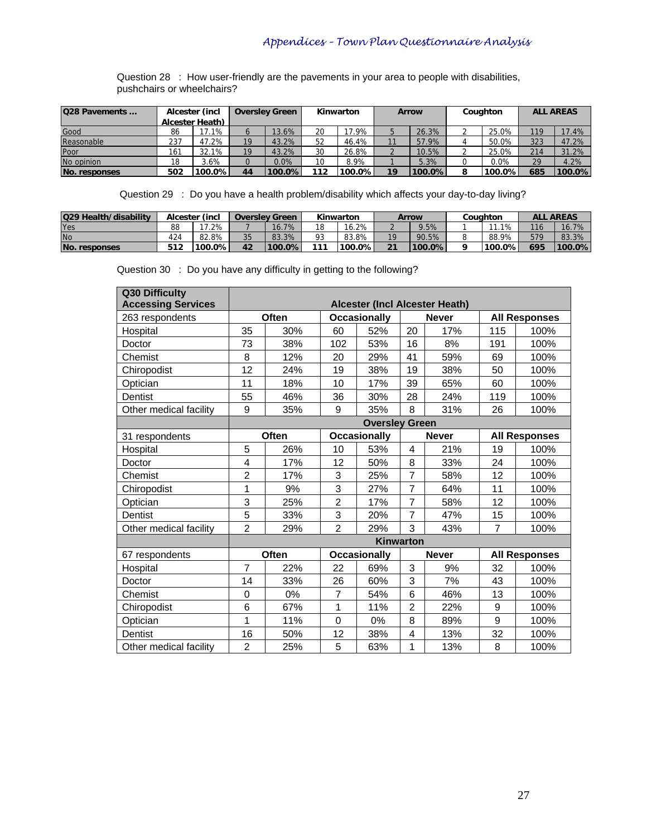Question 28 : How user-friendly are the pavements in your area to people with disabilities, pushchairs or wheelchairs?

| <b>Q28 Pavements </b> | Alcester (incl. |                 | Kinwarton<br><b>Oversley Green</b> |         |     | <b>Arrow</b> |    | Coughton |  | <b>ALL AREAS</b> |     |        |
|-----------------------|-----------------|-----------------|------------------------------------|---------|-----|--------------|----|----------|--|------------------|-----|--------|
|                       |                 | Alcester Heath) |                                    |         |     |              |    |          |  |                  |     |        |
| Good                  | 86              | 17.1%           | b                                  | 13.6%   | 20  | 7.9%         |    | 26.3%    |  | 25.0%            | 119 | 17.4%  |
| Reasonable            | 237             | 47.2%           | 19                                 | 43.2%   | 52  | 46.4%        |    | 57.9%    |  | 50.0%            | 323 | 47.2%  |
| Poor                  | 161             | 32.1%           | 19                                 | 43.2%   | 30  | 26.8%        |    | 10.5%    |  | 25.0%            | 214 | 31.2%  |
| No opinion            | 18              | 3.6%            | 0                                  | $0.0\%$ | 10  | 8.9%         |    | 5.3%     |  | 0.0%             | 29  | 4.2%   |
| No. responses         | 502             | $100.0\%$       | 44                                 | 100.0%  | 112 | $100.0\%$    | 10 | 100.0%   |  | 100.0%I          | 685 | 100.0% |

Question 29 : Do you have a health problem/disability which affects your day-to-day living?

| Q29 Health/disability |     | Alcester (incl | <b>Oversley Green</b> |           | Kinwarton |           | Arrow  |        | Couahton |           | <b>ALL</b><br><b>AREAS</b> |          |
|-----------------------|-----|----------------|-----------------------|-----------|-----------|-----------|--------|--------|----------|-----------|----------------------------|----------|
| Yes                   | 88  | .2%            |                       | 16.7%     | 18        | 6.2%      |        | 9.5%   |          | 1%        | 116                        | $16.7\%$ |
| <b>No</b>             | 424 | 82.8%          | 35                    | 83.3%     | o٦        | 83.8%     |        | 90.5%  |          | 88.9%     | 579                        | 83.3%    |
| No. responses         | 512 | $100.0\%$      | 42                    | $100.0\%$ | 111       | $100.0\%$ | $\sim$ | 100.0% |          | $100.0\%$ | 695                        | 100.0%   |

Question 30 : Do you have any difficulty in getting to the following?

| Q30 Difficulty            |                |       |                |                       |                  |                                |                |                      |
|---------------------------|----------------|-------|----------------|-----------------------|------------------|--------------------------------|----------------|----------------------|
| <b>Accessing Services</b> |                |       |                |                       |                  | Alcester (Incl Alcester Heath) |                |                      |
| 263 respondents           |                | Often |                | <b>Occasionally</b>   |                  | <b>Never</b>                   |                | <b>All Responses</b> |
| Hospital                  | 35             | 30%   | 60             | 52%                   | 20               | 17%                            | 115            | 100%                 |
| Doctor                    | 73             | 38%   | 102            | 53%                   | 16               | 8%                             | 191            | 100%                 |
| Chemist                   | 8              | 12%   | 20             | 29%                   | 41               | 59%                            | 69             | 100%                 |
| Chiropodist               | 12             | 24%   | 19             | 38%                   | 19               | 38%                            | 50             | 100%                 |
| Optician                  | 11             | 18%   | 10             | 17%                   | 39               | 65%                            | 60             | 100%                 |
| Dentist                   | 55             | 46%   | 36             | 30%                   | 28               | 24%                            | 119            | 100%                 |
| Other medical facility    | 9              | 35%   | 9              | 35%                   | 8                | 31%                            | 26             | 100%                 |
|                           |                |       |                | <b>Oversley Green</b> |                  |                                |                |                      |
| 31 respondents            |                | Often |                | <b>Occasionally</b>   |                  | <b>Never</b>                   |                | <b>All Responses</b> |
| Hospital                  | 5              | 26%   | 10             | 53%                   | 4                | 21%                            | 19             | 100%                 |
| Doctor                    | 4              | 17%   | 12             | 50%                   | 8                | 33%                            | 24             | 100%                 |
| Chemist                   | $\overline{2}$ | 17%   | 3              | 25%                   | $\overline{7}$   | 58%                            | 12             | 100%                 |
| Chiropodist               | 1              | 9%    | 3              | 27%                   | $\overline{7}$   | 64%                            | 11             | 100%                 |
| Optician                  | 3              | 25%   | $\overline{2}$ | 17%                   | $\overline{7}$   | 58%                            | 12             | 100%                 |
| Dentist                   | 5              | 33%   | 3              | 20%                   | $\overline{7}$   | 47%                            | 15             | 100%                 |
| Other medical facility    | $\overline{2}$ | 29%   | $\overline{2}$ | 29%                   | 3                | 43%                            | $\overline{7}$ | 100%                 |
|                           |                |       |                |                       | <b>Kinwarton</b> |                                |                |                      |
| 67 respondents            |                | Often |                | <b>Occasionally</b>   |                  | <b>Never</b>                   |                | <b>All Responses</b> |
| Hospital                  | $\overline{7}$ | 22%   | 22             | 69%                   | 3                | 9%                             | 32             | 100%                 |
| Doctor                    | 14             | 33%   | 26             | 60%                   | 3                | 7%                             | 43             | 100%                 |
| Chemist                   | 0              | 0%    | $\overline{7}$ | 54%                   | 6                | 46%                            | 13             | 100%                 |
| Chiropodist               | 6              | 67%   | 1              | 11%                   | $\overline{2}$   | 22%                            | 9              | 100%                 |
| Optician                  | 1              | 11%   | $\Omega$       | 0%                    | 8                | 89%                            | 9              | 100%                 |
| Dentist                   | 16             | 50%   | 12             | 38%                   | 4                | 13%                            | 32             | 100%                 |
| Other medical facility    | $\overline{2}$ | 25%   | 5              | 63%                   | 1                | 13%                            | 8              | 100%                 |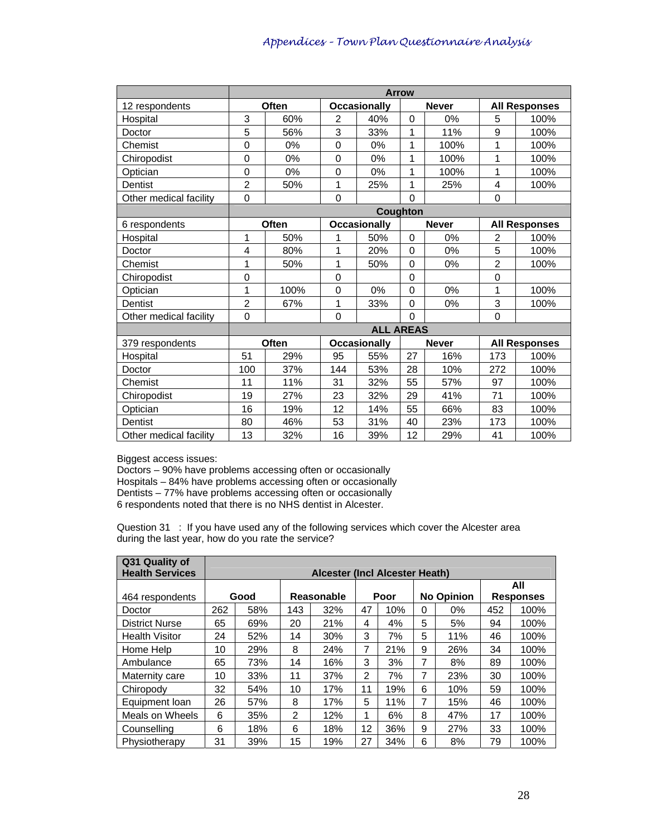|                        | <b>Arrow</b>   |       |             |                     |                 |              |                  |                      |  |
|------------------------|----------------|-------|-------------|---------------------|-----------------|--------------|------------------|----------------------|--|
| 12 respondents         |                | Often |             | <b>Occasionally</b> |                 | <b>Never</b> |                  | <b>All Responses</b> |  |
| Hospital               | 3              | 60%   | 2           | 40%                 | $\Omega$        | 0%           | 5                | 100%                 |  |
| Doctor                 | 5              | 56%   | 3           | 33%                 | 1               | 11%          | $\boldsymbol{9}$ | 100%                 |  |
| Chemist                | 0              | 0%    | $\mathbf 0$ | 0%                  | 1               | 100%         | 1                | 100%                 |  |
| Chiropodist            | 0              | 0%    | $\mathbf 0$ | 0%                  | 1               | 100%         | 1                | 100%                 |  |
| Optician               | $\overline{0}$ | 0%    | $\mathbf 0$ | 0%                  | 1               | 100%         | 1                | 100%                 |  |
| Dentist                | $\overline{2}$ | 50%   | 1           | 25%                 | 1               | 25%          | $\overline{4}$   | 100%                 |  |
| Other medical facility | $\mathbf 0$    |       | $\mathbf 0$ |                     | $\overline{0}$  |              | $\mathbf 0$      |                      |  |
|                        |                |       |             |                     | <b>Coughton</b> |              |                  |                      |  |
| 6 respondents          |                | Often |             | <b>Occasionally</b> |                 | <b>Never</b> |                  | <b>All Responses</b> |  |
| Hospital               | 1              | 50%   | 1           | 50%                 | $\mathbf 0$     | 0%           | $\overline{2}$   | 100%                 |  |
| Doctor                 | 4              | 80%   | 1           | 20%                 | $\Omega$        | 0%           | 5                | 100%                 |  |
| Chemist                | 1              | 50%   | 1           | 50%                 | $\Omega$        | 0%           | $\overline{2}$   | 100%                 |  |
| Chiropodist            | 0              |       | $\mathbf 0$ |                     | 0               |              | $\mathbf 0$      |                      |  |
| Optician               | 1              | 100%  | $\mathbf 0$ | 0%                  | $\Omega$        | 0%           | $\mathbf{1}$     | 100%                 |  |
| Dentist                | $\overline{2}$ | 67%   | 1           | 33%                 | 0               | 0%           | 3                | 100%                 |  |
| Other medical facility | $\mathbf 0$    |       | $\mathbf 0$ |                     | $\Omega$        |              | $\Omega$         |                      |  |
|                        |                |       |             | <b>ALL AREAS</b>    |                 |              |                  |                      |  |
| 379 respondents        |                | Often |             | <b>Occasionally</b> |                 | <b>Never</b> |                  | <b>All Responses</b> |  |
| Hospital               | 51             | 29%   | 95          | 55%                 | 27              | 16%          | 173              | 100%                 |  |
| Doctor                 | 100            | 37%   | 144         | 53%                 | 28              | 10%          | 272              | 100%                 |  |
| Chemist                | 11             | 11%   | 31          | 32%                 | 55              | 57%          | 97               | 100%                 |  |
| Chiropodist            | 19             | 27%   | 23          | 32%                 | 29              | 41%          | 71               | 100%                 |  |
| Optician               | 16             | 19%   | 12          | 14%                 | 55              | 66%          | 83               | 100%                 |  |
| Dentist                | 80             | 46%   | 53          | 31%                 | 40              | 23%          | 173              | 100%                 |  |
| Other medical facility | 13             | 32%   | 16          | 39%                 | 12              | 29%          | 41               | 100%                 |  |

Biggest access issues:

Doctors – 90% have problems accessing often or occasionally Hospitals – 84% have problems accessing often or occasionally Dentists – 77% have problems accessing often or occasionally 6 respondents noted that there is no NHS dentist in Alcester.

Question 31 : If you have used any of the following services which cover the Alcester area during the last year, how do you rate the service?

| Q31 Quality of<br><b>Health Services</b> |     |      |               | Alcester (Incl Alcester Heath) |    |      |   |                   |                  |      |
|------------------------------------------|-----|------|---------------|--------------------------------|----|------|---|-------------------|------------------|------|
|                                          |     |      |               |                                |    |      |   |                   |                  | All  |
| 464 respondents                          |     | Good |               | Reasonable                     |    | Poor |   | <b>No Opinion</b> | <b>Responses</b> |      |
| Doctor                                   | 262 | 58%  | 143           | 32%                            | 47 | 10%  | 0 | $0\%$             | 452              | 100% |
| <b>District Nurse</b>                    | 65  | 69%  | 20            | 21%                            | 4  | 4%   | 5 | 5%                | 94               | 100% |
| <b>Health Visitor</b>                    | 24  | 52%  | 14            | 30%                            | 3  | 7%   | 5 | 11%               | 46               | 100% |
| Home Help                                | 10  | 29%  | 8             | 24%                            | 7  | 21%  | 9 | 26%               | 34               | 100% |
| Ambulance                                | 65  | 73%  | 14            | 16%                            | 3  | 3%   | 7 | 8%                | 89               | 100% |
| Maternity care                           | 10  | 33%  | 11            | 37%                            | 2  | 7%   | 7 | 23%               | 30               | 100% |
| Chiropody                                | 32  | 54%  | 10            | 17%                            | 11 | 19%  | 6 | 10%               | 59               | 100% |
| Equipment loan                           | 26  | 57%  | 8             | 17%                            | 5  | 11%  | 7 | 15%               | 46               | 100% |
| Meals on Wheels                          | 6   | 35%  | $\mathcal{P}$ | 12%                            | 1  | 6%   | 8 | 47%               | 17               | 100% |
| Counselling                              | 6   | 18%  | 6             | 18%                            | 12 | 36%  | 9 | 27%               | 33               | 100% |
| Physiotherapy                            | 31  | 39%  | 15            | 19%                            | 27 | 34%  | 6 | 8%                | 79               | 100% |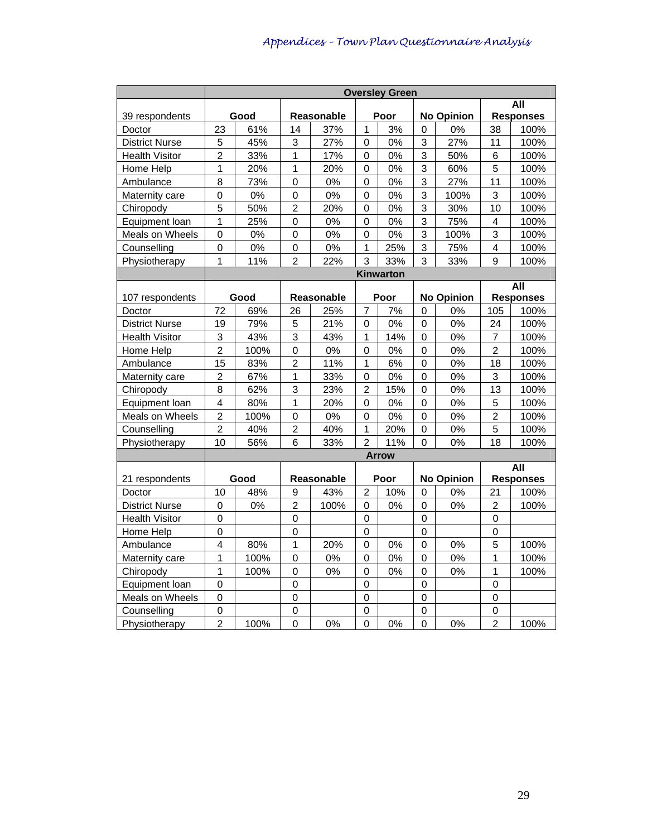|                              | <b>Oversley Green</b>                 |       |                  |            |                     |              |                  |                   |                               |                          |
|------------------------------|---------------------------------------|-------|------------------|------------|---------------------|--------------|------------------|-------------------|-------------------------------|--------------------------|
|                              |                                       |       |                  |            |                     |              |                  |                   |                               | All                      |
| 39 respondents               |                                       | Good  |                  | Reasonable |                     | Poor         |                  | <b>No Opinion</b> |                               | <b>Responses</b>         |
| Doctor                       | 23                                    | 61%   | 14               | 37%        | 1                   | 3%           | 0                | 0%                | 38                            | 100%                     |
| <b>District Nurse</b>        | 5                                     | 45%   | 3                | 27%        | 0                   | 0%           | 3                | 27%               | 11                            | 100%                     |
| <b>Health Visitor</b>        | $\overline{2}$                        | 33%   | 1                | 17%        | 0                   | 0%           | 3                | 50%               | 6                             | 100%                     |
| Home Help                    | $\mathbf 1$                           | 20%   | 1                | 20%        | $\mathbf 0$         | 0%           | 3                | 60%               | 5                             | 100%                     |
| Ambulance                    | 8                                     | 73%   | $\pmb{0}$        | 0%         | 0                   | 0%           | 3                | 27%               | 11                            | 100%                     |
| Maternity care               | $\mathbf 0$                           | 0%    | 0                | 0%         | 0                   | 0%           | 3                | 100%              | 3                             | 100%                     |
| Chiropody                    | 5                                     | 50%   | $\overline{2}$   | 20%        | $\Omega$            | 0%           | 3                | 30%               | 10                            | 100%                     |
| Equipment loan               | 1                                     | 25%   | $\mathbf 0$      | 0%         | 0                   | 0%           | 3                | 75%               | 4                             | 100%                     |
| Meals on Wheels              | $\overline{0}$                        | 0%    | $\mathbf 0$      | 0%         | $\mathbf 0$         | 0%           | 3                | 100%              | 3                             | 100%                     |
| Counselling                  | $\mathsf{O}\xspace$                   | $0\%$ | $\mathbf 0$      | $0\%$      | 1                   | 25%          | 3                | 75%               | 4                             | 100%                     |
| Physiotherapy                | 1                                     | 11%   | $\overline{c}$   | 22%        | 3                   | 33%          | 3                | 33%               | 9                             | 100%                     |
|                              |                                       |       |                  |            |                     | Kinwarton    |                  |                   |                               |                          |
|                              |                                       |       |                  |            |                     |              |                  |                   |                               | <b>All</b>               |
| 107 respondents              |                                       | Good  |                  | Reasonable |                     | Poor         |                  | <b>No Opinion</b> |                               | <b>Responses</b>         |
| Doctor                       | 72                                    | 69%   | 26               | 25%        | 7                   | 7%           | 0                | 0%                | 105                           | 100%                     |
| <b>District Nurse</b>        | 19                                    | 79%   | 5                | 21%        | 0                   | 0%           | 0                | 0%                | 24                            | 100%                     |
| <b>Health Visitor</b>        | 3                                     | 43%   | $\sqrt{3}$       | 43%        | 1                   | 14%          | $\mathbf 0$      | 0%                | $\overline{7}$                | 100%                     |
| Home Help                    | $\overline{2}$                        | 100%  | $\mathbf 0$      | 0%         | $\overline{0}$      | 0%           | $\mathbf 0$      | 0%                | $\overline{c}$                | 100%                     |
| Ambulance                    | 15                                    | 83%   | $\overline{c}$   | 11%        | 1                   | 6%           | 0                | $0\%$             | 18                            | 100%                     |
| Maternity care               | $\mathbf 2$                           | 67%   | 1                | 33%        | 0                   | 0%           | $\boldsymbol{0}$ | $0\%$             | 3                             | 100%                     |
| Chiropody                    | $\overline{8}$                        | 62%   | 3                | 23%        | $\overline{2}$      | 15%          | $\mathbf 0$      | 0%                | 13                            | 100%                     |
| Equipment loan               | $\overline{\mathbf{4}}$               | 80%   | $\mathbf 1$      | 20%        | 0                   | 0%           | 0                | 0%                | 5                             | 100%                     |
| Meals on Wheels              | $\overline{c}$                        | 100%  | $\pmb{0}$        | 0%         | 0                   | 0%           | 0                | 0%                | $\overline{c}$                | 100%                     |
| Counselling                  | $\overline{c}$                        | 40%   | $\overline{c}$   | 40%        | 1                   | 20%          | 0                | 0%                | 5                             | 100%                     |
| Physiotherapy                | 10                                    | 56%   | 6                | 33%        | $\overline{2}$      | 11%          | 0                | 0%                | 18                            | 100%                     |
|                              |                                       |       |                  |            |                     | <b>Arrow</b> |                  |                   |                               |                          |
| 21 respondents               |                                       | Good  |                  | Reasonable |                     | Poor         |                  | <b>No Opinion</b> |                               | <b>All</b>               |
| Doctor                       | 10                                    | 48%   | 9                | 43%        | 2                   | 10%          | 0                | 0%                | 21                            | <b>Responses</b><br>100% |
| <b>District Nurse</b>        | 0                                     | 0%    | $\overline{2}$   | 100%       | 0                   | 0%           | 0                | 0%                | $\overline{2}$                | 100%                     |
| <b>Health Visitor</b>        | $\mathsf{O}\xspace$                   |       | $\mathbf 0$      |            | $\mathbf 0$         |              | $\pmb{0}$        |                   | $\mathbf 0$                   |                          |
| Home Help                    | $\mathsf 0$                           |       | 0                |            | $\mathbf 0$         |              | $\mathbf 0$      |                   | 0                             |                          |
| Ambulance                    | 4                                     | 80%   | 1                | 20%        | 0                   | 0%           | 0                | 0%                | 5                             | 100%                     |
| Maternity care               | $\mathbf 1$                           | 100%  | $\boldsymbol{0}$ | $0\%$      | 0                   | 0%           | 0                | $0\%$             | 1                             | 100%                     |
| Chiropody                    | $\mathbf 1$                           | 100%  |                  | 0%         |                     | 0%           |                  | 0%                | 1                             | 100%                     |
| Equipment loan               | $\overline{0}$                        |       | 0<br>$\mathbf 0$ |            | 0<br>$\overline{0}$ |              | 0<br>$\mathbf 0$ |                   | $\mathbf 0$                   |                          |
| Meals on Wheels              | $\overline{0}$                        |       | $\mathbf 0$      |            | $\mathbf 0$         |              | $\mathbf 0$      |                   | $\mathbf 0$                   |                          |
|                              |                                       |       |                  |            |                     |              |                  |                   |                               |                          |
|                              |                                       |       |                  |            |                     |              |                  |                   |                               |                          |
| Counselling<br>Physiotherapy | $\mathsf{O}\xspace$<br>$\overline{2}$ | 100%  | $\mathbf 0$<br>0 | 0%         | $\mathbf 0$<br>0    | 0%           | $\mathbf 0$<br>0 | 0%                | $\mathbf 0$<br>$\overline{2}$ | 100%                     |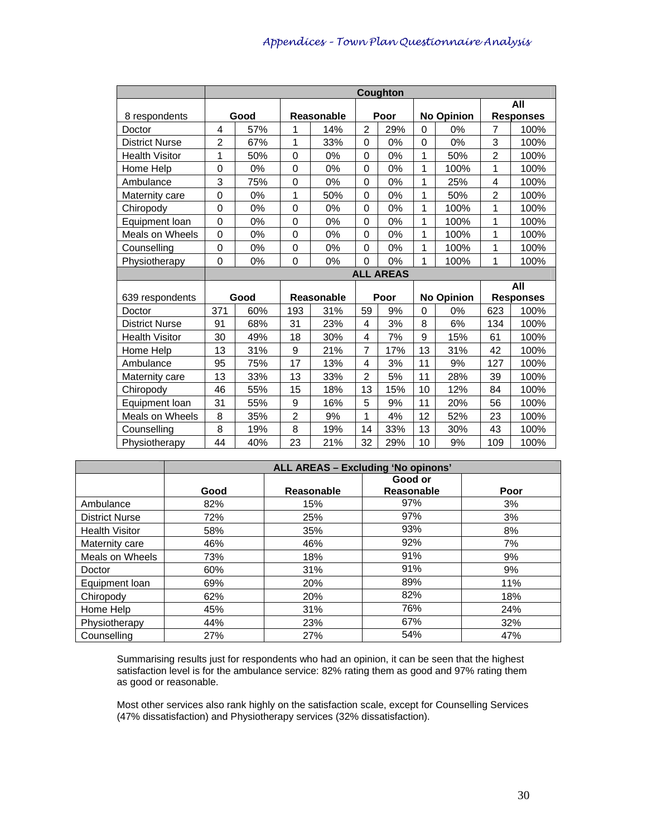|                        |                | Coughton |                  |            |                |                  |              |                   |                |                  |
|------------------------|----------------|----------|------------------|------------|----------------|------------------|--------------|-------------------|----------------|------------------|
|                        |                |          |                  |            |                |                  |              |                   |                | All              |
| 8 respondents          |                | Good     |                  | Reasonable |                | Poor             |              | <b>No Opinion</b> |                | <b>Responses</b> |
| Doctor                 | 4              | 57%      | 1                | 14%        | $\overline{2}$ | 29%              | 0            | 0%                | 7              | 100%             |
| <b>District Nurse</b>  | $\overline{2}$ | 67%      | $\mathbf{1}$     | 33%        | $\Omega$       | 0%               | 0            | 0%                | 3              | 100%             |
| <b>Health Visitor</b>  | 1              | 50%      | 0                | 0%         | 0              | 0%               | 1            | 50%               | $\overline{2}$ | 100%             |
| Home Help              | $\Omega$       | 0%       | 0                | 0%         | $\Omega$       | 0%               | $\mathbf{1}$ | 100%              | 1              | 100%             |
| Ambulance              | 3              | 75%      | $\mathbf 0$      | 0%         | $\overline{0}$ | 0%               | 1            | 25%               | 4              | 100%             |
| Maternity care         | $\overline{0}$ | 0%       | 1                | 50%        | 0              | 0%               | $\mathbf{1}$ | 50%               | $\overline{2}$ | 100%             |
| Chiropody              | $\mathbf 0$    | 0%       | $\mathbf 0$      | 0%         | 0              | 0%               | 1            | 100%              | 1              | 100%             |
| Equipment loan         | $\mathbf 0$    | 0%       | $\mathbf 0$      | 0%         | $\overline{0}$ | 0%               | 1            | 100%              | 1              | 100%             |
| <b>Meals on Wheels</b> | $\mathbf 0$    | 0%       | $\mathbf 0$      | 0%         | 0              | 0%               | 1            | 100%              | 1              | 100%             |
| Counselling            | $\Omega$       | 0%       | $\mathbf 0$      | 0%         | 0              | 0%               | 1            | 100%              | 1              | 100%             |
| Physiotherapy          | $\Omega$       | 0%       | 0                | 0%         | 0              | 0%               | 1            | 100%              | 1              | 100%             |
|                        |                |          |                  |            |                | <b>ALL AREAS</b> |              |                   |                |                  |
|                        |                |          |                  |            |                |                  |              |                   |                | All              |
| 639 respondents        |                | Good     |                  | Reasonable |                | Poor             |              | <b>No Opinion</b> |                | <b>Responses</b> |
| Doctor                 | 371            | 60%      | 193              | 31%        | 59             | 9%               | 0            | 0%                | 623            | 100%             |
| <b>District Nurse</b>  | 91             | 68%      | 31               | 23%        | 4              | 3%               | 8            | 6%                | 134            | 100%             |
| <b>Health Visitor</b>  | 30             | 49%      | 18               | 30%        | 4              | 7%               | 9            | 15%               | 61             | 100%             |
| Home Help              | 13             | 31%      | $\boldsymbol{9}$ | 21%        | $\overline{7}$ | 17%              | 13           | 31%               | 42             | 100%             |
| Ambulance              | 95             | 75%      | 17               | 13%        | 4              | 3%               | 11           | 9%                | 127            | 100%             |
| Maternity care         | 13             | 33%      | 13               | 33%        | 2              | 5%               | 11           | 28%               | 39             | 100%             |
| Chiropody              | 46             | 55%      | 15               | 18%        | 13             | 15%              | 10           | 12%               | 84             | 100%             |
| Equipment loan         | 31             | 55%      | 9                | 16%        | 5              | 9%               | 11           | 20%               | 56             | 100%             |
| Meals on Wheels        | 8              | 35%      | $\overline{2}$   | 9%         | 1              | 4%               | 12           | 52%               | 23             | 100%             |
| Counselling            | 8              | 19%      | 8                | 19%        | 14             | 33%              | 13           | 30%               | 43             | 100%             |
| Physiotherapy          | 44             | 40%      | 23               | 21%        | 32             | 29%              | 10           | 9%                | 109            | 100%             |

|                       |      | ALL AREAS - Excluding 'No opinons' |                   |      |  |  |  |  |  |  |  |
|-----------------------|------|------------------------------------|-------------------|------|--|--|--|--|--|--|--|
|                       |      |                                    | Good or           |      |  |  |  |  |  |  |  |
|                       | Good | Reasonable                         | <b>Reasonable</b> | Poor |  |  |  |  |  |  |  |
| Ambulance             | 82%  | 15%                                | 97%               | 3%   |  |  |  |  |  |  |  |
| <b>District Nurse</b> | 72%  | 25%                                | 97%               | 3%   |  |  |  |  |  |  |  |
| <b>Health Visitor</b> | 58%  | 35%                                | 93%               | 8%   |  |  |  |  |  |  |  |
| Maternity care        | 46%  | 46%                                | 92%               | 7%   |  |  |  |  |  |  |  |
| Meals on Wheels       | 73%  | 18%                                | 91%               | 9%   |  |  |  |  |  |  |  |
| Doctor                | 60%  | 31%                                | 91%               | 9%   |  |  |  |  |  |  |  |
| Equipment loan        | 69%  | 20%                                | 89%               | 11%  |  |  |  |  |  |  |  |
| Chiropody             | 62%  | 20%                                | 82%               | 18%  |  |  |  |  |  |  |  |
| Home Help             | 45%  | 31%                                | 76%               | 24%  |  |  |  |  |  |  |  |
| Physiotherapy         | 44%  | 23%                                | 67%               | 32%  |  |  |  |  |  |  |  |
| Counselling           | 27%  | 27%                                | 54%               | 47%  |  |  |  |  |  |  |  |

Summarising results just for respondents who had an opinion, it can be seen that the highest satisfaction level is for the ambulance service: 82% rating them as good and 97% rating them as good or reasonable.

Most other services also rank highly on the satisfaction scale, except for Counselling Services (47% dissatisfaction) and Physiotherapy services (32% dissatisfaction).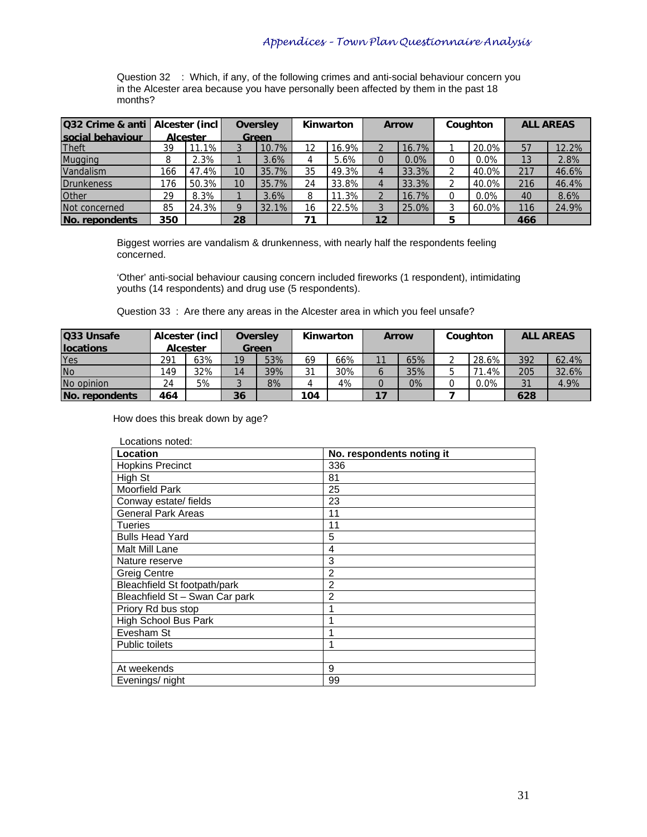Question 32 : Which, if any, of the following crimes and anti-social behaviour concern you in the Alcester area because you have personally been affected by them in the past 18 months?

| <b>Q32 Crime &amp; anti   Alcester (incl)</b> | <b>Oversley</b> |          |    |       | Kinwarton<br><b>Arrow</b> |          |    | Coughton |   | <b>ALL AREAS</b> |     |       |
|-----------------------------------------------|-----------------|----------|----|-------|---------------------------|----------|----|----------|---|------------------|-----|-------|
| social behaviour                              |                 | Alcester |    | Green |                           |          |    |          |   |                  |     |       |
| Theft                                         | 39              | 11.1% ⊾  |    | 10.7% | 12                        | $16.9\%$ |    | 16.7%    |   | 20.0%            | 57  | 12.2% |
| <b>Mugging</b>                                | 8               | 2.3%     |    | 3.6%  |                           | 5.6%     |    | $0.0\%$  |   | 0.0%             | 13  | 2.8%  |
| Vandalism                                     | 166             | 47.4%    | 10 | 35.7% | 35                        | 49.3%    |    | 33.3%    |   | 40.0%            | 217 | 46.6% |
| Drunkeness                                    | 176             | 50.3%    | 10 | 35.7% | 24                        | 33.8%    |    | 33.3%    |   | 40.0%            | 216 | 46.4% |
| <b>Other</b>                                  | 29              | 8.3%     |    | 3.6%  | 8                         | $11.3\%$ |    | 16.7%    |   | 0.0%             | 40  | 8.6%  |
| Not concerned                                 | 85              | 24.3%    |    | 32.1% | 16                        | 22.5%    |    | 25.0%    |   | 60.0%            | 116 | 24.9% |
| No. repondents                                | 350             |          | 28 |       | 71                        |          | 12 |          | 5 |                  | 466 |       |

Biggest worries are vandalism & drunkenness, with nearly half the respondents feeling concerned.

'Other' anti-social behaviour causing concern included fireworks (1 respondent), intimidating youths (14 respondents) and drug use (5 respondents).

Question 33 : Are there any areas in the Alcester area in which you feel unsafe?

| Q33 Unsafe        |     | Alcester (incl  |    | Oversley |     | Kinwarton | <b>Arrow</b> |       | Coughton |          | <b>ALL AREAS</b> |       |
|-------------------|-----|-----------------|----|----------|-----|-----------|--------------|-------|----------|----------|------------------|-------|
| <b>Ilocations</b> |     | <b>Alcester</b> |    | Green    |     |           |              |       |          |          |                  |       |
| Yes               | 291 | 63%             | 19 | 53%      | 69  | 66%       | 11           | 65%   |          | 28.6%    | 392              | 62.4% |
| <b>No</b>         | 149 | 32%             | 14 | 39%      | 21  | 30%       |              | 35%   |          | $71.4\%$ | 205              | 32.6% |
| No opinion        | 24  | 5%              |    | 8%       |     | 4%        |              | $0\%$ |          | $0.0\%$  | 31               | 4.9%  |
| INo. repondents   | 464 |                 | 36 |          | 104 |           | 17           |       |          |          | 628              |       |

How does this break down by age?

| Locations noted:               |                           |
|--------------------------------|---------------------------|
| Location                       | No. respondents noting it |
| <b>Hopkins Precinct</b>        | 336                       |
| High St                        | 81                        |
| Moorfield Park                 | 25                        |
| Conway estate/ fields          | 23                        |
| <b>General Park Areas</b>      | 11                        |
| <b>Tueries</b>                 | 11                        |
| <b>Bulls Head Yard</b>         | 5                         |
| Malt Mill Lane                 | 4                         |
| Nature reserve                 | 3                         |
| <b>Greig Centre</b>            | $\overline{2}$            |
| Bleachfield St footpath/park   | 2                         |
| Bleachfield St - Swan Car park | $\overline{2}$            |
| Priory Rd bus stop             |                           |
| <b>High School Bus Park</b>    | 1                         |
| Evesham St                     |                           |
| <b>Public toilets</b>          | 1                         |
|                                |                           |
| At weekends                    | 9                         |
| Evenings/ night                | 99                        |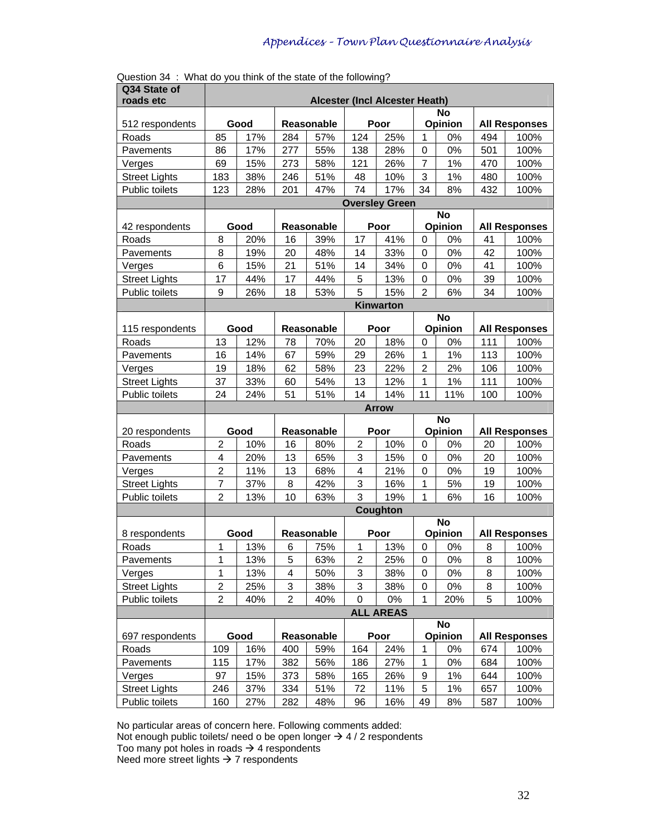| roads etc<br>Alcester (Incl Alcester Heath)<br><b>No</b><br>Opinion<br>Good<br>Reasonable<br>Poor<br><b>All Responses</b><br>512 respondents<br>124<br>85<br>17%<br>57%<br>25%<br>$\mathbf{1}$<br>0%<br>494<br>Roads<br>284<br>100%<br>55%<br>0%<br>86<br>17%<br>277<br>138<br>28%<br>$\boldsymbol{0}$<br>501<br>100%<br>Pavements<br>15%<br>$\overline{7}$<br>69<br>273<br>58%<br>121<br>26%<br>1%<br>470<br>100%<br>Verges<br>3<br><b>Street Lights</b><br>183<br>38%<br>246<br>51%<br>1%<br>100%<br>48<br>10%<br>480<br>74<br>34<br>Public toilets<br>28%<br>47%<br>17%<br>8%<br>432<br>123<br>201<br>100%<br><b>Oversley Green</b><br><b>No</b><br>Opinion<br>42 respondents<br>Good<br>Reasonable<br>Poor<br><b>All Responses</b><br>8<br>41%<br>20%<br>16<br>39%<br>17<br>0%<br>41<br>Roads<br>$\mathbf 0$<br>100%<br>8<br>33%<br>0%<br>42<br>100%<br>Pavements<br>19%<br>20<br>48%<br>14<br>0<br>6<br>15%<br>21<br>51%<br>34%<br>0%<br>41<br>100%<br>14<br>$\mathbf 0$<br>Verges<br><b>Street Lights</b><br>5<br>17<br>44%<br>17<br>44%<br>13%<br>0<br>0%<br>39<br>100%<br>5<br>Public toilets<br>15%<br>$\overline{2}$<br>34<br>9<br>26%<br>18<br>53%<br>6%<br>100%<br>Kinwarton<br><b>No</b><br>115 respondents<br>Good<br>Reasonable<br>Poor<br>Opinion<br><b>All Responses</b><br>20<br>18%<br>13<br>12%<br>70%<br>0%<br>111<br>Roads<br>78<br>0<br>100%<br>1%<br>16<br>14%<br>67<br>59%<br>29<br>26%<br>1<br>113<br>100%<br>Pavements<br>58%<br>23<br>$\overline{2}$<br>2%<br>19<br>18%<br>62<br>22%<br>106<br>100%<br>Verges<br>54%<br>1<br>1%<br><b>Street Lights</b><br>37<br>33%<br>13<br>12%<br>111<br>100%<br>60<br>51<br>14%<br>Public toilets<br>24<br>24%<br>51%<br>14<br>11<br>11%<br>100<br>100%<br><b>Arrow</b><br>$\overline{N}$ o<br>Opinion<br>20 respondents<br>Good<br>Reasonable<br><b>All Responses</b><br>Poor<br>$\overline{2}$<br>10%<br>$\overline{2}$<br>10%<br>Roads<br>16<br>80%<br>0<br>0%<br>20<br>100%<br>3<br>$\overline{\mathbf{4}}$<br>65%<br>20%<br>13<br>15%<br>$\boldsymbol{0}$<br>0%<br>20<br>100%<br>Pavements<br>$\overline{c}$<br>4<br>11%<br>13<br>68%<br>21%<br>$\mathbf 0$<br>0%<br>19<br>100%<br>Verges<br>$\overline{7}$<br><b>Street Lights</b><br>42%<br>3<br>16%<br>37%<br>8<br>1<br>5%<br>19<br>100%<br>3<br>$\overline{c}$<br>10<br>19%<br>Public toilets<br>13%<br>63%<br>1<br>6%<br>16<br>100%<br><b>Coughton</b><br><b>No</b><br>Opinion<br>Good<br><b>Reasonable</b><br>Poor<br><b>All Responses</b><br>8 respondents<br>13%<br>75%<br>13%<br>0%<br>Roads<br>1<br>6<br>1<br>0<br>8<br>100%<br>Pavements<br>1<br>13%<br>5<br>63%<br>2<br>25%<br>0<br>0%<br>8<br>100%<br>3<br>1<br>13%<br>4<br>50%<br>38%<br>0%<br>8<br>100%<br>0<br>Verges | Q34 State of |  |  |  |  |  |
|------------------------------------------------------------------------------------------------------------------------------------------------------------------------------------------------------------------------------------------------------------------------------------------------------------------------------------------------------------------------------------------------------------------------------------------------------------------------------------------------------------------------------------------------------------------------------------------------------------------------------------------------------------------------------------------------------------------------------------------------------------------------------------------------------------------------------------------------------------------------------------------------------------------------------------------------------------------------------------------------------------------------------------------------------------------------------------------------------------------------------------------------------------------------------------------------------------------------------------------------------------------------------------------------------------------------------------------------------------------------------------------------------------------------------------------------------------------------------------------------------------------------------------------------------------------------------------------------------------------------------------------------------------------------------------------------------------------------------------------------------------------------------------------------------------------------------------------------------------------------------------------------------------------------------------------------------------------------------------------------------------------------------------------------------------------------------------------------------------------------------------------------------------------------------------------------------------------------------------------------------------------------------------------------------------------------------------------------------------------------------------------------------------------------------------------------------------------------------------------------------------------------------------------------------------------------------------------------------------------------------------------------------------------------------------------------------------|--------------|--|--|--|--|--|
|                                                                                                                                                                                                                                                                                                                                                                                                                                                                                                                                                                                                                                                                                                                                                                                                                                                                                                                                                                                                                                                                                                                                                                                                                                                                                                                                                                                                                                                                                                                                                                                                                                                                                                                                                                                                                                                                                                                                                                                                                                                                                                                                                                                                                                                                                                                                                                                                                                                                                                                                                                                                                                                                                                            |              |  |  |  |  |  |
|                                                                                                                                                                                                                                                                                                                                                                                                                                                                                                                                                                                                                                                                                                                                                                                                                                                                                                                                                                                                                                                                                                                                                                                                                                                                                                                                                                                                                                                                                                                                                                                                                                                                                                                                                                                                                                                                                                                                                                                                                                                                                                                                                                                                                                                                                                                                                                                                                                                                                                                                                                                                                                                                                                            |              |  |  |  |  |  |
|                                                                                                                                                                                                                                                                                                                                                                                                                                                                                                                                                                                                                                                                                                                                                                                                                                                                                                                                                                                                                                                                                                                                                                                                                                                                                                                                                                                                                                                                                                                                                                                                                                                                                                                                                                                                                                                                                                                                                                                                                                                                                                                                                                                                                                                                                                                                                                                                                                                                                                                                                                                                                                                                                                            |              |  |  |  |  |  |
|                                                                                                                                                                                                                                                                                                                                                                                                                                                                                                                                                                                                                                                                                                                                                                                                                                                                                                                                                                                                                                                                                                                                                                                                                                                                                                                                                                                                                                                                                                                                                                                                                                                                                                                                                                                                                                                                                                                                                                                                                                                                                                                                                                                                                                                                                                                                                                                                                                                                                                                                                                                                                                                                                                            |              |  |  |  |  |  |
|                                                                                                                                                                                                                                                                                                                                                                                                                                                                                                                                                                                                                                                                                                                                                                                                                                                                                                                                                                                                                                                                                                                                                                                                                                                                                                                                                                                                                                                                                                                                                                                                                                                                                                                                                                                                                                                                                                                                                                                                                                                                                                                                                                                                                                                                                                                                                                                                                                                                                                                                                                                                                                                                                                            |              |  |  |  |  |  |
|                                                                                                                                                                                                                                                                                                                                                                                                                                                                                                                                                                                                                                                                                                                                                                                                                                                                                                                                                                                                                                                                                                                                                                                                                                                                                                                                                                                                                                                                                                                                                                                                                                                                                                                                                                                                                                                                                                                                                                                                                                                                                                                                                                                                                                                                                                                                                                                                                                                                                                                                                                                                                                                                                                            |              |  |  |  |  |  |
|                                                                                                                                                                                                                                                                                                                                                                                                                                                                                                                                                                                                                                                                                                                                                                                                                                                                                                                                                                                                                                                                                                                                                                                                                                                                                                                                                                                                                                                                                                                                                                                                                                                                                                                                                                                                                                                                                                                                                                                                                                                                                                                                                                                                                                                                                                                                                                                                                                                                                                                                                                                                                                                                                                            |              |  |  |  |  |  |
|                                                                                                                                                                                                                                                                                                                                                                                                                                                                                                                                                                                                                                                                                                                                                                                                                                                                                                                                                                                                                                                                                                                                                                                                                                                                                                                                                                                                                                                                                                                                                                                                                                                                                                                                                                                                                                                                                                                                                                                                                                                                                                                                                                                                                                                                                                                                                                                                                                                                                                                                                                                                                                                                                                            |              |  |  |  |  |  |
|                                                                                                                                                                                                                                                                                                                                                                                                                                                                                                                                                                                                                                                                                                                                                                                                                                                                                                                                                                                                                                                                                                                                                                                                                                                                                                                                                                                                                                                                                                                                                                                                                                                                                                                                                                                                                                                                                                                                                                                                                                                                                                                                                                                                                                                                                                                                                                                                                                                                                                                                                                                                                                                                                                            |              |  |  |  |  |  |
|                                                                                                                                                                                                                                                                                                                                                                                                                                                                                                                                                                                                                                                                                                                                                                                                                                                                                                                                                                                                                                                                                                                                                                                                                                                                                                                                                                                                                                                                                                                                                                                                                                                                                                                                                                                                                                                                                                                                                                                                                                                                                                                                                                                                                                                                                                                                                                                                                                                                                                                                                                                                                                                                                                            |              |  |  |  |  |  |
|                                                                                                                                                                                                                                                                                                                                                                                                                                                                                                                                                                                                                                                                                                                                                                                                                                                                                                                                                                                                                                                                                                                                                                                                                                                                                                                                                                                                                                                                                                                                                                                                                                                                                                                                                                                                                                                                                                                                                                                                                                                                                                                                                                                                                                                                                                                                                                                                                                                                                                                                                                                                                                                                                                            |              |  |  |  |  |  |
|                                                                                                                                                                                                                                                                                                                                                                                                                                                                                                                                                                                                                                                                                                                                                                                                                                                                                                                                                                                                                                                                                                                                                                                                                                                                                                                                                                                                                                                                                                                                                                                                                                                                                                                                                                                                                                                                                                                                                                                                                                                                                                                                                                                                                                                                                                                                                                                                                                                                                                                                                                                                                                                                                                            |              |  |  |  |  |  |
|                                                                                                                                                                                                                                                                                                                                                                                                                                                                                                                                                                                                                                                                                                                                                                                                                                                                                                                                                                                                                                                                                                                                                                                                                                                                                                                                                                                                                                                                                                                                                                                                                                                                                                                                                                                                                                                                                                                                                                                                                                                                                                                                                                                                                                                                                                                                                                                                                                                                                                                                                                                                                                                                                                            |              |  |  |  |  |  |
|                                                                                                                                                                                                                                                                                                                                                                                                                                                                                                                                                                                                                                                                                                                                                                                                                                                                                                                                                                                                                                                                                                                                                                                                                                                                                                                                                                                                                                                                                                                                                                                                                                                                                                                                                                                                                                                                                                                                                                                                                                                                                                                                                                                                                                                                                                                                                                                                                                                                                                                                                                                                                                                                                                            |              |  |  |  |  |  |
|                                                                                                                                                                                                                                                                                                                                                                                                                                                                                                                                                                                                                                                                                                                                                                                                                                                                                                                                                                                                                                                                                                                                                                                                                                                                                                                                                                                                                                                                                                                                                                                                                                                                                                                                                                                                                                                                                                                                                                                                                                                                                                                                                                                                                                                                                                                                                                                                                                                                                                                                                                                                                                                                                                            |              |  |  |  |  |  |
|                                                                                                                                                                                                                                                                                                                                                                                                                                                                                                                                                                                                                                                                                                                                                                                                                                                                                                                                                                                                                                                                                                                                                                                                                                                                                                                                                                                                                                                                                                                                                                                                                                                                                                                                                                                                                                                                                                                                                                                                                                                                                                                                                                                                                                                                                                                                                                                                                                                                                                                                                                                                                                                                                                            |              |  |  |  |  |  |
|                                                                                                                                                                                                                                                                                                                                                                                                                                                                                                                                                                                                                                                                                                                                                                                                                                                                                                                                                                                                                                                                                                                                                                                                                                                                                                                                                                                                                                                                                                                                                                                                                                                                                                                                                                                                                                                                                                                                                                                                                                                                                                                                                                                                                                                                                                                                                                                                                                                                                                                                                                                                                                                                                                            |              |  |  |  |  |  |
|                                                                                                                                                                                                                                                                                                                                                                                                                                                                                                                                                                                                                                                                                                                                                                                                                                                                                                                                                                                                                                                                                                                                                                                                                                                                                                                                                                                                                                                                                                                                                                                                                                                                                                                                                                                                                                                                                                                                                                                                                                                                                                                                                                                                                                                                                                                                                                                                                                                                                                                                                                                                                                                                                                            |              |  |  |  |  |  |
|                                                                                                                                                                                                                                                                                                                                                                                                                                                                                                                                                                                                                                                                                                                                                                                                                                                                                                                                                                                                                                                                                                                                                                                                                                                                                                                                                                                                                                                                                                                                                                                                                                                                                                                                                                                                                                                                                                                                                                                                                                                                                                                                                                                                                                                                                                                                                                                                                                                                                                                                                                                                                                                                                                            |              |  |  |  |  |  |
|                                                                                                                                                                                                                                                                                                                                                                                                                                                                                                                                                                                                                                                                                                                                                                                                                                                                                                                                                                                                                                                                                                                                                                                                                                                                                                                                                                                                                                                                                                                                                                                                                                                                                                                                                                                                                                                                                                                                                                                                                                                                                                                                                                                                                                                                                                                                                                                                                                                                                                                                                                                                                                                                                                            |              |  |  |  |  |  |
|                                                                                                                                                                                                                                                                                                                                                                                                                                                                                                                                                                                                                                                                                                                                                                                                                                                                                                                                                                                                                                                                                                                                                                                                                                                                                                                                                                                                                                                                                                                                                                                                                                                                                                                                                                                                                                                                                                                                                                                                                                                                                                                                                                                                                                                                                                                                                                                                                                                                                                                                                                                                                                                                                                            |              |  |  |  |  |  |
|                                                                                                                                                                                                                                                                                                                                                                                                                                                                                                                                                                                                                                                                                                                                                                                                                                                                                                                                                                                                                                                                                                                                                                                                                                                                                                                                                                                                                                                                                                                                                                                                                                                                                                                                                                                                                                                                                                                                                                                                                                                                                                                                                                                                                                                                                                                                                                                                                                                                                                                                                                                                                                                                                                            |              |  |  |  |  |  |
|                                                                                                                                                                                                                                                                                                                                                                                                                                                                                                                                                                                                                                                                                                                                                                                                                                                                                                                                                                                                                                                                                                                                                                                                                                                                                                                                                                                                                                                                                                                                                                                                                                                                                                                                                                                                                                                                                                                                                                                                                                                                                                                                                                                                                                                                                                                                                                                                                                                                                                                                                                                                                                                                                                            |              |  |  |  |  |  |
|                                                                                                                                                                                                                                                                                                                                                                                                                                                                                                                                                                                                                                                                                                                                                                                                                                                                                                                                                                                                                                                                                                                                                                                                                                                                                                                                                                                                                                                                                                                                                                                                                                                                                                                                                                                                                                                                                                                                                                                                                                                                                                                                                                                                                                                                                                                                                                                                                                                                                                                                                                                                                                                                                                            |              |  |  |  |  |  |
|                                                                                                                                                                                                                                                                                                                                                                                                                                                                                                                                                                                                                                                                                                                                                                                                                                                                                                                                                                                                                                                                                                                                                                                                                                                                                                                                                                                                                                                                                                                                                                                                                                                                                                                                                                                                                                                                                                                                                                                                                                                                                                                                                                                                                                                                                                                                                                                                                                                                                                                                                                                                                                                                                                            |              |  |  |  |  |  |
|                                                                                                                                                                                                                                                                                                                                                                                                                                                                                                                                                                                                                                                                                                                                                                                                                                                                                                                                                                                                                                                                                                                                                                                                                                                                                                                                                                                                                                                                                                                                                                                                                                                                                                                                                                                                                                                                                                                                                                                                                                                                                                                                                                                                                                                                                                                                                                                                                                                                                                                                                                                                                                                                                                            |              |  |  |  |  |  |
|                                                                                                                                                                                                                                                                                                                                                                                                                                                                                                                                                                                                                                                                                                                                                                                                                                                                                                                                                                                                                                                                                                                                                                                                                                                                                                                                                                                                                                                                                                                                                                                                                                                                                                                                                                                                                                                                                                                                                                                                                                                                                                                                                                                                                                                                                                                                                                                                                                                                                                                                                                                                                                                                                                            |              |  |  |  |  |  |
|                                                                                                                                                                                                                                                                                                                                                                                                                                                                                                                                                                                                                                                                                                                                                                                                                                                                                                                                                                                                                                                                                                                                                                                                                                                                                                                                                                                                                                                                                                                                                                                                                                                                                                                                                                                                                                                                                                                                                                                                                                                                                                                                                                                                                                                                                                                                                                                                                                                                                                                                                                                                                                                                                                            |              |  |  |  |  |  |
|                                                                                                                                                                                                                                                                                                                                                                                                                                                                                                                                                                                                                                                                                                                                                                                                                                                                                                                                                                                                                                                                                                                                                                                                                                                                                                                                                                                                                                                                                                                                                                                                                                                                                                                                                                                                                                                                                                                                                                                                                                                                                                                                                                                                                                                                                                                                                                                                                                                                                                                                                                                                                                                                                                            |              |  |  |  |  |  |
|                                                                                                                                                                                                                                                                                                                                                                                                                                                                                                                                                                                                                                                                                                                                                                                                                                                                                                                                                                                                                                                                                                                                                                                                                                                                                                                                                                                                                                                                                                                                                                                                                                                                                                                                                                                                                                                                                                                                                                                                                                                                                                                                                                                                                                                                                                                                                                                                                                                                                                                                                                                                                                                                                                            |              |  |  |  |  |  |
|                                                                                                                                                                                                                                                                                                                                                                                                                                                                                                                                                                                                                                                                                                                                                                                                                                                                                                                                                                                                                                                                                                                                                                                                                                                                                                                                                                                                                                                                                                                                                                                                                                                                                                                                                                                                                                                                                                                                                                                                                                                                                                                                                                                                                                                                                                                                                                                                                                                                                                                                                                                                                                                                                                            |              |  |  |  |  |  |
|                                                                                                                                                                                                                                                                                                                                                                                                                                                                                                                                                                                                                                                                                                                                                                                                                                                                                                                                                                                                                                                                                                                                                                                                                                                                                                                                                                                                                                                                                                                                                                                                                                                                                                                                                                                                                                                                                                                                                                                                                                                                                                                                                                                                                                                                                                                                                                                                                                                                                                                                                                                                                                                                                                            |              |  |  |  |  |  |
|                                                                                                                                                                                                                                                                                                                                                                                                                                                                                                                                                                                                                                                                                                                                                                                                                                                                                                                                                                                                                                                                                                                                                                                                                                                                                                                                                                                                                                                                                                                                                                                                                                                                                                                                                                                                                                                                                                                                                                                                                                                                                                                                                                                                                                                                                                                                                                                                                                                                                                                                                                                                                                                                                                            |              |  |  |  |  |  |
|                                                                                                                                                                                                                                                                                                                                                                                                                                                                                                                                                                                                                                                                                                                                                                                                                                                                                                                                                                                                                                                                                                                                                                                                                                                                                                                                                                                                                                                                                                                                                                                                                                                                                                                                                                                                                                                                                                                                                                                                                                                                                                                                                                                                                                                                                                                                                                                                                                                                                                                                                                                                                                                                                                            |              |  |  |  |  |  |
|                                                                                                                                                                                                                                                                                                                                                                                                                                                                                                                                                                                                                                                                                                                                                                                                                                                                                                                                                                                                                                                                                                                                                                                                                                                                                                                                                                                                                                                                                                                                                                                                                                                                                                                                                                                                                                                                                                                                                                                                                                                                                                                                                                                                                                                                                                                                                                                                                                                                                                                                                                                                                                                                                                            |              |  |  |  |  |  |
|                                                                                                                                                                                                                                                                                                                                                                                                                                                                                                                                                                                                                                                                                                                                                                                                                                                                                                                                                                                                                                                                                                                                                                                                                                                                                                                                                                                                                                                                                                                                                                                                                                                                                                                                                                                                                                                                                                                                                                                                                                                                                                                                                                                                                                                                                                                                                                                                                                                                                                                                                                                                                                                                                                            |              |  |  |  |  |  |
|                                                                                                                                                                                                                                                                                                                                                                                                                                                                                                                                                                                                                                                                                                                                                                                                                                                                                                                                                                                                                                                                                                                                                                                                                                                                                                                                                                                                                                                                                                                                                                                                                                                                                                                                                                                                                                                                                                                                                                                                                                                                                                                                                                                                                                                                                                                                                                                                                                                                                                                                                                                                                                                                                                            |              |  |  |  |  |  |
| $\overline{\mathbf{c}}$<br>3<br>3<br><b>Street Lights</b><br>25%<br>38%<br>38%<br>0%<br>8<br>100%<br>0                                                                                                                                                                                                                                                                                                                                                                                                                                                                                                                                                                                                                                                                                                                                                                                                                                                                                                                                                                                                                                                                                                                                                                                                                                                                                                                                                                                                                                                                                                                                                                                                                                                                                                                                                                                                                                                                                                                                                                                                                                                                                                                                                                                                                                                                                                                                                                                                                                                                                                                                                                                                     |              |  |  |  |  |  |
| 2<br>$\overline{2}$<br>Public toilets<br>40%<br>0%<br>1<br>5<br>40%<br>0<br>20%<br>100%                                                                                                                                                                                                                                                                                                                                                                                                                                                                                                                                                                                                                                                                                                                                                                                                                                                                                                                                                                                                                                                                                                                                                                                                                                                                                                                                                                                                                                                                                                                                                                                                                                                                                                                                                                                                                                                                                                                                                                                                                                                                                                                                                                                                                                                                                                                                                                                                                                                                                                                                                                                                                    |              |  |  |  |  |  |
| <b>ALL AREAS</b>                                                                                                                                                                                                                                                                                                                                                                                                                                                                                                                                                                                                                                                                                                                                                                                                                                                                                                                                                                                                                                                                                                                                                                                                                                                                                                                                                                                                                                                                                                                                                                                                                                                                                                                                                                                                                                                                                                                                                                                                                                                                                                                                                                                                                                                                                                                                                                                                                                                                                                                                                                                                                                                                                           |              |  |  |  |  |  |
| <b>No</b><br>Good<br>Reasonable<br>Poor<br>Opinion<br>697 respondents<br><b>All Responses</b>                                                                                                                                                                                                                                                                                                                                                                                                                                                                                                                                                                                                                                                                                                                                                                                                                                                                                                                                                                                                                                                                                                                                                                                                                                                                                                                                                                                                                                                                                                                                                                                                                                                                                                                                                                                                                                                                                                                                                                                                                                                                                                                                                                                                                                                                                                                                                                                                                                                                                                                                                                                                              |              |  |  |  |  |  |
| 109<br>16%<br>400<br>59%<br>164<br>24%<br>0%<br>Roads<br>1<br>674<br>100%                                                                                                                                                                                                                                                                                                                                                                                                                                                                                                                                                                                                                                                                                                                                                                                                                                                                                                                                                                                                                                                                                                                                                                                                                                                                                                                                                                                                                                                                                                                                                                                                                                                                                                                                                                                                                                                                                                                                                                                                                                                                                                                                                                                                                                                                                                                                                                                                                                                                                                                                                                                                                                  |              |  |  |  |  |  |
| 17%<br>382<br>56%<br>27%<br>0%<br>684<br>100%<br>Pavements<br>115<br>186<br>1                                                                                                                                                                                                                                                                                                                                                                                                                                                                                                                                                                                                                                                                                                                                                                                                                                                                                                                                                                                                                                                                                                                                                                                                                                                                                                                                                                                                                                                                                                                                                                                                                                                                                                                                                                                                                                                                                                                                                                                                                                                                                                                                                                                                                                                                                                                                                                                                                                                                                                                                                                                                                              |              |  |  |  |  |  |
| 97<br>15%<br>373<br>58%<br>165<br>1%<br>644<br>Verges<br>26%<br>9<br>100%                                                                                                                                                                                                                                                                                                                                                                                                                                                                                                                                                                                                                                                                                                                                                                                                                                                                                                                                                                                                                                                                                                                                                                                                                                                                                                                                                                                                                                                                                                                                                                                                                                                                                                                                                                                                                                                                                                                                                                                                                                                                                                                                                                                                                                                                                                                                                                                                                                                                                                                                                                                                                                  |              |  |  |  |  |  |
| 246<br>72<br>$\mathbf 5$<br>1%<br><b>Street Lights</b><br>37%<br>334<br>51%<br>11%<br>657<br>100%                                                                                                                                                                                                                                                                                                                                                                                                                                                                                                                                                                                                                                                                                                                                                                                                                                                                                                                                                                                                                                                                                                                                                                                                                                                                                                                                                                                                                                                                                                                                                                                                                                                                                                                                                                                                                                                                                                                                                                                                                                                                                                                                                                                                                                                                                                                                                                                                                                                                                                                                                                                                          |              |  |  |  |  |  |
| 27%<br>48%<br>96<br>16%<br>49<br>8%<br>100%<br>Public toilets<br>160<br>282<br>587                                                                                                                                                                                                                                                                                                                                                                                                                                                                                                                                                                                                                                                                                                                                                                                                                                                                                                                                                                                                                                                                                                                                                                                                                                                                                                                                                                                                                                                                                                                                                                                                                                                                                                                                                                                                                                                                                                                                                                                                                                                                                                                                                                                                                                                                                                                                                                                                                                                                                                                                                                                                                         |              |  |  |  |  |  |

Question 34 : What do you think of the state of the following?

No particular areas of concern here. Following comments added:

Not enough public toilets/ need o be open longer  $\rightarrow$  4 / 2 respondents Too many pot holes in roads  $\rightarrow$  4 respondents

Need more street lights  $\rightarrow$  7 respondents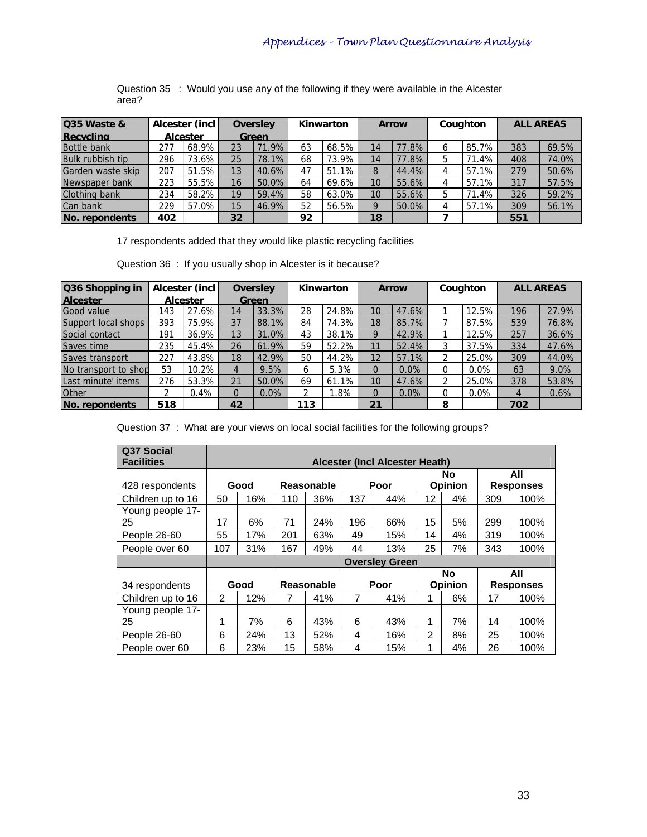Question 35 : Would you use any of the following if they were available in the Alcester area?

| Q35 Waste &        |     | Alcester (incl |    | <b>Oversley</b> |    | Kinwarton |          | <b>Arrow</b> | Coughton | <b>ALL AREAS</b> |       |
|--------------------|-----|----------------|----|-----------------|----|-----------|----------|--------------|----------|------------------|-------|
| <b>Recycling</b>   |     | Alcester       |    | Green           |    |           |          |              |          |                  |       |
| <b>Bottle bank</b> | 277 | 68.9%          | 23 | 71.9%           | 63 | $68.5\%$  | 14       | 77.8%        | 85.7%    | 383              | 69.5% |
| Bulk rubbish tip   | 296 | 73.6%          | 25 | 78.1%           | 68 | 73.9%I    |          | 77.8%        | 71.4%    | 408              | 74.0% |
| Garden waste skip  | 207 | 51.5%          | 13 | 40.6%           | 47 | $51.1\%$  |          | 44.4%        | 57.1%    | 279              | 50.6% |
| Newspaper bank     | 223 | 55.5%          | 16 | 50.0%           | 64 | $69.6\%$  | 10       | 55.6%        | 57.1%    | 317              | 57.5% |
| Clothing bank      | 234 | 58.2%          | 19 | 59.4%           | 58 | $63.0\%$  | 10       | 55.6%        | 71.4%    | 326              | 59.2% |
| Can bank           | 229 | 57.0%          | 15 | 46.9%           | 52 | 56.5%     | $\Omega$ | 50.0%        | 57.1%    | 309              | 56.1% |
| INo. repondents    | 402 |                | 32 |                 | 92 |           | 18       |              |          | 551              |       |

17 respondents added that they would like plastic recycling facilities

Question 36 : If you usually shop in Alcester is it because?

| Q36 Shopping in      |     | Alcester (incl |          | <b>Oversley</b> |     | Kinwarton |             | <b>Arrow</b> |   | Coughton |     | <b>ALL AREAS</b> |
|----------------------|-----|----------------|----------|-----------------|-----|-----------|-------------|--------------|---|----------|-----|------------------|
| <b>Alcester</b>      |     | Alcester       |          | <b>Green</b>    |     |           |             |              |   |          |     |                  |
| <b>Good value</b>    | 143 | 27.6%          | 14       | 33.3%           | 28  | 24.8%     | 10          | 47.6%        |   | 12.5%    | 196 | 27.9%            |
| Support local shops  | 393 | 75.9%          | 37       | 88.1%           | 84  | 74.3%     | 18          | 85.7%        |   | 87.5%    | 539 | 76.8%            |
| Social contact       | 191 | 36.9%          | 13       | 31.0%           | 43  | 38.1%     | $\mathbf Q$ | 42.9%        |   | 12.5%    | 257 | 36.6%            |
| Saves time           | 235 | 45.4%          | 26       | 61.9%           | 59  | 52.2%     | 11          | 52.4%        |   | 37.5%    | 334 | 47.6%            |
| Saves transport      | 227 | 43.8%          | 18       | 42.9%           | 50  | 44.2%     | 12          | 57.1%        |   | 25.0%    | 309 | 44.0%            |
| No transport to shop | 53  | 10.2%          | 4        | 9.5%            | 6   | 5.3%      | $\Omega$    | 0.0%         | ი | $0.0\%$  | 63  | 9.0%             |
| Last minute' items   | 276 | 53.3%          | 21       | 50.0%           | 69  | 61.1%     | 10          | 47.6%        | ∩ | 25.0%    | 378 | 53.8%            |
| <b>Other</b>         |     | 0.4%           | $\Omega$ | 0.0%            | າ   | $.8\%$    | $\Omega$    | $0.0\%$      | 0 | $0.0\%$  | 4   | 0.6%             |
| No. repondents       | 518 |                | 42       |                 | 113 |           | 21          |              | 8 |          | 702 |                  |

Question 37 : What are your views on local social facilities for the following groups?

| Q37 Social<br><b>Facilities</b> |                |      |                |                   |     | Alcester (Incl Alcester Heath) |    |                |     |                  |
|---------------------------------|----------------|------|----------------|-------------------|-----|--------------------------------|----|----------------|-----|------------------|
|                                 |                |      |                |                   |     |                                |    | No             |     | All              |
| 428 respondents                 |                | Good |                | Reasonable        |     | Poor                           |    | <b>Opinion</b> |     | <b>Responses</b> |
| Children up to 16               | 50             | 16%  | 110            | 36%               | 137 | 44%                            | 12 | 4%             | 309 | 100%             |
| Young people 17-                |                |      |                |                   |     |                                |    |                |     |                  |
| 25                              | 17             | 6%   | 71             | 24%               | 196 | 66%                            | 15 | 5%             | 299 | 100%             |
| People 26-60                    | 55             | 17%  | 201            | 63%               | 49  | 15%                            | 14 | 4%             | 319 | 100%             |
| People over 60                  | 107            | 31%  | 167            | 49%               | 44  | 13%                            | 25 | 7%             | 343 | 100%             |
|                                 |                |      |                |                   |     | <b>Oversley Green</b>          |    |                |     |                  |
|                                 |                |      |                |                   |     |                                |    | No             |     | All              |
| 34 respondents                  |                | Good |                | <b>Reasonable</b> |     | Poor                           |    | <b>Opinion</b> |     | <b>Responses</b> |
| Children up to 16               | $\overline{2}$ | 12%  | $\overline{7}$ | 41%               | 7   | 41%                            | 1  | 6%             | 17  | 100%             |
| Young people 17-                |                |      |                |                   |     |                                |    |                |     |                  |
| 25                              | 1              | 7%   | 6              | 43%               | 6   | 43%                            | 1  | 7%             | 14  | 100%             |
| People 26-60                    | 6              | 24%  | 13             | 52%               | 4   | 16%                            | 2  | 8%             | 25  | 100%             |
| People over 60                  | 6              | 23%  | 15             | 58%               | 4   | 15%                            | 1  | 4%             | 26  | 100%             |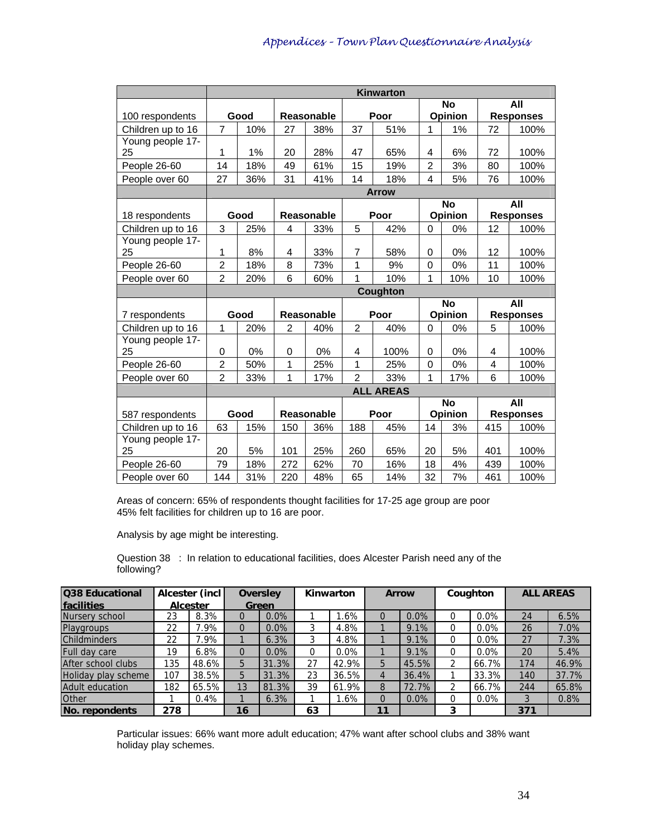|                   |                |      |                |            |                | Kinwarton        |                         |                |     |                  |
|-------------------|----------------|------|----------------|------------|----------------|------------------|-------------------------|----------------|-----|------------------|
|                   |                |      |                |            |                |                  |                         | <b>No</b>      |     | All              |
| 100 respondents   |                | Good |                | Reasonable |                | Poor             |                         | <b>Opinion</b> |     | <b>Responses</b> |
| Children up to 16 | $\overline{7}$ | 10%  | 27             | 38%        | 37             | 51%              | 1                       | 1%             | 72  | 100%             |
| Young people 17-  |                |      |                |            |                |                  |                         |                |     |                  |
| 25                | 1              | 1%   | 20             | 28%        | 47             | 65%              | 4                       | 6%             | 72  | 100%             |
| People 26-60      | 14             | 18%  | 49             | 61%        | 15             | 19%              | $\overline{2}$          | 3%             | 80  | 100%             |
| People over 60    | 27             | 36%  | 31             | 41%        | 14             | 18%              | $\overline{\mathbf{4}}$ | 5%             | 76  | 100%             |
|                   |                |      |                |            |                | <b>Arrow</b>     |                         |                |     |                  |
|                   |                |      |                |            |                |                  |                         | <b>No</b>      |     | All              |
| 18 respondents    |                | Good |                | Reasonable |                | Poor             |                         | <b>Opinion</b> |     | <b>Responses</b> |
| Children up to 16 | 3              | 25%  | 4              | 33%        | 5              | 42%              | 0                       | 0%             | 12  | 100%             |
| Young people 17-  |                |      |                |            |                |                  |                         |                |     |                  |
| 25                | 1              | 8%   | 4              | 33%        | 7              | 58%              | $\mathbf 0$             | 0%             | 12  | 100%             |
| People 26-60      | $\overline{2}$ | 18%  | 8              | 73%        | 1              | 9%               | $\mathbf 0$             | 0%             | 11  | 100%             |
| People over 60    | $\overline{2}$ | 20%  | 6              | 60%        | 1              | 10%              | 1                       | 10%            | 10  | 100%             |
|                   |                |      |                |            |                | Coughton         |                         |                |     |                  |
|                   |                |      |                |            |                |                  |                         | <b>No</b>      |     | All              |
| 7 respondents     |                | Good |                | Reasonable |                | Poor             |                         | <b>Opinion</b> |     | <b>Responses</b> |
| Children up to 16 | $\mathbf{1}$   | 20%  | $\overline{2}$ | 40%        | $\overline{2}$ | 40%              | $\Omega$                | 0%             | 5   | 100%             |
| Young people 17-  |                |      |                |            |                |                  |                         |                |     |                  |
| 25                | 0              | 0%   | 0              | 0%         | 4              | 100%             | $\mathbf 0$             | 0%             | 4   | 100%             |
| People 26-60      | $\overline{c}$ | 50%  | 1              | 25%        | 1              | 25%              | $\mathbf 0$             | 0%             | 4   | 100%             |
| People over 60    | $\overline{2}$ | 33%  | 1              | 17%        | $\overline{2}$ | 33%              | 1                       | 17%            | 6   | 100%             |
|                   |                |      |                |            |                | <b>ALL AREAS</b> |                         |                |     |                  |
|                   |                |      |                |            |                |                  |                         | <b>No</b>      |     | All              |
| 587 respondents   |                | Good |                | Reasonable |                | Poor             |                         | Opinion        |     | <b>Responses</b> |
| Children up to 16 | 63             | 15%  | 150            | 36%        | 188            | 45%              | 14                      | 3%             | 415 | 100%             |
| Young people 17-  |                |      |                |            |                |                  |                         |                |     |                  |
| 25                | 20             | 5%   | 101            | 25%        | 260            | 65%              | 20                      | 5%             | 401 | 100%             |
| People 26-60      | 79             | 18%  | 272            | 62%        | 70             | 16%              | 18                      | 4%             | 439 | 100%             |
|                   |                |      | 220            |            |                |                  | 32                      |                |     |                  |

Areas of concern: 65% of respondents thought facilities for 17-25 age group are poor 45% felt facilities for children up to 16 are poor.

Analysis by age might be interesting.

Question 38 : In relation to educational facilities, does Alcester Parish need any of the following?

| <b>Q38 Educational</b> |     | Alcester (incl  |    | <b>Oversley</b> |    | Kinwarton |    | <b>Arrow</b> |          | Coughton |     | <b>ALL AREAS</b> |
|------------------------|-----|-----------------|----|-----------------|----|-----------|----|--------------|----------|----------|-----|------------------|
| <b>Ifacilities</b>     |     | <b>Alcester</b> |    | Green           |    |           |    |              |          |          |     |                  |
| Nursery school         | 23  | 8.3%            | 0  | $0.0\%$         |    | 1.6%      | 0  | 0.0%         |          | 0.0%     | 24  | 6.5%             |
| Playgroups             | 22  | $.9\%$          | 0  | $0.0\%$         | 3  | 4.8%      |    | 9.1%         | $\Omega$ | 0.0%     | 26  | 7.0%             |
| <b>Childminders</b>    | 22  | $.9\%$          |    | 6.3%            | 3  | 4.8%      |    | 9.1%         |          | $0.0\%$  | 27  | 7.3%             |
| Full day care          | 19  | 6.8%            | 0  | $0.0\%$         | 0  | $0.0\%$   |    | 9.1%         | 0        | 0.0%     | 20  | 5.4%             |
| After school clubs     | 135 | 48.6%           | 5  | 31.3%           | 27 | 42.9%     | 5  | 45.5%        |          | 66.7%    | 174 | 46.9%            |
| Holiday play scheme    | 107 | 38.5%           | 5  | 31.3%           | 23 | 36.5%     | 4  | 36.4%        |          | 33.3%    | 140 | 37.7%            |
| Adult education        | 182 | $65.5\%$        | 13 | 81.3%           | 39 | 61.9%     | 8  | 72.7%        | 2        | 66.7%    | 244 | 65.8%            |
| <b>Other</b>           |     | 0.4%            |    | 6.3%            |    | 1.6%      |    | 0.0%         |          | 0.0%     | 3   | 0.8%             |
| <b>No. repondents</b>  | 278 |                 | 16 |                 | 63 |           | 11 |              | 3        |          | 371 |                  |

Particular issues: 66% want more adult education; 47% want after school clubs and 38% want holiday play schemes.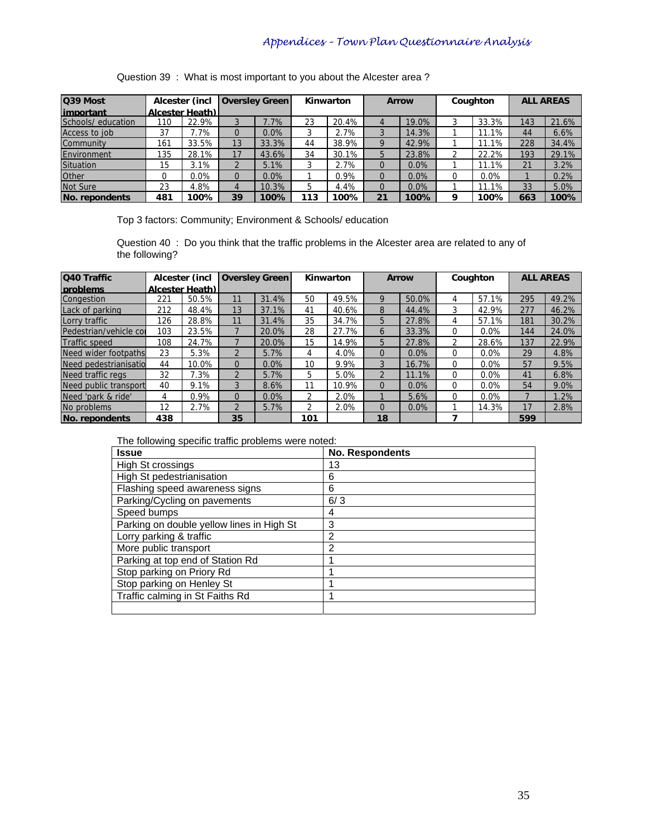Question 39 : What is most important to you about the Alcester area ?

| Q39 Most           |     | Alcester (incl  |          | <b>Oversley Green</b> |     | Kinwarton |          | <b>Arrow</b> |          | Coughton |     | <b>ALL AREAS</b> |
|--------------------|-----|-----------------|----------|-----------------------|-----|-----------|----------|--------------|----------|----------|-----|------------------|
| limportant         |     | Alcester Heath) |          |                       |     |           |          |              |          |          |     |                  |
| Schools/ education | 110 | 22.9%           |          | 7.7%                  | 23  | 20.4%     | 4        | 19.0%        | 3        | 33.3%    | 143 | 21.6%            |
| Access to job      | 37  | 7.7%            |          | 0.0%                  |     | 2.7%      |          | 14.3%        |          | .1%      | 44  | 6.6%             |
| Community          | 161 | 33.5%           | 13       | 33.3%                 | 44  | 38.9%     | 9        | 42.9%        |          | $1.1\%$  | 228 | 34.4%            |
| Environment        | 135 | 28.1%           | 17       | 43.6%                 | 34  | 30.1%     | 5        | 23.8%        | ◠        | 22.2%    | 193 | 29.1%            |
| Situation          | 15  | 3.1%            |          | 5.1%                  |     | 2.7%      | $\Omega$ | 0.0%         |          | $.1\%$   | 21  | 3.2%             |
| <b>Other</b>       |     | $0.0\%$         | $\Omega$ | 0.0%                  |     | 0.9%      | $\Omega$ | 0.0%         | $\Omega$ | $0.0\%$  |     | 0.2%             |
| Not Sure           | 23  | 4.8%            | 4        | 10.3%                 | 5   | 4.4%      | $\Omega$ | 0.0%         |          | 11.1%    | 33  | 5.0%             |
| INo. repondents    | 481 | 100%            | 39       | 100%                  | 113 | 100%      | 21       | 100%         | q        | 100%     | 663 | 100%             |

Top 3 factors: Community; Environment & Schools/ education

Question 40 : Do you think that the traffic problems in the Alcester area are related to any of the following?

| Q40 Traffic            |     | Alcester (incl  |                | <b>Oversley Green</b> |     | Kinwarton |               | <b>Arrow</b> |   | Coughton | <b>ALL AREAS</b> |       |
|------------------------|-----|-----------------|----------------|-----------------------|-----|-----------|---------------|--------------|---|----------|------------------|-------|
| <b>Iproblems</b>       |     | Alcester Heath) |                |                       |     |           |               |              |   |          |                  |       |
| Congestion             | 221 | 50.5%           | 11             | 31.4%                 | 50  | 49.5%     | g             | 50.0%        | 4 | 57.1%    | 295              | 49.2% |
| Lack of parking        | 212 | 48.4%           | 13             | 37.1%                 | 41  | 40.6%     | 8             | 44.4%        | 3 | 42.9%    | 277              | 46.2% |
| Lorry traffic          | 126 | 28.8%           | 11             | 31.4%                 | 35  | 34.7%     | 5             | 27.8%        | 4 | 57.1%    | 181              | 30.2% |
| Pedestrian/vehicle col | 103 | 23.5%           |                | 20.0%                 | 28  | 27.7%     | 6             | 33.3%        | 0 | 0.0%     | 144              | 24.0% |
| <b>Traffic speed</b>   | 108 | 24.7%           |                | 20.0%                 | 15  | 14.9%     | 5             | 27.8%        | 2 | 28.6%    | 137              | 22.9% |
| Need wider footpaths   | 23  | 5.3%            |                | 5.7%                  | 4   | 4.0%      | 0             | 0.0%         | 0 | $0.0\%$  | 29               | 4.8%  |
| Need pedestrianisatio  | 44  | 10.0%           |                | 0.0%                  | 10  | 9.9%      |               | 16.7%        | 0 | 0.0%     | 57               | 9.5%  |
| Need traffic regs      | 32  | 7.3%            |                | 5.7%                  | 5   | 5.0%      | $\mathcal{P}$ | 11.1%        | 0 | 0.0%     | 41               | 6.8%  |
| Need public transport  | 40  | 9.1%            |                | 8.6%                  | 11  | 10.9%     | 0             | 0.0%         | 0 | $0.0\%$  | 54               | 9.0%  |
| Need 'park & ride'     |     | 0.9%            | $\Omega$       | $0.0\%$               | າ   | 2.0%      |               | 5.6%         | 0 | 0.0%     |                  | 1.2%  |
| No problems            | 12  | 2.7%            | $\mathfrak{p}$ | 5.7%                  | 2   | 2.0%      | 0             | 0.0%         |   | 14.3%    | 17               | 2.8%  |
| <b>No. repondents</b>  | 438 |                 | 35             |                       | 101 |           | 18            |              |   |          | 599              |       |

The following specific traffic problems were noted:

| <b>Issue</b>                              | <b>No. Respondents</b> |
|-------------------------------------------|------------------------|
| High St crossings                         | 13                     |
| High St pedestrianisation                 | 6                      |
| Flashing speed awareness signs            | 6                      |
| Parking/Cycling on pavements              | 6/3                    |
| Speed bumps                               | 4                      |
| Parking on double yellow lines in High St | 3                      |
| Lorry parking & traffic                   | 2                      |
| More public transport                     | 2                      |
| Parking at top end of Station Rd          |                        |
| Stop parking on Priory Rd                 |                        |
| Stop parking on Henley St                 |                        |
| Traffic calming in St Faiths Rd           |                        |
|                                           |                        |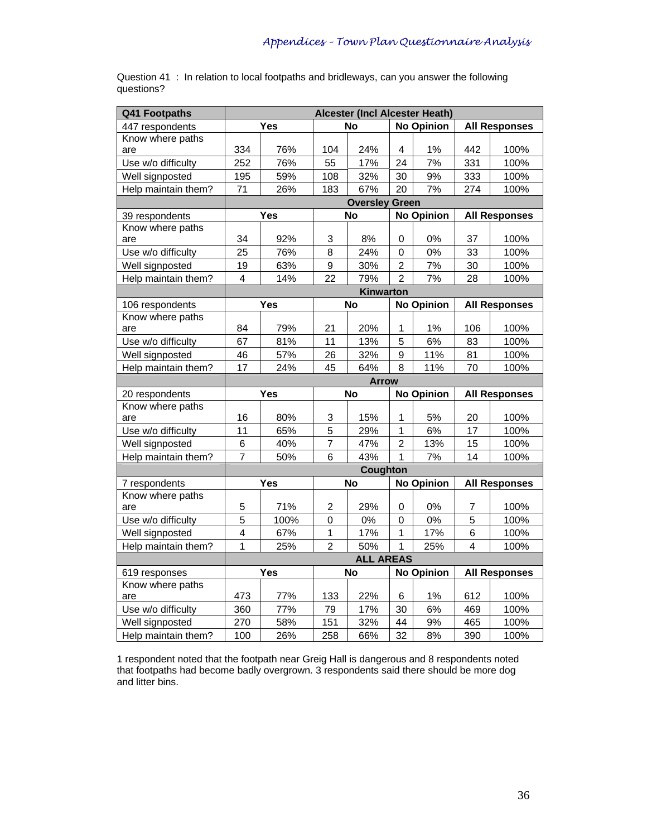| Q41 Footpaths           |                         |      |                | Alcester (Incl Alcester Heath) |                         |                   |     |                      |
|-------------------------|-------------------------|------|----------------|--------------------------------|-------------------------|-------------------|-----|----------------------|
| 447 respondents         |                         | Yes  |                | <b>No</b>                      |                         | <b>No Opinion</b> |     | <b>All Responses</b> |
| Know where paths        |                         |      |                |                                |                         |                   |     |                      |
| are                     | 334                     | 76%  | 104            | 24%                            | 4                       | 1%                | 442 | 100%                 |
| Use w/o difficulty      | 252                     | 76%  | 55             | 17%                            | 24                      | 7%                | 331 | 100%                 |
| Well signposted         | 195                     | 59%  | 108            | 32%                            | 30                      | 9%                | 333 | 100%                 |
| Help maintain them?     | 71                      | 26%  | 183            | 67%                            | 20                      | 7%                | 274 | 100%                 |
|                         |                         |      |                | <b>Oversley Green</b>          |                         |                   |     |                      |
| 39 respondents          |                         | Yes  |                | No                             |                         | <b>No Opinion</b> |     | <b>All Responses</b> |
| Know where paths        |                         |      |                |                                |                         |                   |     |                      |
| are                     | 34                      | 92%  | $\sqrt{3}$     | 8%                             | 0                       | $0\%$             | 37  | 100%                 |
| Use w/o difficulty      | 25                      | 76%  | 8              | 24%                            | 0                       | 0%                | 33  | 100%                 |
| Well signposted         | 19                      | 63%  | 9              | 30%                            | $\overline{\mathbf{c}}$ | 7%                | 30  | 100%                 |
| Help maintain them?     | 4                       | 14%  | 22             | 79%                            | $\overline{2}$          | 7%                | 28  | 100%                 |
|                         |                         |      |                | Kinwarton                      |                         |                   |     |                      |
| 106 respondents         |                         | Yes  |                | <b>No</b>                      |                         | <b>No Opinion</b> |     | <b>All Responses</b> |
| Know where paths        |                         |      |                |                                |                         |                   |     |                      |
| are                     | 84                      | 79%  | 21             | 20%                            | 1                       | 1%                | 106 | 100%                 |
| Use w/o difficulty      | 67                      | 81%  | 11             | 13%                            | 5                       | 6%                | 83  | 100%                 |
| Well signposted         | 46                      | 57%  | 26             | 32%                            | 9                       | 11%               | 81  | 100%                 |
| Help maintain them?     | 17                      | 24%  | 45             | 64%                            | 8                       | 11%               | 70  | 100%                 |
|                         |                         |      |                | <b>Arrow</b>                   |                         |                   |     |                      |
| 20 respondents          |                         | Yes  |                | <b>No</b>                      |                         | <b>No Opinion</b> |     | <b>All Responses</b> |
| Know where paths        |                         |      |                |                                |                         |                   |     |                      |
| are                     | 16                      | 80%  | 3              | 15%                            | 1                       | 5%                | 20  | 100%                 |
| Use w/o difficulty      | 11                      | 65%  | 5              | 29%                            | 1                       | 6%                | 17  | 100%                 |
| Well signposted         | 6                       | 40%  | $\overline{7}$ | 47%                            | 2                       | 13%               | 15  | 100%                 |
| Help maintain them?     | $\overline{7}$          | 50%  | 6              | 43%                            | 1                       | 7%                | 14  | 100%                 |
|                         |                         |      |                | Coughton                       |                         |                   |     |                      |
| 7 respondents           |                         | Yes  |                | <b>No</b>                      |                         | <b>No Opinion</b> |     | <b>All Responses</b> |
| Know where paths<br>are | 5                       | 71%  | 2              | 29%                            | 0                       | $0\%$             | 7   | 100%                 |
| Use w/o difficulty      | 5                       | 100% | $\mathbf 0$    | 0%                             | 0                       | 0%                | 5   | 100%                 |
| Well signposted         | $\overline{\mathbf{4}}$ | 67%  | 1              | 17%                            | 1                       | 17%               | 6   | 100%                 |
| Help maintain them?     | $\mathbf{1}$            | 25%  | $\overline{c}$ | 50%                            | $\mathbf{1}$            | 25%               | 4   | 100%                 |
|                         |                         |      |                | <b>ALL AREAS</b>               |                         |                   |     |                      |
| 619 responses           |                         | Yes  |                | <b>No</b>                      |                         | <b>No Opinion</b> |     | <b>All Responses</b> |
| Know where paths        |                         |      |                |                                |                         |                   |     |                      |
| are                     | 473                     | 77%  | 133            | 22%                            | 6                       | 1%                | 612 | 100%                 |
| Use w/o difficulty      | 360                     | 77%  | 79             | 17%                            | 30                      | 6%                | 469 | 100%                 |
| Well signposted         | 270                     | 58%  | 151            | 32%                            | 44                      | 9%                | 465 | 100%                 |
| Help maintain them?     | 100                     | 26%  | 258            | 66%                            | 32                      | 8%                | 390 | 100%                 |

Question 41 : In relation to local footpaths and bridleways, can you answer the following questions?

1 respondent noted that the footpath near Greig Hall is dangerous and 8 respondents noted that footpaths had become badly overgrown. 3 respondents said there should be more dog and litter bins.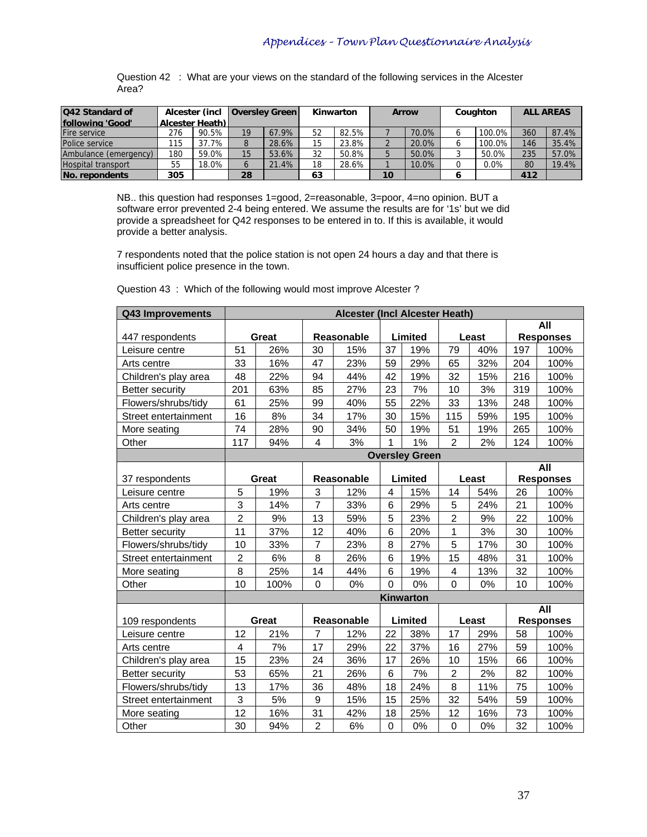Question 42 : What are your views on the standard of the following services in the Alcester Area?

| Q42 Standard of           |                        | Alcester (incl |          | <b>Oversley Green</b> |    | Kinwarton |    | <b>Arrow</b> | Coughton  |     | <b>ALL AREAS</b> |
|---------------------------|------------------------|----------------|----------|-----------------------|----|-----------|----|--------------|-----------|-----|------------------|
| following 'Good'          | <b>Alcester Heath)</b> |                |          |                       |    |           |    |              |           |     |                  |
| <b>Fire service</b>       | 276                    | 90.5%          | 19       | 67.9%                 | 52 | 82.5%     |    | 70.0%        | $100.0\%$ | 360 | 87.4%            |
| Police service            | 115                    | 37.7%          |          | 28.6%                 | 15 | 23.8%     |    | 20.0%        | $100.0\%$ | 146 | 35.4%            |
| Ambulance (emergency)     | 180                    | 59.0%          | 15       | 53.6%                 | 32 | 50.8%     |    | 50.0%        | 50.0%     | 235 | 57.0%            |
| <b>Hospital transport</b> | 55                     | 18.0%          | $\sigma$ | 21.4%                 | 18 | 28.6%     |    | 10.0%        | 0.0%      | 80  | 19.4%            |
| INo. repondents           | 305                    |                | 28       |                       | 63 |           | 10 |              |           | 412 |                  |

NB.. this question had responses 1=good, 2=reasonable, 3=poor, 4=no opinion. BUT a software error prevented 2-4 being entered. We assume the results are for '1s' but we did provide a spreadsheet for Q42 responses to be entered in to. If this is available, it would provide a better analysis.

7 respondents noted that the police station is not open 24 hours a day and that there is insufficient police presence in the town.

| Q43 Improvements       |                         |              |                | Alcester (Incl Alcester Heath) |          |                       |                |       |     |                  |
|------------------------|-------------------------|--------------|----------------|--------------------------------|----------|-----------------------|----------------|-------|-----|------------------|
|                        |                         |              |                |                                |          |                       |                |       |     | All              |
| 447 respondents        |                         | Great        |                | Reasonable                     |          | Limited               |                | Least |     | <b>Responses</b> |
| Leisure centre         | 51                      | 26%          | 30             | 15%                            | 37       | 19%                   | 79             | 40%   | 197 | 100%             |
| Arts centre            | 33                      | 16%          | 47             | 23%                            | 59       | 29%                   | 65             | 32%   | 204 | 100%             |
| Children's play area   | 48                      | 22%          | 94             | 44%                            | 42       | 19%                   | 32             | 15%   | 216 | 100%             |
| <b>Better security</b> | 201                     | 63%          | 85             | 27%                            | 23       | 7%                    | 10             | 3%    | 319 | 100%             |
| Flowers/shrubs/tidy    | 61                      | 25%          | 99             | 40%                            | 55       | 22%                   | 33             | 13%   | 248 | 100%             |
| Street entertainment   | 16                      | 8%           | 34             | 17%                            | 30       | 15%                   | 115            | 59%   | 195 | 100%             |
| More seating           | 74                      | 28%          | 90             | 34%                            | 50       | 19%                   | 51             | 19%   | 265 | 100%             |
| Other                  | 117                     | 94%          | 4              | 3%                             | 1        | 1%                    | $\overline{2}$ | 2%    | 124 | 100%             |
|                        |                         |              |                |                                |          | <b>Oversley Green</b> |                |       |     |                  |
|                        |                         |              |                |                                |          |                       |                |       |     | All              |
| 37 respondents         |                         | <b>Great</b> |                | <b>Reasonable</b>              |          | Limited               |                | Least |     | <b>Responses</b> |
| Leisure centre         | 5                       | 19%          | 3              | 12%                            | 4        | 15%                   | 14             | 54%   | 26  | 100%             |
| Arts centre            | 3                       | 14%          | $\overline{7}$ | 33%                            | 6        | 29%                   | 5              | 24%   | 21  | 100%             |
| Children's play area   | $\overline{c}$          | 9%           | 13             | 59%                            | 5        | 23%                   | $\overline{c}$ | 9%    | 22  | 100%             |
| Better security        | 11                      | 37%          | 12             | 40%                            | 6        | 20%                   | 1              | 3%    | 30  | 100%             |
| Flowers/shrubs/tidy    | 10                      | 33%          | $\overline{7}$ | 23%                            | 8        | 27%                   | 5              | 17%   | 30  | 100%             |
| Street entertainment   | $\overline{2}$          | 6%           | 8              | 26%                            | 6        | 19%                   | 15             | 48%   | 31  | 100%             |
| More seating           | 8                       | 25%          | 14             | 44%                            | 6        | 19%                   | 4              | 13%   | 32  | 100%             |
| Other                  | 10                      | 100%         | 0              | 0%                             | $\Omega$ | 0%                    | $\Omega$       | 0%    | 10  | 100%             |
|                        |                         |              |                |                                |          | <b>Kinwarton</b>      |                |       |     |                  |
|                        |                         |              |                |                                |          |                       |                |       |     | All              |
| 109 respondents        |                         | Great        |                | Reasonable                     |          | Limited               |                | Least |     | <b>Responses</b> |
| Leisure centre         | 12                      | 21%          | $\overline{7}$ | 12%                            | 22       | 38%                   | 17             | 29%   | 58  | 100%             |
| Arts centre            | $\overline{\mathbf{4}}$ | 7%           | 17             | 29%                            | 22       | 37%                   | 16             | 27%   | 59  | 100%             |
| Children's play area   | 15                      | 23%          | 24             | 36%                            | 17       | 26%                   | 10             | 15%   | 66  | 100%             |
| <b>Better security</b> | 53                      | 65%          | 21             | 26%                            | 6        | 7%                    | $\overline{2}$ | 2%    | 82  | 100%             |
| Flowers/shrubs/tidy    | 13                      | 17%          | 36             | 48%                            | 18       | 24%                   | 8              | 11%   | 75  | 100%             |
| Street entertainment   | 3                       | 5%           | 9              | 15%                            | 15       | 25%                   | 32             | 54%   | 59  | 100%             |
| More seating           | 12                      | 16%          | 31             | 42%                            | 18       | 25%                   | 12             | 16%   | 73  | 100%             |
| Other                  | 30                      | 94%          | $\overline{2}$ | 6%                             | $\Omega$ | 0%                    | 0              | 0%    | 32  | 100%             |

Question 43 : Which of the following would most improve Alcester ?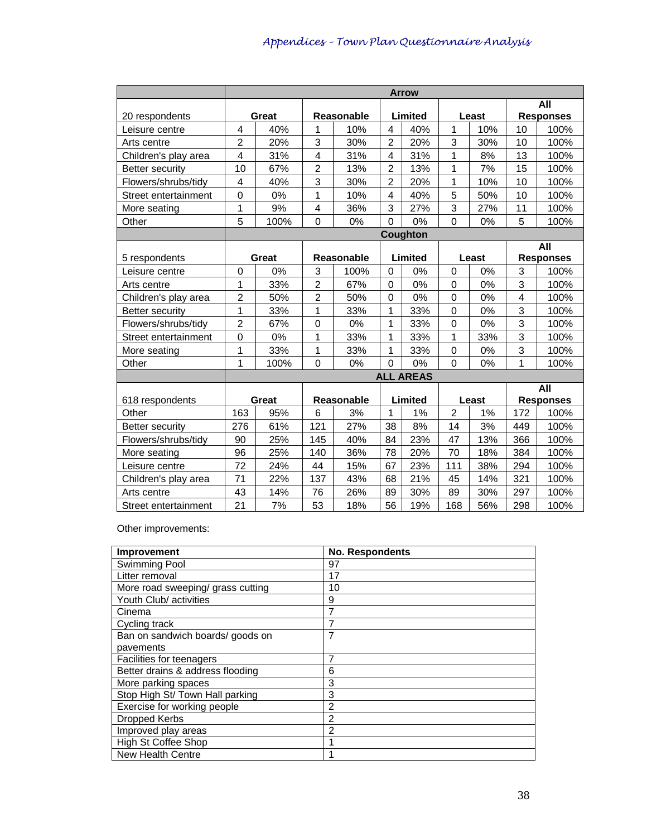|                        | <b>Arrow</b>             |              |                |            |                         |                  |                |       |                         |                  |  |  |  |
|------------------------|--------------------------|--------------|----------------|------------|-------------------------|------------------|----------------|-------|-------------------------|------------------|--|--|--|
|                        |                          |              |                |            |                         |                  |                |       |                         | All              |  |  |  |
| 20 respondents         |                          | <b>Great</b> |                | Reasonable |                         | Limited          |                | Least |                         | <b>Responses</b> |  |  |  |
| Leisure centre         | 4                        | 40%          | 1              | 10%        | $\overline{\mathbf{4}}$ | 40%              | 1              | 10%   | 10                      | 100%             |  |  |  |
| Arts centre            | $\overline{c}$           | 20%          | 3              | 30%        | $\overline{2}$          | 20%              | 3              | 30%   | 10                      | 100%             |  |  |  |
| Children's play area   | 4                        | 31%          | 4              | 31%        | 4                       | 31%              | 1              | 8%    | 13                      | 100%             |  |  |  |
| <b>Better security</b> | 10                       | 67%          | $\overline{2}$ | 13%        | $\overline{2}$          | 13%              | 1              | 7%    | 15                      | 100%             |  |  |  |
| Flowers/shrubs/tidy    | $\overline{\mathcal{A}}$ | 40%          | 3              | 30%        | $\overline{2}$          | 20%              | 1              | 10%   | 10                      | 100%             |  |  |  |
| Street entertainment   | $\mathbf 0$              | 0%           | 1              | 10%        | $\overline{4}$          | 40%              | 5              | 50%   | 10                      | 100%             |  |  |  |
| More seating           | 1                        | 9%           | 4              | 36%        | 3                       | 27%              | 3              | 27%   | 11                      | 100%             |  |  |  |
| Other                  | 5                        | 100%         | $\mathbf 0$    | 0%         | $\Omega$                | 0%               | $\overline{0}$ | 0%    | 5                       | 100%             |  |  |  |
|                        |                          |              |                |            |                         | Coughton         |                |       |                         |                  |  |  |  |
|                        |                          |              |                |            |                         |                  |                |       | All                     |                  |  |  |  |
| 5 respondents          |                          | Great        |                | Reasonable |                         | Limited          |                | Least |                         | <b>Responses</b> |  |  |  |
| Leisure centre         | 3<br>$\mathbf 0$<br>0%   |              | 100%           | $\Omega$   | 0%                      | $\mathbf 0$      | 0%             | 3     | 100%                    |                  |  |  |  |
| Arts centre            | 1                        | 33%          | $\overline{2}$ | 67%        | $\Omega$                | 0%               | 0              | 0%    | 3                       | 100%             |  |  |  |
| Children's play area   | $\overline{c}$           | 50%          | $\overline{2}$ | 50%        | $\Omega$                | 0%               | 0              | 0%    | $\overline{\mathbf{4}}$ | 100%             |  |  |  |
| <b>Better security</b> | 1                        | 33%          | $\mathbf{1}$   | 33%        | 1                       | 33%              | 0              | 0%    | 3                       | 100%             |  |  |  |
| Flowers/shrubs/tidy    | $\overline{2}$           | 67%          | $\mathbf 0$    | 0%         | 1                       | 33%              | $\mathbf 0$    | 0%    | 3                       | 100%             |  |  |  |
| Street entertainment   | $\boldsymbol{0}$         | 0%           | 1              | 33%        | 1                       | 33%              | 1              | 33%   | 3                       | 100%             |  |  |  |
| More seating           | 1                        | 33%          | 1              | 33%        | 1                       | 33%              | 0              | 0%    | 3                       | 100%             |  |  |  |
| Other                  | 1                        | 100%         | 0              | 0%         | $\Omega$                | 0%               | 0              | 0%    | 1                       | 100%             |  |  |  |
|                        |                          |              |                |            |                         | <b>ALL AREAS</b> |                |       |                         |                  |  |  |  |
|                        |                          |              |                |            |                         |                  |                |       |                         | All              |  |  |  |
| 618 respondents        |                          | Great        |                | Reasonable |                         | Limited          |                | Least |                         | <b>Responses</b> |  |  |  |
| Other                  | 163                      | 95%          | 6              | 3%         | $\mathbf{1}$            | 1%               | $\overline{2}$ | 1%    | 172                     | 100%             |  |  |  |
| <b>Better security</b> | 276                      | 61%          | 121            | 27%        | 38                      | 8%               | 14             | 3%    | 449                     | 100%             |  |  |  |
| Flowers/shrubs/tidy    | 90                       | 25%          | 145            | 40%        | 84                      | 23%              | 47             | 13%   | 366                     | 100%             |  |  |  |
| More seating           | 96                       | 25%          | 140            | 36%        | 78                      | 20%              | 70             | 18%   | 384                     | 100%             |  |  |  |
| Leisure centre         | 72                       | 24%          | 44             | 15%        | 67                      | 23%              | 111            | 38%   | 294                     | 100%             |  |  |  |
| Children's play area   | 71                       | 22%          | 137            | 43%        | 68                      | 21%              | 45             | 14%   | 321                     | 100%             |  |  |  |
| Arts centre            | 43                       | 14%          | 76             | 26%        | 89                      | 30%              | 89             | 30%   | 297                     | 100%             |  |  |  |
| Street entertainment   | 21                       | 7%           | 53             | 18%        | 56                      | 19%              | 168            | 56%   | 298                     | 100%             |  |  |  |

Other improvements:

| <b>Improvement</b>                | <b>No. Respondents</b> |
|-----------------------------------|------------------------|
| Swimming Pool                     | 97                     |
| Litter removal                    | 17                     |
| More road sweeping/ grass cutting | 10                     |
| Youth Club/ activities            | 9                      |
| Cinema                            | 7                      |
| Cycling track                     |                        |
| Ban on sandwich boards/ goods on  | 7                      |
| pavements                         |                        |
| Facilities for teenagers          |                        |
| Better drains & address flooding  | 6                      |
| More parking spaces               | 3                      |
| Stop High St/ Town Hall parking   | 3                      |
| Exercise for working people       | 2                      |
| Dropped Kerbs                     | 2                      |
| Improved play areas               | 2                      |
| <b>High St Coffee Shop</b>        |                        |
| New Health Centre                 |                        |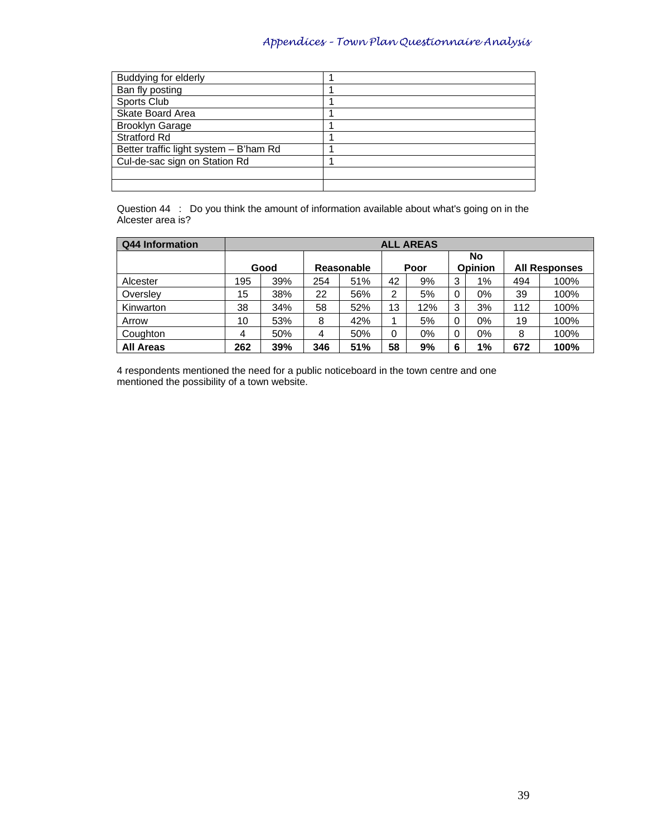| <b>Buddying for elderly</b>            |  |
|----------------------------------------|--|
| Ban fly posting                        |  |
| Sports Club                            |  |
| Skate Board Area                       |  |
| <b>Brooklyn Garage</b>                 |  |
| <b>Stratford Rd</b>                    |  |
| Better traffic light system - B'ham Rd |  |
| Cul-de-sac sign on Station Rd          |  |
|                                        |  |
|                                        |  |

Question 44 : Do you think the amount of information available about what's going on in the Alcester area is?

| Q44 Information  |          |            |    |            |    | <b>ALL AREAS</b> |   |               |                      |      |
|------------------|----------|------------|----|------------|----|------------------|---|---------------|----------------------|------|
|                  | Good     |            |    | Reasonable |    | Poor             |   | No<br>Opinion | <b>All Responses</b> |      |
| Alcester         | 195      | 39%<br>254 |    | 51%        | 42 | 9%               | 3 | 1%            | 494                  | 100% |
| Overslev         | 15       | 38%        | 22 | 56%        | 2  | 5%               | 0 | $0\%$         | 39                   | 100% |
| Kinwarton        | 38       | 34%        | 58 | 52%        | 13 | 12%              | 3 | 3%            | 112                  | 100% |
| Arrow            | 10       | 53%        | 8  | 42%        |    | 5%               | 0 | 0%            | 19                   | 100% |
| Coughton         | 50%<br>4 |            | 4  | 50%        | 0  | $0\%$            | 0 | $0\%$         | 8                    | 100% |
| <b>All Areas</b> | 262      | 39%<br>346 |    | 51%        | 58 | 9%               | 6 | 1%            | 672                  | 100% |

4 respondents mentioned the need for a public noticeboard in the town centre and one mentioned the possibility of a town website.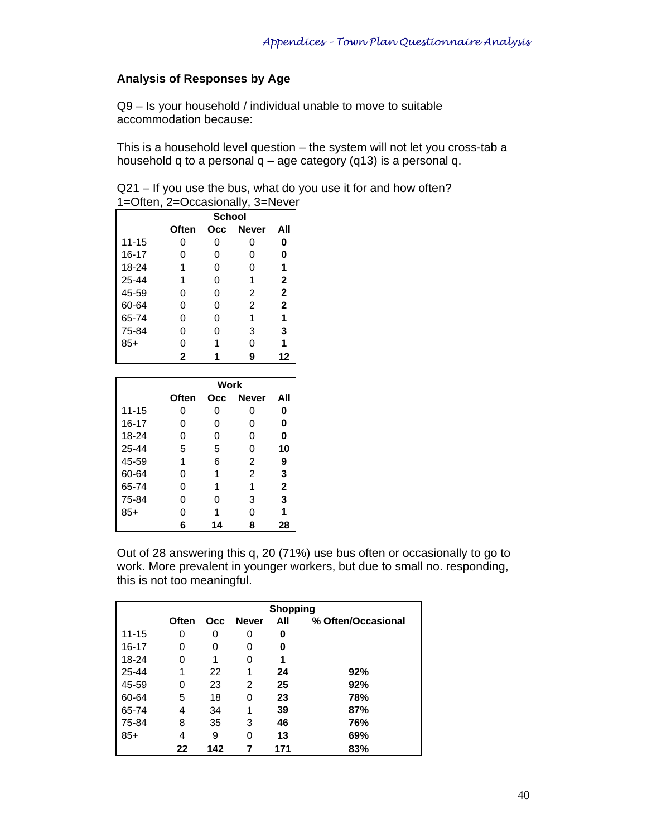### **Analysis of Responses by Age**

Q9 – Is your household / individual unable to move to suitable accommodation because:

This is a household level question – the system will not let you cross-tab a household q to a personal  $q - age$  category (q13) is a personal q.

Q21 – If you use the bus, what do you use it for and how often? 1=Often, 2=Occasionally, 3=Never

|           |       | <b>School</b> |              |              |
|-----------|-------|---------------|--------------|--------------|
|           | Often | Occ           | <b>Never</b> | All          |
| $11 - 15$ | O     | O             | ი            | 0            |
| $16 - 17$ | 0     | 0             | 0            | 0            |
| 18-24     |       | O             | ი            | 1            |
| $25 - 44$ |       | O             | 1            | $\mathbf{2}$ |
| 45-59     | Ω     | O             | 2            | $\mathbf{2}$ |
| 60-64     | O     | O             | 2            | $\mathbf{2}$ |
| 65-74     | O     | O             | 1            | 1            |
| 75-84     | O     | O             | 3            | 3            |
| $85+$     | 0     |               | ი            | 1            |
|           | 2     |               |              | 12           |

|           |       | Work |              |             |
|-----------|-------|------|--------------|-------------|
|           | Often | Occ  | <b>Never</b> | All         |
| $11 - 15$ | 0     | 0    | 0            | 0           |
| $16 - 17$ | 0     | 0    | 0            | 0           |
| 18-24     | 0     | 0    | 0            | 0           |
| 25-44     | 5     | 5    | $\Omega$     | 10          |
| 45-59     | 1     | 6    | 2            | 9           |
| 60-64     | 0     | 1    | 2            | 3           |
| 65-74     | 0     |      | 1            | $\mathbf 2$ |
| 75-84     | 0     | 0    | 3            | 3           |
| $85+$     | 0     |      | ი            | 1           |
|           | 6     |      | 8            | 28          |

Out of 28 answering this q, 20 (71%) use bus often or occasionally to go to work. More prevalent in younger workers, but due to small no. responding, this is not too meaningful.

|           |       |     |              | <b>Shopping</b> |                    |
|-----------|-------|-----|--------------|-----------------|--------------------|
|           | Often | Occ | <b>Never</b> | All             | % Often/Occasional |
| $11 - 15$ | 0     | 0   | 0            | 0               |                    |
| 16-17     | 0     | 0   | 0            | 0               |                    |
| 18-24     | 0     | 1   | 0            | 1               |                    |
| $25 - 44$ | 1     | 22  | 1            | 24              | 92%                |
| 45-59     | 0     | 23  | 2            | 25              | 92%                |
| 60-64     | 5     | 18  | 0            | 23              | 78%                |
| 65-74     | 4     | 34  | 1            | 39              | 87%                |
| 75-84     | 8     | 35  | 3            | 46              | 76%                |
| $85+$     | 4     | 9   | 0            | 13              | 69%                |
|           | 22    | 142 |              | 171             | 83%                |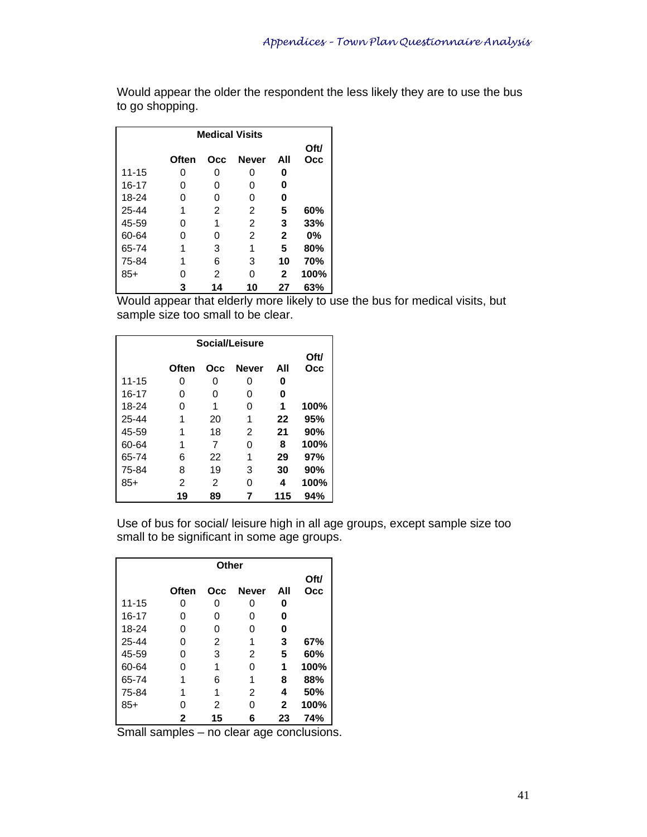Would appear the older the respondent the less likely they are to use the bus to go shopping.

| <b>Medical Visits</b> |       |     |              |              |      |  |  |  |  |  |  |  |
|-----------------------|-------|-----|--------------|--------------|------|--|--|--|--|--|--|--|
|                       |       |     |              |              | Oft/ |  |  |  |  |  |  |  |
|                       | Often | Occ | <b>Never</b> | All          | Occ  |  |  |  |  |  |  |  |
| $11 - 15$             | 0     | 0   | 0            | 0            |      |  |  |  |  |  |  |  |
| $16 - 17$             | O     | 0   | O            | 0            |      |  |  |  |  |  |  |  |
| 18-24                 | ი     | ი   | ი            | 0            |      |  |  |  |  |  |  |  |
| 25-44                 | 1     | 2   | 2            | 5            | 60%  |  |  |  |  |  |  |  |
| 45-59                 | O     | 1   | 2            | 3            | 33%  |  |  |  |  |  |  |  |
| 60-64                 | O     | O   | 2            | $\mathbf{2}$ | 0%   |  |  |  |  |  |  |  |
| 65-74                 | 1     | 3   | 1            | 5            | 80%  |  |  |  |  |  |  |  |
| 75-84                 | 1     | 6   | 3            | 10           | 70%  |  |  |  |  |  |  |  |
| $85+$                 | O     | 2   | ი            | 2            | 100% |  |  |  |  |  |  |  |
|                       | 3     | 14  | 10           | 27           | 63%  |  |  |  |  |  |  |  |

Would appear that elderly more likely to use the bus for medical visits, but sample size too small to be clear.

| Social/Leisure |       |     |              |     |      |  |  |  |  |  |  |
|----------------|-------|-----|--------------|-----|------|--|--|--|--|--|--|
|                |       |     |              |     | Oft/ |  |  |  |  |  |  |
|                | Often | Occ | <b>Never</b> | All | Occ  |  |  |  |  |  |  |
| $11 - 15$      | 0     | 0   | O            | 0   |      |  |  |  |  |  |  |
| 16-17          | 0     | 0   | O            | 0   |      |  |  |  |  |  |  |
| 18-24          | 0     | 1   | ი            | 1   | 100% |  |  |  |  |  |  |
| 25-44          | 1     | 20  | 1            | 22  | 95%  |  |  |  |  |  |  |
| 45-59          | 1     | 18  | 2            | 21  | 90%  |  |  |  |  |  |  |
| 60-64          | 1     | 7   | ი            | 8   | 100% |  |  |  |  |  |  |
| 65-74          | 6     | 22  | 1            | 29  | 97%  |  |  |  |  |  |  |
| 75-84          | 8     | 19  | 3            | 30  | 90%  |  |  |  |  |  |  |
| $85+$          | 2     | 2   | ი            | 4   | 100% |  |  |  |  |  |  |
|                | 19    | 89  |              | 115 | 94%  |  |  |  |  |  |  |

Use of bus for social/ leisure high in all age groups, except sample size too small to be significant in some age groups.

| Other     |       |     |              |              |      |  |  |  |  |  |  |  |
|-----------|-------|-----|--------------|--------------|------|--|--|--|--|--|--|--|
|           |       |     |              |              | Oft/ |  |  |  |  |  |  |  |
|           | Often | Occ | <b>Never</b> | All          | Occ  |  |  |  |  |  |  |  |
| $11 - 15$ | 0     | 0   | 0            | 0            |      |  |  |  |  |  |  |  |
| $16 - 17$ | 0     | 0   | 0            | 0            |      |  |  |  |  |  |  |  |
| 18-24     | 0     | 0   | 0            | 0            |      |  |  |  |  |  |  |  |
| 25-44     | 0     | 2   | 1            | 3            | 67%  |  |  |  |  |  |  |  |
| 45-59     | 0     | 3   | 2            | 5            | 60%  |  |  |  |  |  |  |  |
| 60-64     | 0     | 1   | 0            | 1            | 100% |  |  |  |  |  |  |  |
| 65-74     | 1     | 6   | 1            | 8            | 88%  |  |  |  |  |  |  |  |
| 75-84     |       | 1   | 2            | 4            | 50%  |  |  |  |  |  |  |  |
| $85+$     | ი     | 2   | ი            | $\mathbf{2}$ | 100% |  |  |  |  |  |  |  |
|           | 2     | 15  | 6            | 23           | 74%  |  |  |  |  |  |  |  |

Small samples – no clear age conclusions.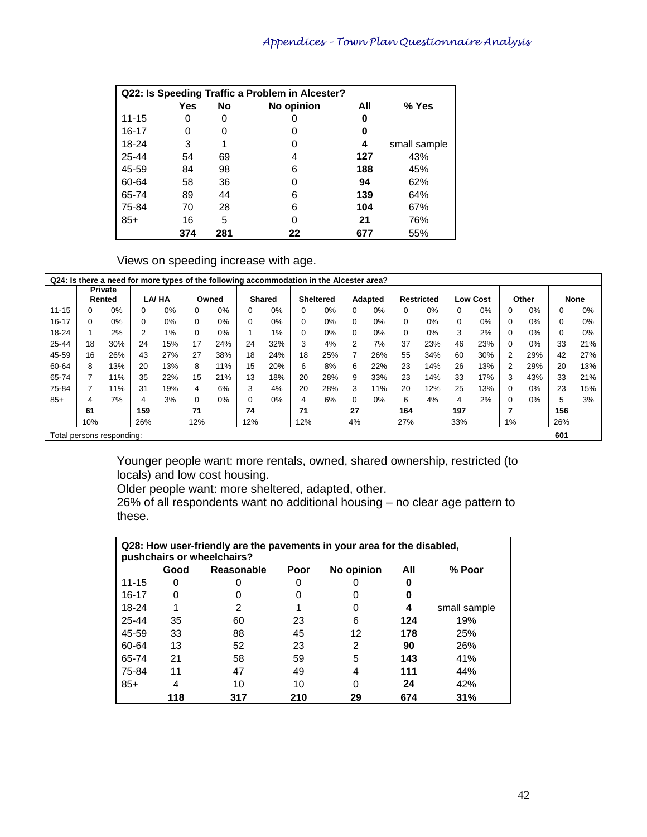|           |     | Q22: Is Speeding Traffic a Problem in Alcester? |            |     |              |
|-----------|-----|-------------------------------------------------|------------|-----|--------------|
|           | Yes | No                                              | No opinion | All | % Yes        |
| $11 - 15$ | 0   | O                                               |            | O   |              |
| 16-17     | 0   | O                                               |            | O   |              |
| 18-24     | 3   |                                                 |            | 4   | small sample |
| $25 - 44$ | 54  | 69                                              | 4          | 127 | 43%          |
| 45-59     | 84  | 98                                              | 6          | 188 | 45%          |
| 60-64     | 58  | 36                                              | ი          | 94  | 62%          |
| 65-74     | 89  | 44                                              | 6          | 139 | 64%          |
| 75-84     | 70  | 28                                              | 6          | 104 | 67%          |
| $85+$     | 16  | 5                                               | O          | 21  | 76%          |
|           | 374 | 281                                             | 22         | 677 | 55%          |

Views on speeding increase with age.

| Q24: Is there a need for more types of the following accommodation in the Alcester area? |          |                |     |       |          |       |          |               |     |                  |          |         |          |                   |          |                 |                |       |          |       |
|------------------------------------------------------------------------------------------|----------|----------------|-----|-------|----------|-------|----------|---------------|-----|------------------|----------|---------|----------|-------------------|----------|-----------------|----------------|-------|----------|-------|
|                                                                                          |          | <b>Private</b> |     |       |          |       |          |               |     |                  |          |         |          |                   |          |                 |                |       |          |       |
|                                                                                          |          | Rented         |     | LA/HA |          | Owned |          | <b>Shared</b> |     | <b>Sheltered</b> |          | Adapted |          | <b>Restricted</b> |          | <b>Low Cost</b> |                | Other |          | None  |
| $11 - 15$                                                                                | $\Omega$ | 0%             | 0   | $0\%$ | 0        | 0%    | 0        | $0\%$         |     | 0%               | 0        | 0%      | 0        | 0%                | 0        | $0\%$           | $\Omega$       | 0%    | 0        | 0%    |
| $16 - 17$                                                                                | $\Omega$ | $0\%$          | 0   | $0\%$ | $\Omega$ | 0%    | $\Omega$ | $0\%$         |     | 0%               | $\Omega$ | 0%      | $\Omega$ | 0%                | $\Omega$ | $0\%$           | $\Omega$       | 0%    | $\Omega$ | 0%    |
| 18-24                                                                                    |          | 2%             | 2   | 1%    | $\Omega$ | 0%    |          | 1%            |     | 0%               | $\Omega$ | 0%      | $\Omega$ | 0%                | 3        | 2%              | $\Omega$       | 0%    | 0        | $0\%$ |
| 25-44                                                                                    | 18       | 30%            | 24  | 15%   | 17       | 24%   | 24       | 32%           | 3   | 4%               | 2        | 7%      | 37       | 23%               | 46       | 23%             | $\Omega$       | 0%    | 33       | 21%   |
| 45-59                                                                                    | 16       | 26%            | 43  | 27%   | 27       | 38%   | 18       | 24%           | 18  | 25%              |          | 26%     | 55       | 34%               | 60       | 30%             | $\overline{2}$ | 29%   | 42       | 27%   |
| 60-64                                                                                    | 8        | 13%            | 20  | 13%   | 8        | 11%   | 15       | 20%           | 6   | 8%               | 6        | 22%     | 23       | 14%               | 26       | 13%             | 2              | 29%   | 20       | 13%   |
| 65-74                                                                                    | 7        | 11%            | 35  | 22%   | 15       | 21%   | 13       | 18%           | 20  | 28%              | 9        | 33%     | 23       | 14%               | 33       | 17%             | 3              | 43%   | 33       | 21%   |
| 75-84                                                                                    | 7        | 11%            | 31  | 19%   | 4        | 6%    | 3        | 4%            | 20  | 28%              | 3        | 11%     | 20       | 12%               | 25       | 13%             | $\Omega$       | 0%    | 23       | 15%   |
| $85+$                                                                                    | 4        | 7%             | 4   | 3%    | $\Omega$ | 0%    | 0        | 0%            | 4   | 6%               | $\Omega$ | 0%      | 6        | 4%                | 4        | 2%              | $\Omega$       | 0%    | 5        | 3%    |
|                                                                                          | 61       |                | 159 |       | 71       |       | 74       |               | 71  |                  | 27       |         | 164      |                   | 197      |                 | 7              |       | 156      |       |
|                                                                                          | 10%      |                | 26% |       | 12%      |       | 12%      |               | 12% |                  | 4%       |         | 27%      |                   | 33%      |                 | 1%             |       | 26%      |       |
| Total persons responding:                                                                |          |                |     |       |          |       |          |               |     |                  |          |         |          |                   |          |                 |                |       | 601      |       |

Younger people want: more rentals, owned, shared ownership, restricted (to locals) and low cost housing.

Older people want: more sheltered, adapted, other.

26% of all respondents want no additional housing – no clear age pattern to these.

|           |      | Q28: How user-friendly are the pavements in your area for the disabled,<br>pushchairs or wheelchairs? |      |            |     |              |
|-----------|------|-------------------------------------------------------------------------------------------------------|------|------------|-----|--------------|
|           | Good | Reasonable                                                                                            | Poor | No opinion | All | % Poor       |
| $11 - 15$ | 0    |                                                                                                       | 0    |            | O   |              |
| 16-17     | 0    |                                                                                                       | O    |            | 0   |              |
| 18-24     |      | 2                                                                                                     |      | O          | 4   | small sample |
| 25-44     | 35   | 60                                                                                                    | 23   | 6          | 124 | 19%          |
| 45-59     | 33   | 88                                                                                                    | 45   | 12         | 178 | 25%          |
| 60-64     | 13   | 52                                                                                                    | 23   | 2          | 90  | 26%          |
| 65-74     | 21   | 58                                                                                                    | 59   | 5          | 143 | 41%          |
| 75-84     | 11   | 47                                                                                                    | 49   | 4          | 111 | 44%          |
| $85+$     | 4    | 10                                                                                                    | 10   | O          | 24  | 42%          |
|           | 118  | 317                                                                                                   | 210  | 29         | 674 | 31%          |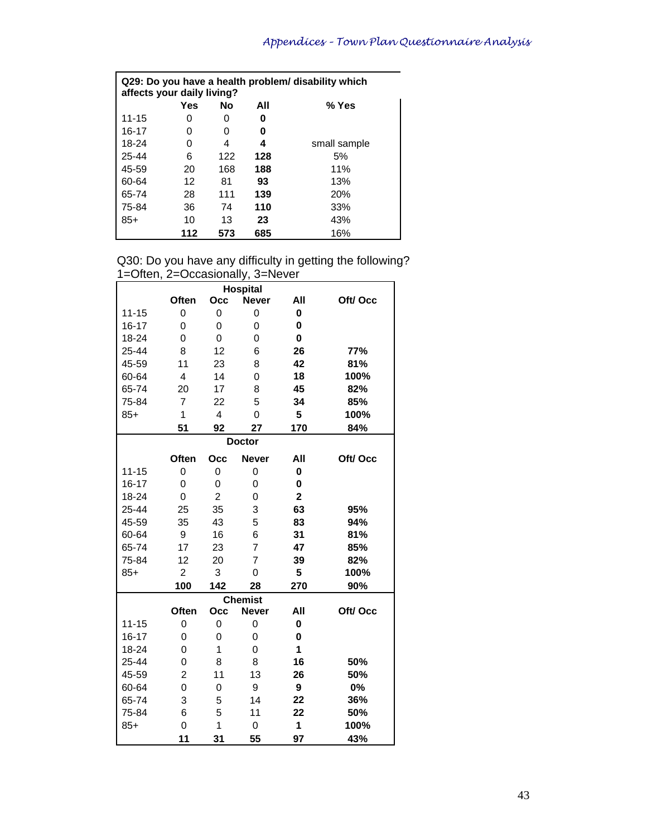| affects your daily living? |     |     |     | Q29: Do you have a health problem/ disability which |
|----------------------------|-----|-----|-----|-----------------------------------------------------|
|                            | Yes | No  | All | % Yes                                               |
| $11 - 15$                  | O   | O   | O   |                                                     |
| 16-17                      | ი   | O   | O   |                                                     |
| 18-24                      | O   | 4   | 4   | small sample                                        |
| 25-44                      | 6   | 122 | 128 | 5%                                                  |
| 45-59                      | 20  | 168 | 188 | 11%                                                 |
| 60-64                      | 12  | 81  | 93  | 13%                                                 |
| 65-74                      | 28  | 111 | 139 | <b>20%</b>                                          |
| 75-84                      | 36  | 74  | 110 | 33%                                                 |
| $85+$                      | 10  | 13  | 23  | 43%                                                 |
|                            | 112 | 573 | 685 | 16%                                                 |

### Q30: Do you have any difficulty in getting the following? 1=Often, 2=Occasionally, 3=Never

|           |                         | ,,,,,,,,,,,,   | <b>Hospital</b> |                         |         |
|-----------|-------------------------|----------------|-----------------|-------------------------|---------|
|           | Often                   | Occ            | <b>Never</b>    | All                     | Oft/Occ |
| $11 - 15$ | $\overline{0}$          | 0              | $\overline{0}$  | $\mathbf 0$             |         |
| $16 - 17$ | 0                       | 0              | $\Omega$        | $\mathbf 0$             |         |
| 18-24     | $\overline{0}$          | $\overline{0}$ | 0               | 0                       |         |
| 25-44     | 8                       | 12             | 6               | 26                      | 77%     |
| 45-59     | 11                      | 23             | 8               | 42                      | 81%     |
| 60-64     | $\overline{\mathbf{4}}$ | 14             | 0               | 18                      | 100%    |
| 65-74     | 20                      | 17             | 8               | 45                      | 82%     |
| 75-84     | $\overline{7}$          | 22             | 5               | 34                      | 85%     |
| $85+$     | 1                       | $\overline{4}$ | 0               | 5                       | 100%    |
|           | 51                      | 92             | 27              | 170                     | 84%     |
|           |                         |                | <b>Doctor</b>   |                         |         |
|           | Often                   | Occ            | <b>Never</b>    | All                     | Oft/Occ |
| $11 - 15$ | $\overline{0}$          | 0              | 0               | $\mathbf 0$             |         |
| $16 - 17$ | 0                       | 0              | $\Omega$        | 0                       |         |
| 18-24     | 0                       | $\overline{2}$ | 0               | $\overline{\mathbf{2}}$ |         |
| 25-44     | 25                      | 35             | 3               | 63                      | 95%     |
| 45-59     | 35                      | 43             | 5               | 83                      | 94%     |
| 60-64     | 9                       | 16             | 6               | 31                      | 81%     |
| 65-74     | 17                      | 23             | $\overline{7}$  | 47                      | 85%     |
| 75-84     | 12                      | 20             | $\overline{7}$  | 39                      | 82%     |
| $85+$     | $\overline{2}$          | 3              | 0               | 5                       | 100%    |
|           | 100                     | 142            | 28              | 270                     | 90%     |
|           |                         |                | <b>Chemist</b>  |                         |         |
|           | Often                   | Occ            | <b>Never</b>    | All                     | Oft/Occ |
| $11 - 15$ | $\overline{0}$          | 0              | $\overline{0}$  | $\mathbf 0$             |         |
| $16 - 17$ | 0                       | 0              | 0               | 0                       |         |
| 18-24     | 0                       | 1              | 0               | 1                       |         |
| 25-44     | 0                       | 8              | 8               | 16                      | 50%     |
| 45-59     | $\overline{2}$          | 11             | 13              | 26                      | 50%     |
| 60-64     | $\overline{0}$          | 0              | 9               | 9                       | 0%      |
| 65-74     | 3                       | 5              | 14              | 22                      | 36%     |
| 75-84     | 6                       | 5              | 11              | 22                      | 50%     |
| $85+$     | $\overline{0}$          | $\overline{1}$ | $\overline{0}$  | $\mathbf{1}$            | 100%    |
|           | 11                      | 31             | 55              | 97                      | 43%     |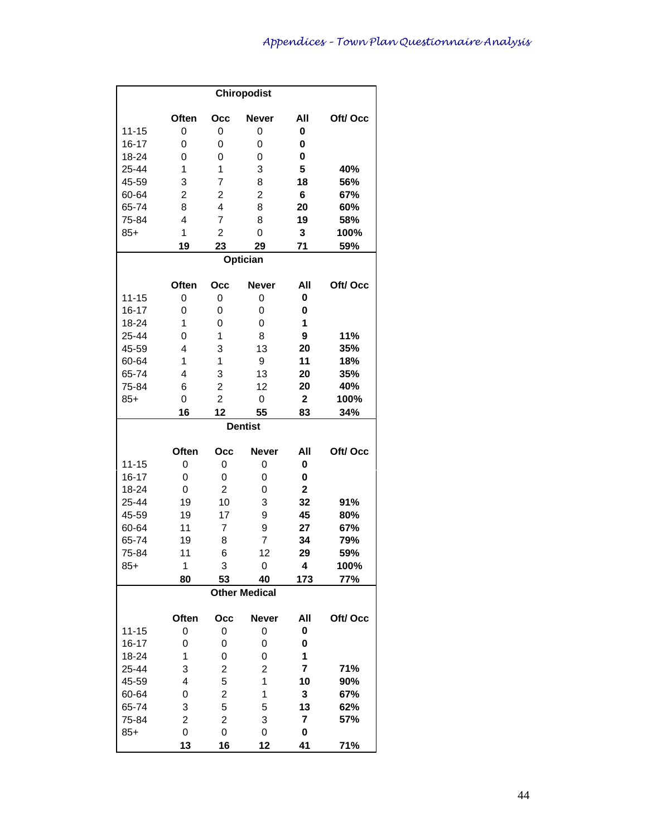|                        |                         |                                  | <b>Chiropodist</b>      |                         |         |
|------------------------|-------------------------|----------------------------------|-------------------------|-------------------------|---------|
|                        | Often                   | Occ                              | <b>Never</b>            | All                     | Oft/Occ |
| $11 - 15$              | 0                       | 0                                | 0                       | 0                       |         |
| $16 - 17$              | 0                       | 0                                | 0                       | 0                       |         |
| 18-24                  | 0                       | 0                                | 0                       | 0                       |         |
| 25-44                  | 1                       | 1                                | 3                       | 5                       | 40%     |
| 45-59                  | 3                       | $\overline{7}$                   | 8                       | 18                      | 56%     |
| 60-64                  | $\overline{\mathbf{c}}$ | $\overline{\mathbf{c}}$          | $\overline{\mathbf{c}}$ | 6                       | 67%     |
| 65-74                  | 8                       | 4                                | 8                       | 20                      | 60%     |
| 75-84                  | 4                       | $\overline{7}$                   | 8                       | 19                      | 58%     |
| $85+$                  | 1                       | $\overline{c}$                   | 0                       | 3                       | 100%    |
|                        | 19                      | 23                               | 29                      | 71                      | 59%     |
|                        |                         |                                  | Optician                |                         |         |
|                        | Often                   | Осс                              | <b>Never</b>            | All                     | Oft/Occ |
|                        |                         |                                  |                         |                         |         |
| $11 - 15$<br>$16 - 17$ | 0<br>0                  | 0<br>0                           | 0<br>0                  | 0<br>0                  |         |
|                        | 1                       |                                  |                         | 1                       |         |
| 18-24<br>25-44         | 0                       | 0<br>1                           | 0<br>8                  | 9                       | 11%     |
|                        | 4                       | 3                                | 13                      |                         |         |
| 45-59                  | 1                       | 1                                |                         | 20                      | 35%     |
| 60-64                  | 4                       | 3                                | 9                       | 11                      | 18%     |
| 65-74                  |                         |                                  | 13                      | 20                      | 35%     |
| 75-84                  | 6                       | $\overline{c}$<br>$\overline{2}$ | 12                      | 20                      | 40%     |
| $85+$                  | 0                       |                                  | 0                       | $\overline{\mathbf{2}}$ | 100%    |
|                        | 16                      | 12                               | 55                      | 83                      | 34%     |
|                        |                         |                                  | <b>Dentist</b>          |                         |         |
|                        | Often                   | Occ                              | <b>Never</b>            | All                     | Oft/Occ |
| $11 - 15$              | 0                       | 0                                | 0                       | 0                       |         |
| $16 - 17$              | 0                       | 0                                | 0                       | 0                       |         |
| 18-24                  | 0                       | $\overline{2}$                   | 0                       | $\mathbf 2$             |         |
| 25-44                  | 19                      | 10                               | 3                       | 32                      | 91%     |
| 45-59                  | 19                      | 17                               | 9                       | 45                      | 80%     |
| 60-64                  | 11                      | 7                                | 9                       | 27                      | 67%     |
| 65-74                  | 19                      | 8                                | $\overline{7}$          | 34                      | 79%     |
| 75-84                  | 11                      | 6                                | 12                      | 29                      | 59%     |
| $85+$                  | 1                       | 3                                | 0                       | 4                       | 100%    |
|                        | 80                      | 53                               | 40                      | 173                     | 77%     |
|                        |                         |                                  | <b>Other Medical</b>    |                         |         |
|                        | Often                   | Occ                              | <b>Never</b>            | All                     | Oft/Occ |
| $11 - 15$              | 0                       | 0                                | 0                       | 0                       |         |
| $16 - 17$              | 0                       | 0                                | 0                       | 0                       |         |
| 18-24                  | 1                       | 0                                | 0                       | 1                       |         |
| 25-44                  | 3                       | 2                                | 2                       | 7                       | 71%     |
| 45-59                  | 4                       | 5                                | 1                       | 10                      | 90%     |
| 60-64                  | 0                       | 2                                | 1                       | 3                       | 67%     |
| 65-74                  | 3                       | 5                                | 5                       | 13                      | 62%     |
| 75-84                  | 2                       | 2                                | 3                       | $\overline{\mathbf{r}}$ | 57%     |
| $85+$                  | 0                       | 0                                | 0                       | 0                       |         |
|                        | 13                      | 16                               | 12                      | 41                      | 71%     |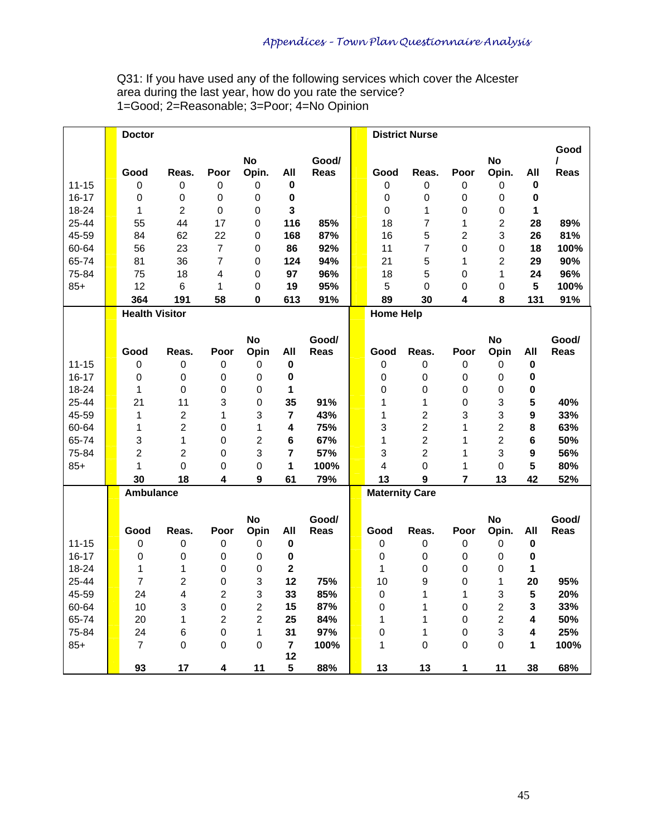Q31: If you have used any of the following services which cover the Alcester area during the last year, how do you rate the service? 1=Good; 2=Reasonable; 3=Poor; 4=No Opinion

|           | <b>Doctor</b>         |                         |                |                  |                |       |                       | <b>District Nurse</b> |                |                  |                         |       |
|-----------|-----------------------|-------------------------|----------------|------------------|----------------|-------|-----------------------|-----------------------|----------------|------------------|-------------------------|-------|
|           |                       |                         |                |                  |                |       |                       |                       |                |                  |                         | Good  |
|           |                       |                         |                | <b>No</b>        |                | Good/ |                       |                       |                | <b>No</b>        |                         | I     |
|           | Good                  | Reas.                   | Poor           | Opin.            | All            | Reas  | Good                  | Reas.                 | Poor           | Opin.            | All                     | Reas  |
| $11 - 15$ | 0                     | 0                       | 0              | $\boldsymbol{0}$ | $\pmb{0}$      |       | $\boldsymbol{0}$      | 0                     | $\mathbf 0$    | $\boldsymbol{0}$ | $\pmb{0}$               |       |
| $16 - 17$ | 0                     | $\mathbf 0$             | 0              | 0                | $\pmb{0}$      |       | 0                     | $\mathbf 0$           | 0              | $\boldsymbol{0}$ | $\pmb{0}$               |       |
| 18-24     | 1                     | $\overline{2}$          | 0              | 0                | 3              |       | $\mathbf 0$           | 1                     | $\mathbf 0$    | $\boldsymbol{0}$ | 1                       |       |
| 25-44     | 55                    | 44                      | 17             | 0                | 116            | 85%   | 18                    | 7                     | $\mathbf{1}$   | $\boldsymbol{2}$ | 28                      | 89%   |
| 45-59     | 84                    | 62                      | 22             | 0                | 168            | 87%   | 16                    | 5                     | $\overline{c}$ | 3                | 26                      | 81%   |
| 60-64     | 56                    | 23                      | $\overline{7}$ | 0                | 86             | 92%   | 11                    | $\overline{7}$        | $\mathbf 0$    | $\boldsymbol{0}$ | 18                      | 100%  |
| 65-74     | 81                    | 36                      | $\overline{7}$ | 0                | 124            | 94%   | 21                    | 5                     | 1              | $\overline{2}$   | 29                      | 90%   |
| 75-84     | 75                    | 18                      | 4              | 0                | 97             | 96%   | 18                    | 5                     | 0              | 1                | 24                      | 96%   |
| $85+$     | 12                    | 6                       | 1              | 0                | 19             | 95%   | 5                     | $\pmb{0}$             | 0              | 0                | $\overline{\mathbf{5}}$ | 100%  |
|           | 364                   | 191                     | 58             | 0                | 613            | 91%   | 89                    | 30                    | 4              | 8                | 131                     | 91%   |
|           | <b>Health Visitor</b> |                         |                |                  |                |       | <b>Home Help</b>      |                       |                |                  |                         |       |
|           |                       |                         |                |                  |                |       |                       |                       |                |                  |                         |       |
|           |                       |                         |                | <b>No</b>        |                | Good/ |                       |                       |                | <b>No</b>        |                         | Good/ |
|           | Good                  | Reas.                   | Poor           | Opin             | All            | Reas  | Good                  | Reas.                 | Poor           | Opin             | All                     | Reas  |
| $11 - 15$ | $\pmb{0}$             | 0                       | 0              | 0                | $\pmb{0}$      |       | $\boldsymbol{0}$      | $\mathbf 0$           | $\pmb{0}$      | 0                | $\pmb{0}$               |       |
| $16 - 17$ | 0                     | 0                       | $\mathbf 0$    | 0                | $\pmb{0}$      |       | $\mathbf 0$           | 0                     | 0              | 0                | $\pmb{0}$               |       |
| 18-24     | $\mathbf{1}$          | 0                       | $\mathbf 0$    | 0                | 1              |       | $\mathbf 0$           | 0                     | 0              | 0                | $\pmb{0}$               |       |
| $25 - 44$ | 21                    | 11                      | 3              | 0                | 35             | 91%   | 1                     | $\mathbf{1}$          | 0              | 3                | 5                       | 40%   |
| 45-59     | 1                     | $\overline{c}$          | 1              | 3                | $\overline{7}$ | 43%   | 1                     | $\overline{c}$        | 3              | 3                | 9                       | 33%   |
| 60-64     | 1                     | $\overline{2}$          | $\mathbf 0$    | 1                | 4              | 75%   | 3                     | $\overline{c}$        | 1              | $\overline{c}$   | 8                       | 63%   |
| 65-74     | 3                     | $\mathbf{1}$            | $\mathbf 0$    | $\overline{2}$   | 6              | 67%   | 1                     | $\overline{2}$        | 1              | $\overline{2}$   | 6                       | 50%   |
| 75-84     | $\overline{2}$        | $\overline{2}$          | $\mathbf 0$    | 3                | 7              | 57%   | 3                     | $\overline{2}$        | 1              | 3                | $\mathbf{9}$            | 56%   |
| $85+$     | 1                     | 0                       | $\mathbf 0$    | 0                | 1              | 100%  | 4                     | 0                     | 1              | 0                | 5                       | 80%   |
|           | 30                    | 18                      | 4              | 9                | 61             | 79%   | 13                    | 9                     | $\overline{7}$ | 13               | 42                      | 52%   |
|           | Ambulance             |                         |                |                  |                |       | <b>Maternity Care</b> |                       |                |                  |                         |       |
|           |                       |                         |                |                  |                |       |                       |                       |                |                  |                         |       |
|           |                       |                         |                | <b>No</b>        |                | Good/ |                       |                       |                | <b>No</b>        |                         | Good/ |
|           | Good                  | Reas.                   | Poor           | Opin             | All            | Reas  | Good                  | Reas.                 | Poor           | Opin.            | All                     | Reas  |
| $11 - 15$ | $\,0\,$               | 0                       | $\pmb{0}$      | 0                | $\pmb{0}$      |       | $\,0\,$               | 0                     | $\,0\,$        | 0                | $\pmb{0}$               |       |
| $16 - 17$ | 0                     | 0                       | $\mathbf 0$    | 0                | $\pmb{0}$      |       | $\pmb{0}$             | $\boldsymbol{0}$      | 0              | 0                | $\pmb{0}$               |       |
| 18-24     | 1                     | $\mathbf{1}$            | $\mathbf 0$    | 0                | $\mathbf{2}$   |       | $\mathbf{1}$          | 0                     | 0              | 0                | 1                       |       |
| $25 - 44$ | $\overline{7}$        | $\overline{2}$          | $\mathbf 0$    | 3                | 12             | 75%   | 10                    | 9                     | $\Omega$       | 1                | 20                      | 95%   |
| 45-59     | 24                    | $\overline{\mathbf{4}}$ | $\overline{2}$ | 3                | 33             | 85%   | $\mathbf 0$           | 1                     | 1              | 3                | 5                       | 20%   |
| 60-64     | 10                    | 3                       | $\mathbf 0$    | $\overline{c}$   | 15             | 87%   | $\Omega$              | 1                     | $\Omega$       | $\overline{c}$   | 3                       | 33%   |
| 65-74     | 20                    | 1                       | $\overline{2}$ | $\overline{2}$   | 25             | 84%   | 1                     | 1                     | 0              | $\overline{c}$   | 4                       | 50%   |
| 75-84     | 24                    | 6                       | $\mathbf 0$    | 1                | 31             | 97%   | 0                     | 1                     | 0              | 3                | 4                       | 25%   |
| $85+$     | $\overline{7}$        | 0                       | $\mathbf 0$    | $\Omega$         | $\overline{7}$ | 100%  | 1                     | $\overline{0}$        | $\Omega$       | 0                | 1                       | 100%  |
|           |                       |                         |                |                  | 12             |       |                       |                       |                |                  |                         |       |
|           | 93                    | 17                      | 4              | 11               | 5              | 88%   | 13                    | 13                    | 1              | 11               | 38                      | 68%   |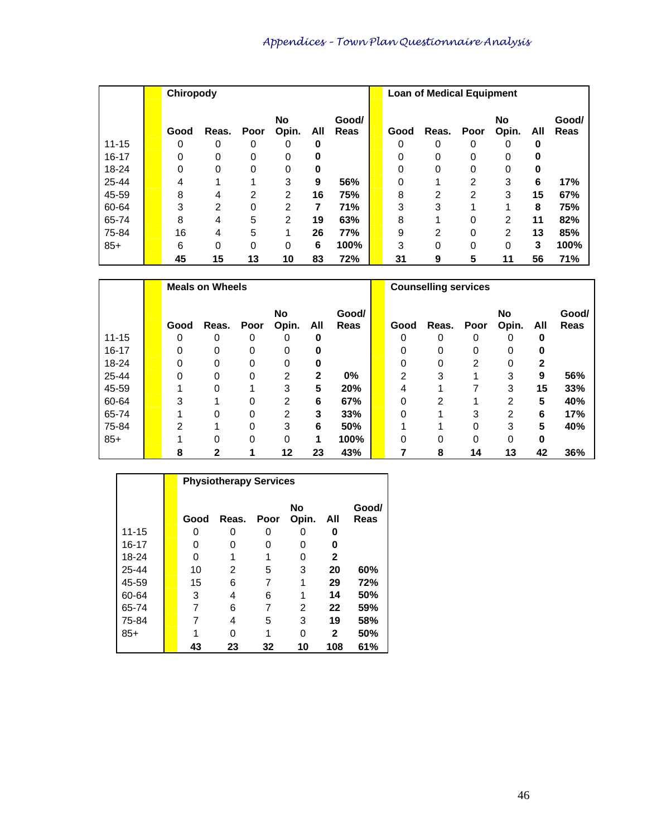|           | Chiropody |       |          |                    |     |               |      | <b>Loan of Medical Equipment</b> |      |             |     |               |
|-----------|-----------|-------|----------|--------------------|-----|---------------|------|----------------------------------|------|-------------|-----|---------------|
|           | Good      | Reas. | Poor     | <b>No</b><br>Opin. | All | Good/<br>Reas | Good | Reas.                            | Poor | No<br>Opin. | All | Good/<br>Reas |
| $11 - 15$ | 0         | 0     | 0        | 0                  | 0   |               | 0    | 0                                | 0    |             | 0   |               |
| $16 - 17$ | 0         | 0     | 0        | 0                  | 0   |               | 0    | 0                                | 0    | 0           | o   |               |
| $18 - 24$ | 0         | 0     | 0        | 0                  | 0   |               | 0    | 0                                | 0    | 0           | 0   |               |
| $25 - 44$ | 4         |       | 4        | 3                  | 9   | 56%           | 0    |                                  | 2    | 3           | 6   | 17%           |
| 45-59     | 8         | 4     | 2        | 2                  | 16  | 75%           | 8    | 2                                | 2    | 3           | 15  | 67%           |
| 60-64     | 3         | 2     | 0        | $\overline{2}$     | 7   | 71%           | 3    | 3                                |      |             | 8   | 75%           |
| 65-74     | 8         | 4     | 5        | 2                  | 19  | 63%           | 8    |                                  | 0    | 2           | 11  | 82%           |
| 75-84     | 16        | 4     | 5        |                    | 26  | 77%           | 9    | 2                                | 0    | 2           | 13  | 85%           |
| $85+$     | 6         | 0     | $\Omega$ | $\Omega$           | 6   | 100%          | 3    | 0                                | 0    | $\Omega$    | 3   | 100%          |
|           | 45        | 15    | 13       | 10                 | 83  | 72%           | 31   | 9                                | 5    | 11          | 56  | 71%           |

|           |      | <b>Meals on Wheels</b> |      |                    |     |                      |      | <b>Counselling services</b> |      |             |              |                      |
|-----------|------|------------------------|------|--------------------|-----|----------------------|------|-----------------------------|------|-------------|--------------|----------------------|
|           | Good | Reas.                  | Poor | <b>No</b><br>Opin. | All | Good/<br><b>Reas</b> | Good | Reas.                       | Poor | No<br>Opin. | All          | Good/<br><b>Reas</b> |
| $11 - 15$ | 0    | 0                      | 0    | 0                  | 0   |                      | 0    | 0                           | 0    | 0           | 0            |                      |
| $16 - 17$ | 0    | 0                      | 0    | 0                  | 0   |                      | 0    | 0                           | 0    | 0           |              |                      |
| 18-24     | 0    |                        | 0    | 0                  | 0   |                      | ი    | 0                           | 2    | 0           | $\mathbf{2}$ |                      |
| 25-44     | 0    | 0                      | 0    | 2                  | 2   | $0\%$                | 2    | 3                           |      | 3           | 9            | 56%                  |
| 45-59     |      |                        |      | 3                  | 5   | 20%                  | 4    |                             |      | 3           | 15           | 33%                  |
| 60-64     | 3    |                        | 0    | 2                  | 6   | 67%                  | 0    | 2                           |      | 2           | 5            | 40%                  |
| 65-74     |      |                        | 0    | 2                  | 3   | 33%                  | 0    |                             | 3    | 2           | 6            | 17%                  |
| 75-84     | 2    |                        | 0    | 3                  | 6   | 50%                  |      |                             | 0    | 3           | 5            | 40%                  |
| $85+$     |      | 0                      | 0    | 0                  | 1   | 100%                 | 0    | 0                           | 0    | 0           | 0            |                      |
|           | 8    |                        |      | 12                 | 23  | 43%                  |      | 8                           | 14   | 13          | 42           | 36%                  |

|           |      | <b>Physiotherapy Services</b> |      |                    |              |               |
|-----------|------|-------------------------------|------|--------------------|--------------|---------------|
|           | Good | Reas.                         | Poor | <b>No</b><br>Opin. | All          | Good/<br>Reas |
| $11 - 15$ | O    | O                             | Ω    | Ω                  | o            |               |
| 16-17     | O    | 0                             | 0    | 0                  | 0            |               |
| 18-24     | 0    |                               |      | ი                  | 2            |               |
| 25-44     | 10   | 2                             | 5    | 3                  | 20           | 60%           |
| 45-59     | 15   | 6                             | 7    | 1                  | 29           | 72%           |
| 60-64     | 3    | 4                             | 6    | 1                  | 14           | 50%           |
| 65-74     | 7    | 6                             | 7    | 2                  | 22           | 59%           |
| 75-84     |      | 4                             | 5    | 3                  | 19           | 58%           |
| $85+$     |      |                               |      | ი                  | $\mathbf{2}$ | 50%           |
|           | 43   | 23                            | 32   | 10                 | 108          | 61%           |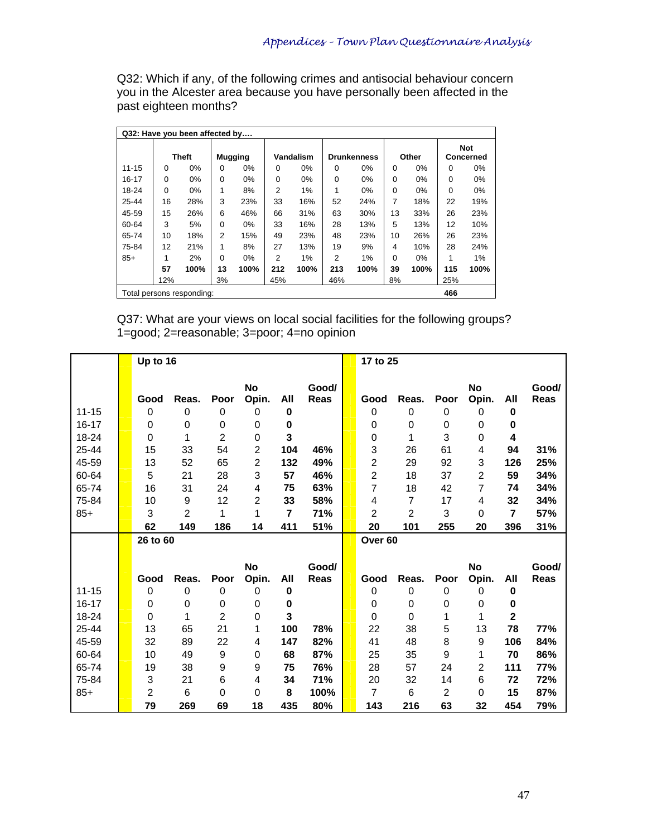Q32: Which if any, of the following crimes and antisocial behaviour concern you in the Alcester area because you have personally been affected in the past eighteen months?

|                           |             | Q32: Have you been affected by |          |                |                |           |     |                    |          |       |     |                  |
|---------------------------|-------------|--------------------------------|----------|----------------|----------------|-----------|-----|--------------------|----------|-------|-----|------------------|
|                           |             |                                |          |                |                |           |     |                    |          |       |     | <b>Not</b>       |
|                           |             | <b>Theft</b>                   |          | <b>Mugging</b> |                | Vandalism |     | <b>Drunkenness</b> |          | Other |     | <b>Concerned</b> |
| $11 - 15$                 | $\Omega$    | 0%                             | $\Omega$ | 0%             | 0              | $0\%$     | 0   | 0%                 | 0        | 0%    | 0   | 0%               |
| 16-17                     | $\mathbf 0$ | $0\%$                          | $\Omega$ | $0\%$          | $\mathbf 0$    | $0\%$     | 0   | $0\%$              | 0        | $0\%$ | 0   | 0%               |
| 18-24                     | $\Omega$    | $0\%$                          | 1        | 8%             | $\overline{2}$ | 1%        | 1   | $0\%$              | 0        | $0\%$ | 0   | 0%               |
| $25 - 44$                 | 16          | 28%                            | 3        | 23%            | 33             | 16%       | 52  | 24%                | 7        | 18%   | 22  | 19%              |
| 45-59                     | 15          | 26%                            | 6        | 46%            | 66             | 31%       | 63  | 30%                | 13       | 33%   | 26  | 23%              |
| 60-64                     | 3           | 5%                             | $\Omega$ | 0%             | 33             | 16%       | 28  | 13%                | 5        | 13%   | 12  | 10%              |
| 65-74                     | 10          | 18%                            | 2        | 15%            | 49             | 23%       | 48  | 23%                | 10       | 26%   | 26  | 23%              |
| 75-84                     | 12          | 21%                            | 1        | 8%             | 27             | 13%       | 19  | 9%                 | 4        | 10%   | 28  | 24%              |
| $85+$                     | 1           | 2%                             | $\Omega$ | $0\%$          | 2              | 1%        | 2   | 1%                 | $\Omega$ | $0\%$ | 1   | 1%               |
|                           | 57          | 100%                           | 13       | 100%           | 212            | 100%      | 213 | 100%               | 39       | 100%  | 115 | 100%             |
|                           | 12%         |                                | 3%       |                | 45%            |           | 46% |                    | 8%       |       | 25% |                  |
| Total persons responding: |             |                                |          |                |                |           |     |                    |          |       | 466 |                  |

Q37: What are your views on local social facilities for the following groups? 1=good; 2=reasonable; 3=poor; 4=no opinion

|           | Up to 16 |                |                |                    |                |                      | 17 to 25           |                 |                |             |             |                      |
|-----------|----------|----------------|----------------|--------------------|----------------|----------------------|--------------------|-----------------|----------------|-------------|-------------|----------------------|
|           | Good     | Reas.          | Poor           | <b>No</b><br>Opin. | All            | Good/<br><b>Reas</b> | Good               | Reas.           | Poor           | No<br>Opin. | All         | Good/<br><b>Reas</b> |
| $11 - 15$ | 0        | 0              | 0              | 0                  | $\mathbf 0$    |                      | $\mathbf 0$        | 0               | 0              | 0           | 0           |                      |
| 16-17     | 0        | $\Omega$       | $\mathbf 0$    | 0                  | 0              |                      | 0                  | 0               | 0              | 0           | 0           |                      |
| 18-24     | 0        | 1              | $\overline{c}$ | 0                  | 3              |                      | 0                  | 1               | 3              | 0           | 4           |                      |
| 25-44     | 15       | 33             | 54             | $\overline{c}$     | 104            | 46%                  | 3                  | 26              | 61             | 4           | 94          | 31%                  |
| 45-59     | 13       | 52             | 65             | $\overline{2}$     | 132            | 49%                  | 2                  | 29              | 92             | 3           | 126         | 25%                  |
| 60-64     | 5        | 21             | 28             | 3                  | 57             | 46%                  | 2                  | 18              | 37             | 2           | 59          | 34%                  |
| 65-74     | 16       | 31             | 24             | 4                  | 75             | 63%                  | $\overline{7}$     | 18              | 42             | 7           | 74          | 34%                  |
| 75-84     | 10       | 9              | 12             | 2                  | 33             | 58%                  | 4                  | 7               | 17             | 4           | 32          | 34%                  |
| $85+$     | 3        | $\overline{2}$ | 1              | 1                  | $\overline{7}$ | 71%                  | 2                  | 2               | 3              | 0           | 7           | 57%                  |
|           | 62       | 149            | 186            | 14                 | 411            | 51%                  | 20                 | 101             | 255            | 20          | 396         | 31%                  |
|           | 26 to 60 |                |                |                    |                |                      | Over <sub>60</sub> |                 |                |             |             |                      |
|           |          |                |                |                    |                |                      |                    |                 |                |             |             |                      |
|           |          |                |                | No                 |                | Good/                |                    |                 |                | <b>No</b>   |             | Good/                |
|           | Good     | Reas.          | Poor           | Opin.              | All            | <b>Reas</b>          | Good               | Reas.           | Poor           | Opin.       | All         | Reas                 |
| $11 - 15$ | 0        | $\Omega$       | $\Omega$       | 0                  | $\bf{0}$       |                      | $\mathbf 0$        | 0               | 0              | 0           | $\mathbf 0$ |                      |
| 16-17     | 0        | 0              | $\mathbf 0$    | 0                  | $\mathbf 0$    |                      | 0                  | 0               | 0              | 0           | 0           |                      |
| 18-24     | 0        | 1              | $\overline{2}$ | 0                  | 3              |                      | 0                  | 0               | 1              | 1           | $\mathbf 2$ |                      |
| 25-44     | 13       | 65             | 21             | 1                  | 100            | 78%                  | 22                 | 38              | 5              | 13          | 78          | 77%                  |
| 45-59     | 32       | 89             | 22             | 4                  | 147            | 82%                  | 41                 | 48              | 8              | 9           | 106         | 84%                  |
| 60-64     | 10       | 49             | 9              | 0                  | 68             | 87%                  | 25                 | 35              | 9              | 1           | 70          | 86%                  |
| 65-74     | 19       | 38             | 9              | 9                  | 75             | 76%                  | 28                 | 57              | 24             | 2           | 111         | 77%                  |
| 75-84     | 3        | 21             | 6              | 4                  | 34             | 71%                  | 20                 | 32              | 14             | 6           | 72          | 72%                  |
| $85+$     | 2        | 6              | $\Omega$       | 0                  | 8              | 100%                 | 7                  | $6\phantom{1}6$ | $\overline{c}$ | 0           | 15          | 87%                  |
|           | 79       | 269            | 69             | 18                 | 435            | 80%                  | 143                | 216             | 63             | 32          | 454         | 79%                  |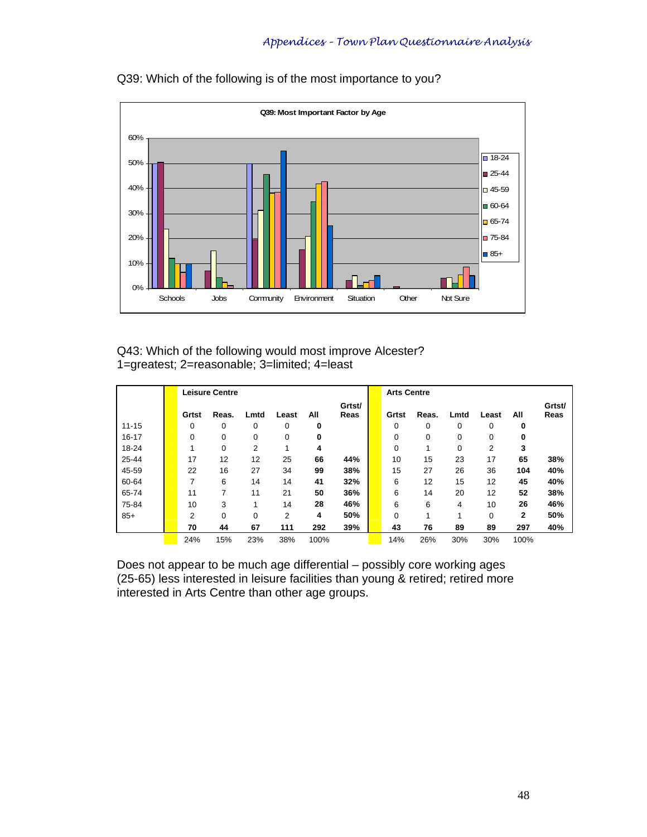

Q39: Which of the following is of the most importance to you?

### Q43: Which of the following would most improve Alcester? 1=greatest; 2=reasonable; 3=limited; 4=least

|           |       | <b>Leisure Centre</b> |      |       |      |                | <b>Arts Centre</b> |       |             |          |      |                |
|-----------|-------|-----------------------|------|-------|------|----------------|--------------------|-------|-------------|----------|------|----------------|
|           | Grtst | Reas.                 | Lmtd | Least | All  | Grtst/<br>Reas | Grtst              | Reas. | Lmtd        | Least    | All  | Grtst/<br>Reas |
| $11 - 15$ | 0     | 0                     | 0    | 0     | 0    |                | 0                  | 0     | 0           | 0        | 0    |                |
| $16 - 17$ | 0     | 0                     | 0    | 0     | 0    |                | 0                  | 0     | 0           | 0        | 0    |                |
| 18-24     | 4     | $\Omega$              | 2    |       | 4    |                | 0                  | 1     | $\mathbf 0$ | 2        | 3    |                |
| 25-44     | 17    | 12                    | 12   | 25    | 66   | 44%            | 10                 | 15    | 23          | 17       | 65   | 38%            |
| 45-59     | 22    | 16                    | 27   | 34    | 99   | 38%            | 15                 | 27    | 26          | 36       | 104  | 40%            |
| 60-64     | 7     | 6                     | 14   | 14    | 41   | 32%            | 6                  | 12    | 15          | 12       | 45   | 40%            |
| 65-74     | 11    | 7                     | 11   | 21    | 50   | 36%            | 6                  | 14    | 20          | 12       | 52   | 38%            |
| 75-84     | 10    | 3                     | 1    | 14    | 28   | 46%            | 6                  | 6     | 4           | 10       | 26   | 46%            |
| $85+$     | 2     | 0                     | 0    | 2     | 4    | 50%            | 0                  | 1     |             | $\Omega$ | 2    | 50%            |
|           | 70    | 44                    | 67   | 111   | 292  | 39%            | 43                 | 76    | 89          | 89       | 297  | 40%            |
|           | 24%   | 15%                   | 23%  | 38%   | 100% |                | 14%                | 26%   | 30%         | 30%      | 100% |                |

Does not appear to be much age differential – possibly core working ages (25-65) less interested in leisure facilities than young & retired; retired more interested in Arts Centre than other age groups.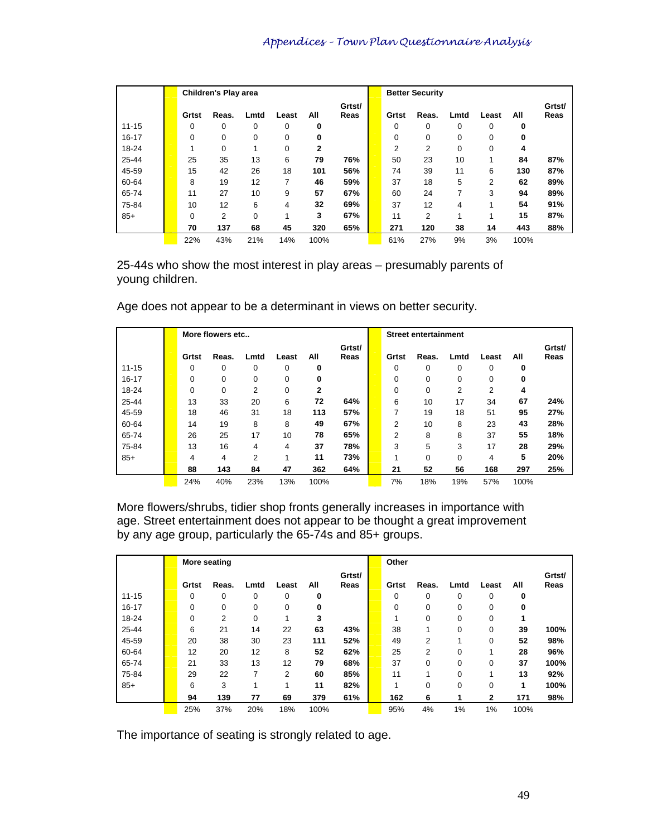|           |       | <b>Children's Play area</b> |      |       |              |                |          | <b>Better Security</b> |      |          |      |                |
|-----------|-------|-----------------------------|------|-------|--------------|----------------|----------|------------------------|------|----------|------|----------------|
|           | Grtst | Reas.                       | Lmtd | Least | All          | Grtst/<br>Reas | Grtst    | Reas.                  | Lmtd | Least    | All  | Grtst/<br>Reas |
| $11 - 15$ | 0     | 0                           | 0    | 0     | 0            |                | $\Omega$ | 0                      | 0    | 0        | 0    |                |
| $16 - 17$ | 0     | 0                           | 0    | 0     | 0            |                | 0        | 0                      | 0    | 0        | 0    |                |
| 18-24     | 1     | $\Omega$                    | 4    | 0     | $\mathbf{2}$ |                | 2        | 2                      | 0    | $\Omega$ | 4    |                |
| $25 - 44$ | 25    | 35                          | 13   | 6     | 79           | 76%            | 50       | 23                     | 10   |          | 84   | 87%            |
| 45-59     | 15    | 42                          | 26   | 18    | 101          | 56%            | 74       | 39                     | 11   | 6        | 130  | 87%            |
| 60-64     | 8     | 19                          | 12   | 7     | 46           | 59%            | 37       | 18                     | 5    | 2        | 62   | 89%            |
| 65-74     | 11    | 27                          | 10   | 9     | 57           | 67%            | 60       | 24                     | 7    | 3        | 94   | 89%            |
| 75-84     | 10    | 12                          | 6    | 4     | 32           | 69%            | 37       | 12                     | 4    | 1        | 54   | 91%            |
| $85+$     | 0     | 2                           | 0    | 1     | 3            | 67%            | 11       | 2                      |      | 1        | 15   | 87%            |
|           | 70    | 137                         | 68   | 45    | 320          | 65%            | 271      | 120                    | 38   | 14       | 443  | 88%            |
|           | 22%   | 43%                         | 21%  | 14%   | 100%         |                | 61%      | 27%                    | 9%   | 3%       | 100% |                |

25-44s who show the most interest in play areas – presumably parents of young children.

|           |       | More flowers etc |      |          |              |                |       | <b>Street entertainment</b> |      |       |      |                |
|-----------|-------|------------------|------|----------|--------------|----------------|-------|-----------------------------|------|-------|------|----------------|
|           | Grtst | Reas.            | Lmtd | Least    | All          | Grtst/<br>Reas | Grtst | Reas.                       | Lmtd | Least | All  | Grtst/<br>Reas |
| $11 - 15$ | 0     | 0                | 0    | $\Omega$ | 0            |                | 0     | 0                           | 0    | 0     | 0    |                |
| $16 - 17$ | 0     | 0                | 0    | 0        | 0            |                | 0     | 0                           | 0    | 0     | 0    |                |
| 18-24     | 0     | $\Omega$         | 2    | 0        | $\mathbf{2}$ |                | 0     | $\Omega$                    | 2    | 2     | 4    |                |
| $25 - 44$ | 13    | 33               | 20   | 6        | 72           | 64%            | 6     | 10                          | 17   | 34    | 67   | 24%            |
| 45-59     | 18    | 46               | 31   | 18       | 113          | 57%            | 7     | 19                          | 18   | 51    | 95   | 27%            |
| 60-64     | 14    | 19               | 8    | 8        | 49           | 67%            | 2     | 10                          | 8    | 23    | 43   | 28%            |
| 65-74     | 26    | 25               | 17   | 10       | 78           | 65%            | 2     | 8                           | 8    | 37    | 55   | 18%            |
| 75-84     | 13    | 16               | 4    | 4        | 37           | 78%            | 3     | 5                           | 3    | 17    | 28   | 29%            |
| $85+$     | 4     | 4                | 2    | 1        | 11           | 73%            |       | $\Omega$                    | 0    | 4     | 5    | 20%            |
|           | 88    | 143              | 84   | 47       | 362          | 64%            | 21    | 52                          | 56   | 168   | 297  | 25%            |
|           | 24%   | 40%              | 23%  | 13%      | 100%         |                | 7%    | 18%                         | 19%  | 57%   | 100% |                |

Age does not appear to be a determinant in views on better security.

More flowers/shrubs, tidier shop fronts generally increases in importance with age. Street entertainment does not appear to be thought a great improvement by any age group, particularly the 65-74s and 85+ groups.

|           | More seating |       |          |       |      |                | Other |          |      |              |      |                |
|-----------|--------------|-------|----------|-------|------|----------------|-------|----------|------|--------------|------|----------------|
|           | Grtst        | Reas. | Lmtd     | Least | All  | Grtst/<br>Reas | Grtst | Reas.    | Lmtd | Least        | All  | Grtst/<br>Reas |
| $11 - 15$ | 0            | 0     | 0        | 0     | 0    |                | 0     | 0        | 0    | 0            | 0    |                |
| $16 - 17$ | 0            | 0     | $\Omega$ | 0     | 0    |                | 0     | $\Omega$ | 0    | 0            | 0    |                |
| 18-24     | 0            | 2     | 0        |       | 3    |                |       | $\Omega$ | 0    | $\Omega$     |      |                |
| 25-44     | 6            | 21    | 14       | 22    | 63   | 43%            | 38    |          | 0    | 0            | 39   | 100%           |
| 45-59     | 20           | 38    | 30       | 23    | 111  | 52%            | 49    | 2        | 1    | $\Omega$     | 52   | 98%            |
| 60-64     | 12           | 20    | 12       | 8     | 52   | 62%            | 25    | 2        | 0    |              | 28   | 96%            |
| 65-74     | 21           | 33    | 13       | 12    | 79   | 68%            | 37    | 0        | 0    | 0            | 37   | 100%           |
| 75-84     | 29           | 22    | 7        | 2     | 60   | 85%            | 11    |          | 0    |              | 13   | 92%            |
| $85+$     | 6            | 3     | и        |       | 11   | 82%            |       | 0        | 0    | 0            | 1    | 100%           |
|           | 94           | 139   | 77       | 69    | 379  | 61%            | 162   | 6        | 1    | $\mathbf{2}$ | 171  | 98%            |
|           | 25%          | 37%   | 20%      | 18%   | 100% |                | 95%   | 4%       | 1%   | 1%           | 100% |                |

The importance of seating is strongly related to age.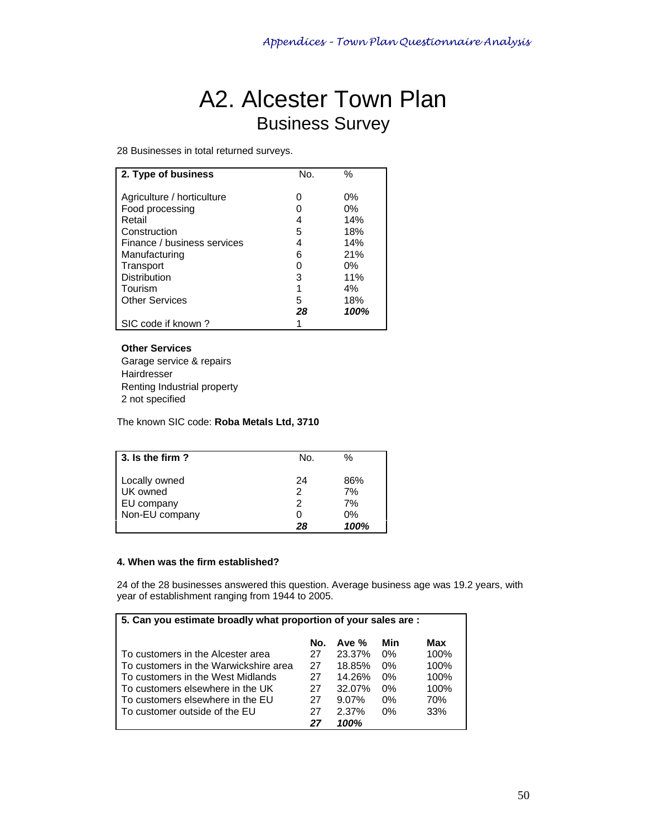## A2. Alcester Town Plan Business Survey

28 Businesses in total returned surveys.

| 2. Type of business         | No. | $\%$  |
|-----------------------------|-----|-------|
|                             |     |       |
| Agriculture / horticulture  |     | $0\%$ |
| Food processing             |     | 0%    |
| Retail                      | 4   | 14%   |
| Construction                | 5   | 18%   |
| Finance / business services | 4   | 14%   |
| Manufacturing               | 6   | 21%   |
| Transport                   |     | 0%    |
| Distribution                | 3   | 11%   |
| Tourism                     | 1   | 4%    |
| <b>Other Services</b>       | 5   | 18%   |
|                             | 28  | 100%  |
| SIC code if known?          |     |       |

### **Other Services**

Garage service & repairs Hairdresser Renting Industrial property 2 not specified

The known SIC code: **Roba Metals Ltd, 3710** 

| $\vert$ 3. Is the firm ?                                         | No.                     | $\frac{0}{0}$                 |
|------------------------------------------------------------------|-------------------------|-------------------------------|
| Locally owned<br>UK owned<br><b>EU</b> company<br>Non-EU company | 24<br>2<br>2<br>0<br>28 | 86%<br>7%<br>7%<br>0%<br>100% |

### **4. When was the firm established?**

24 of the 28 businesses answered this question. Average business age was 19.2 years, with year of establishment ranging from 1944 to 2005.

| 5. Can you estimate broadly what proportion of your sales are : |     |         |       |      |  |  |  |
|-----------------------------------------------------------------|-----|---------|-------|------|--|--|--|
|                                                                 | No. | Ave $%$ | Min   | Max  |  |  |  |
| To customers in the Alcester area                               | 27  | 23.37%  | $0\%$ | 100% |  |  |  |
| l To customers in the Warwickshire area                         | 27  | 18.85%  | $0\%$ | 100% |  |  |  |
| l To customers in the West Midlands                             | 27  | 14.26%  | $0\%$ | 100% |  |  |  |
| I To customers elsewhere in the UK                              | 27  | 32.07%  | $0\%$ | 100% |  |  |  |
| l To customers elsewhere in the EU                              | 27  | 9.07%   | $0\%$ | 70%  |  |  |  |
| I To customer outside of the EU                                 | 27  | 2.37%   | $0\%$ | 33%  |  |  |  |
|                                                                 | 27  | 100%    |       |      |  |  |  |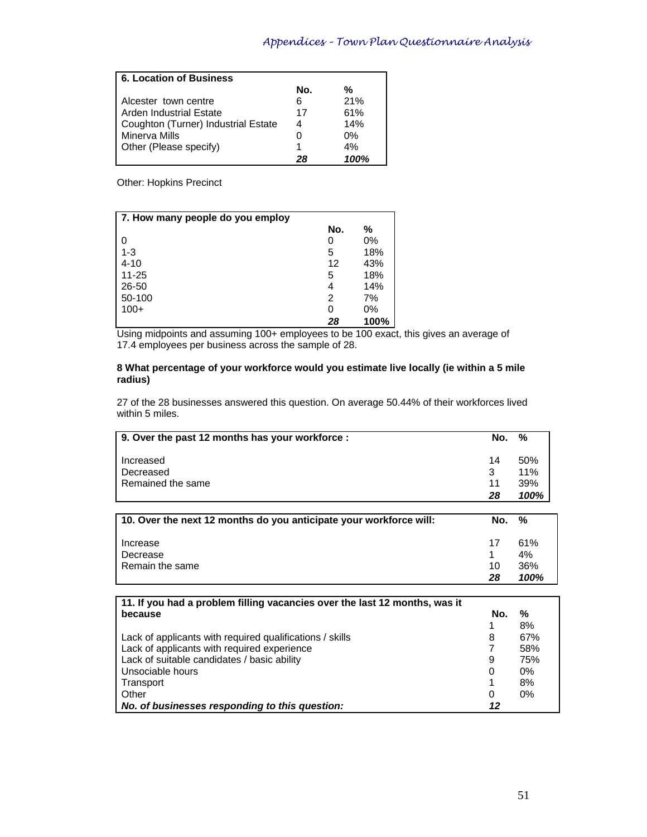| 6. Location of Business             |     |         |
|-------------------------------------|-----|---------|
|                                     | No. | %       |
| Alcester town centre                | 6   | 21%     |
| Arden Industrial Estate             | 17  | 61%     |
| Coughton (Turner) Industrial Estate | 4   | 14%     |
| Minerva Mills                       |     | 0%      |
| Other (Please specify)              |     | 4%      |
|                                     | 28  | $100\%$ |

Other: Hopkins Precinct

| 7. How many people do you employ |     |       |
|----------------------------------|-----|-------|
|                                  | No. | %     |
| - 0                              | 0   | 0%    |
| $1 - 3$                          | 5   | 18%   |
| $4 - 10$                         | 12  | 43%   |
| $11 - 25$                        | 5   | 18%   |
| 26-50                            | 4   | 14%   |
| 50-100                           | 2   | 7%    |
| $100+$                           | 0   | $0\%$ |
|                                  | 28  | 100%  |

Using midpoints and assuming 100+ employees to be 100 exact, this gives an average of 17.4 employees per business across the sample of 28.

#### **8 What percentage of your workforce would you estimate live locally (ie within a 5 mile radius)**

27 of the 28 businesses answered this question. On average 50.44% of their workforces lived within 5 miles.

| 9. Over the past 12 months has your workforce: | No. | %          |
|------------------------------------------------|-----|------------|
| Increased                                      | 14  | 50%        |
| Decreased                                      | 11  | 11%<br>39% |
| l Remained the same                            |     |            |
|                                                | 28  | 100%       |

| 10. Over the next 12 months do you anticipate your workforce will: | No.             | %                        |
|--------------------------------------------------------------------|-----------------|--------------------------|
| Increase<br>Decrease<br>Remain the same                            | -17<br>10<br>28 | 61%<br>4%<br>36%<br>100% |

| 11. If you had a problem filling vacancies over the last 12 months, was it |     |       |  |  |  |
|----------------------------------------------------------------------------|-----|-------|--|--|--|
| because                                                                    | No. | %     |  |  |  |
|                                                                            |     | 8%    |  |  |  |
| Lack of applicants with required qualifications / skills                   | 8   | 67%   |  |  |  |
| Lack of applicants with required experience                                |     | 58%   |  |  |  |
| Lack of suitable candidates / basic ability                                | 9   | 75%   |  |  |  |
| Unsociable hours                                                           | 0   | $0\%$ |  |  |  |
| Transport                                                                  |     | 8%    |  |  |  |
| Other                                                                      | 0   | $0\%$ |  |  |  |
| No. of businesses responding to this question:                             | 12  |       |  |  |  |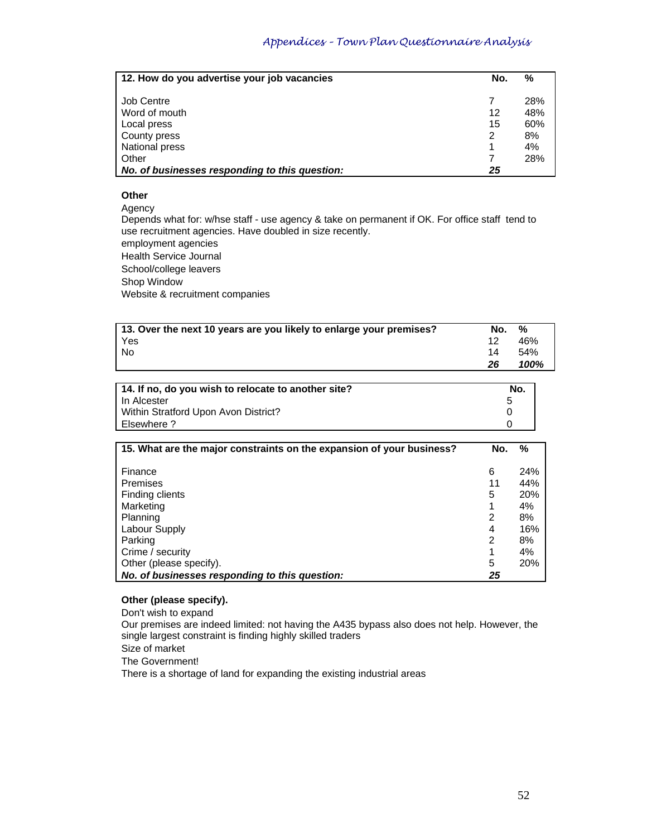| 12. How do you advertise your job vacancies    | No. | %   |
|------------------------------------------------|-----|-----|
|                                                |     |     |
| <b>Job Centre</b>                              |     | 28% |
| Word of mouth                                  | 12  | 48% |
| Local press                                    | 15  | 60% |
| County press                                   | 2   | 8%  |
| National press                                 |     | 4%  |
| Other                                          | 7   | 28% |
| No. of businesses responding to this question: | 25  |     |

### **Other**

Agency

Depends what for: w/hse staff - use agency & take on permanent if OK. For office staff tend to use recruitment agencies. Have doubled in size recently. employment agencies

Health Service Journal School/college leavers Shop Window Website & recruitment companies

| 13. Over the next 10 years are you likely to enlarge your premises? | No. | %    |
|---------------------------------------------------------------------|-----|------|
| Yes                                                                 | 12  | 46%  |
| No                                                                  | 14  | .54% |
|                                                                     | 26  | 100% |

| 14. If no, do you wish to relocate to another site? | No. |
|-----------------------------------------------------|-----|
| l In Alcester                                       | 5   |
| Within Stratford Upon Avon District?                |     |
| Posewhere ?                                         |     |

| 15. What are the major constraints on the expansion of your business? | No. | ℅   |
|-----------------------------------------------------------------------|-----|-----|
|                                                                       |     |     |
| Finance                                                               | 6   | 24% |
| Premises                                                              | 11  | 44% |
| Finding clients                                                       | 5   | 20% |
| Marketing                                                             |     | 4%  |
| Planning                                                              | 2   | 8%  |
| Labour Supply                                                         | 4   | 16% |
| Parking                                                               | 2   | 8%  |
| Crime / security                                                      |     | 4%  |
| Other (please specify).                                               | 5   | 20% |
| No. of businesses responding to this question:                        | 25  |     |

### **Other (please specify).**

Don't wish to expand

Our premises are indeed limited: not having the A435 bypass also does not help. However, the single largest constraint is finding highly skilled traders

Size of market

The Government!

There is a shortage of land for expanding the existing industrial areas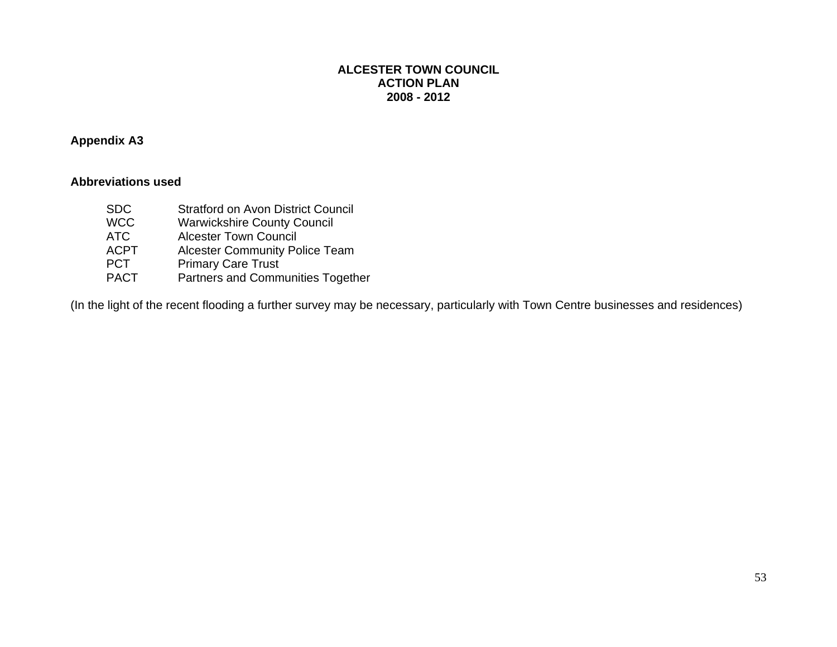### **Appendix A3**

### **Abbreviations used**

- SDC Stratford on Avon District Council WCC Warwickshire County Council
- ATC Alcester Town Council
	- ACPT Alcester Community Police Team<br>
	PCT Primary Care Trust
	- PCT Primary Care Trust<br>PACT Partners and Comm
	- Partners and Communities Together

(In the light of the recent flooding a further survey may be necessary, particularly with Town Centre businesses and residences)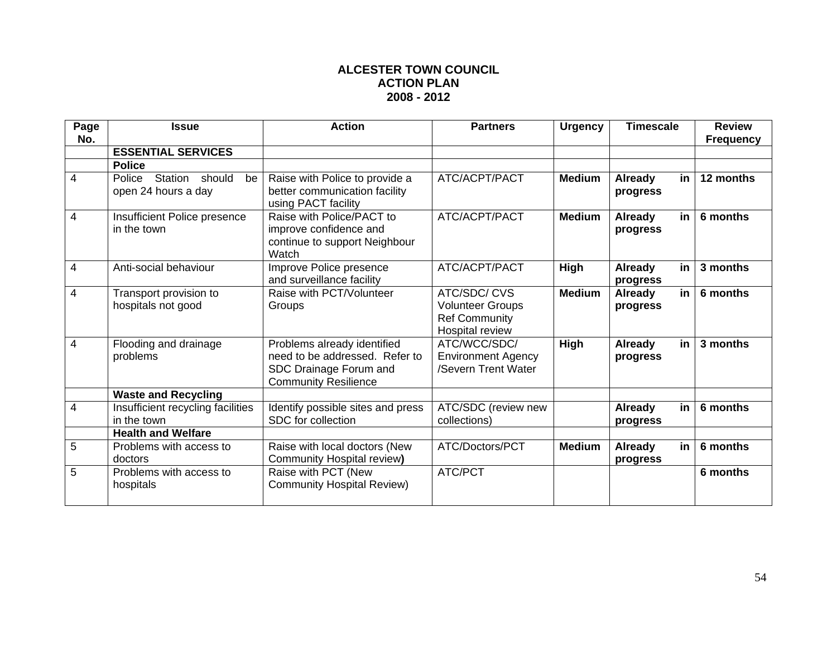| Page<br>No.    | <b>Issue</b>                                             | <b>Action</b>                                                                                                          | <b>Partners</b>                                                                   | <b>Urgency</b> | <b>Timescale</b>                 | <b>Review</b><br><b>Frequency</b> |
|----------------|----------------------------------------------------------|------------------------------------------------------------------------------------------------------------------------|-----------------------------------------------------------------------------------|----------------|----------------------------------|-----------------------------------|
|                | <b>ESSENTIAL SERVICES</b>                                |                                                                                                                        |                                                                                   |                |                                  |                                   |
|                | <b>Police</b>                                            |                                                                                                                        |                                                                                   |                |                                  |                                   |
| 4              | Station<br>should<br>Police<br>be<br>open 24 hours a day | Raise with Police to provide a<br>better communication facility<br>using PACT facility                                 | ATC/ACPT/PACT                                                                     | <b>Medium</b>  | <b>Already</b><br>in<br>progress | 12 months                         |
| $\overline{4}$ | Insufficient Police presence<br>in the town              | Raise with Police/PACT to<br>improve confidence and<br>continue to support Neighbour<br>Watch                          | ATC/ACPT/PACT                                                                     | <b>Medium</b>  | <b>Already</b><br>in<br>progress | 6 months                          |
| $\overline{4}$ | Anti-social behaviour                                    | Improve Police presence<br>and surveillance facility                                                                   | ATC/ACPT/PACT                                                                     | High           | in<br>Already<br>progress        | 3 months                          |
| $\overline{4}$ | Transport provision to<br>hospitals not good             | Raise with PCT/Volunteer<br>Groups                                                                                     | ATC/SDC/CVS<br><b>Volunteer Groups</b><br><b>Ref Community</b><br>Hospital review | <b>Medium</b>  | <b>Already</b><br>in<br>progress | 6 months                          |
| $\overline{4}$ | Flooding and drainage<br>problems                        | Problems already identified<br>need to be addressed. Refer to<br>SDC Drainage Forum and<br><b>Community Resilience</b> | ATC/WCC/SDC/<br><b>Environment Agency</b><br>/Severn Trent Water                  | High           | <b>Already</b><br>in<br>progress | 3 months                          |
|                | <b>Waste and Recycling</b>                               |                                                                                                                        |                                                                                   |                |                                  |                                   |
| 4              | Insufficient recycling facilities<br>in the town         | Identify possible sites and press<br>SDC for collection                                                                | ATC/SDC (review new<br>collections)                                               |                | <b>Already</b><br>in<br>progress | 6 months                          |
|                | <b>Health and Welfare</b>                                |                                                                                                                        |                                                                                   |                |                                  |                                   |
| 5              | Problems with access to<br>doctors                       | Raise with local doctors (New<br>Community Hospital review)                                                            | ATC/Doctors/PCT                                                                   | <b>Medium</b>  | <b>Already</b><br>in<br>progress | 6 months                          |
| 5              | Problems with access to<br>hospitals                     | Raise with PCT (New<br><b>Community Hospital Review)</b>                                                               | ATC/PCT                                                                           |                |                                  | 6 months                          |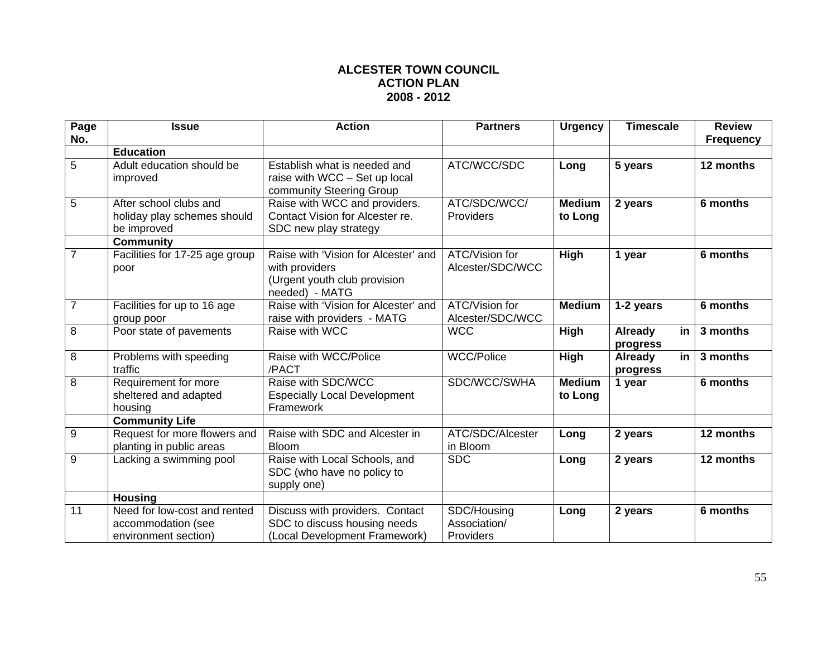| Page           | <b>Issue</b>                                                               | <b>Action</b>                                                                                            | <b>Partners</b>                          | <b>Urgency</b>           | <b>Timescale</b>                 | <b>Review</b>    |
|----------------|----------------------------------------------------------------------------|----------------------------------------------------------------------------------------------------------|------------------------------------------|--------------------------|----------------------------------|------------------|
| No.            | <b>Education</b>                                                           |                                                                                                          |                                          |                          |                                  | <b>Frequency</b> |
| 5              | Adult education should be<br>improved                                      | Establish what is needed and<br>raise with WCC - Set up local<br>community Steering Group                | ATC/WCC/SDC                              | Long                     | 5 years                          | 12 months        |
| 5              | After school clubs and<br>holiday play schemes should<br>be improved       | Raise with WCC and providers.<br>Contact Vision for Alcester re.<br>SDC new play strategy                | ATC/SDC/WCC/<br>Providers                | <b>Medium</b><br>to Long | 2 years                          | 6 months         |
| $\overline{7}$ | <b>Community</b><br>Facilities for 17-25 age group<br>poor                 | Raise with 'Vision for Alcester' and<br>with providers<br>(Urgent youth club provision<br>needed) - MATG | ATC/Vision for<br>Alcester/SDC/WCC       | High                     | 1 year                           | 6 months         |
| $\overline{7}$ | Facilities for up to 16 age<br>group poor                                  | Raise with 'Vision for Alcester' and<br>raise with providers - MATG                                      | ATC/Vision for<br>Alcester/SDC/WCC       | <b>Medium</b>            | 1-2 years                        | 6 months         |
| 8              | Poor state of pavements                                                    | Raise with WCC                                                                                           | <b>WCC</b>                               | High                     | <b>Already</b><br>in<br>progress | 3 months         |
| 8              | Problems with speeding<br>traffic                                          | Raise with WCC/Police<br>/PACT                                                                           | <b>WCC/Police</b>                        | High                     | <b>Already</b><br>in<br>progress | 3 months         |
| 8              | Requirement for more<br>sheltered and adapted<br>housing                   | Raise with SDC/WCC<br><b>Especially Local Development</b><br>Framework                                   | SDC/WCC/SWHA                             | <b>Medium</b><br>to Long | 1 year                           | 6 months         |
|                | <b>Community Life</b>                                                      |                                                                                                          |                                          |                          |                                  |                  |
| 9              | Request for more flowers and<br>planting in public areas                   | Raise with SDC and Alcester in<br><b>Bloom</b>                                                           | ATC/SDC/Alcester<br>in Bloom             | Long                     | 2 years                          | 12 months        |
| 9              | Lacking a swimming pool                                                    | Raise with Local Schools, and<br>SDC (who have no policy to<br>supply one)                               | <b>SDC</b>                               | Long                     | 2 years                          | 12 months        |
|                | <b>Housing</b>                                                             |                                                                                                          |                                          |                          |                                  |                  |
| 11             | Need for low-cost and rented<br>accommodation (see<br>environment section) | Discuss with providers. Contact<br>SDC to discuss housing needs<br>(Local Development Framework)         | SDC/Housing<br>Association/<br>Providers | Long                     | 2 years                          | 6 months         |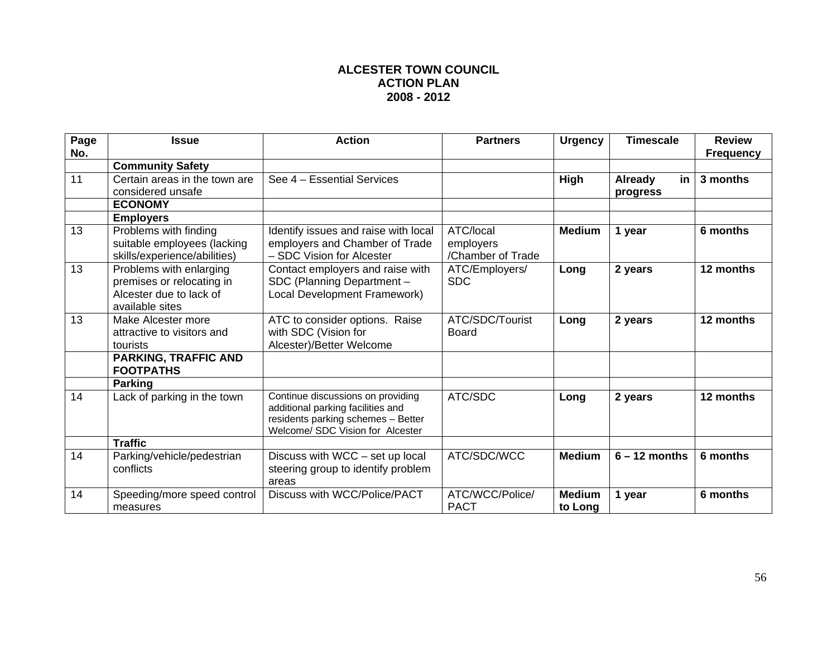| Page<br>No. | <b>Issue</b>                                                                                       | <b>Action</b>                                                                                                                                    | <b>Partners</b>                             | <b>Urgency</b>           | <b>Timescale</b>                 | <b>Review</b><br><b>Frequency</b> |
|-------------|----------------------------------------------------------------------------------------------------|--------------------------------------------------------------------------------------------------------------------------------------------------|---------------------------------------------|--------------------------|----------------------------------|-----------------------------------|
|             | <b>Community Safety</b>                                                                            |                                                                                                                                                  |                                             |                          |                                  |                                   |
| 11          | Certain areas in the town are<br>considered unsafe                                                 | See 4 - Essential Services                                                                                                                       |                                             | <b>High</b>              | in<br><b>Already</b><br>progress | 3 months                          |
|             | <b>ECONOMY</b>                                                                                     |                                                                                                                                                  |                                             |                          |                                  |                                   |
|             | <b>Employers</b>                                                                                   |                                                                                                                                                  |                                             |                          |                                  |                                   |
| 13          | Problems with finding<br>suitable employees (lacking<br>skills/experience/abilities)               | Identify issues and raise with local<br>employers and Chamber of Trade<br>- SDC Vision for Alcester                                              | ATC/local<br>employers<br>/Chamber of Trade | <b>Medium</b>            | 1 year                           | 6 months                          |
| 13          | Problems with enlarging<br>premises or relocating in<br>Alcester due to lack of<br>available sites | Contact employers and raise with<br>SDC (Planning Department -<br>Local Development Framework)                                                   | ATC/Employers/<br><b>SDC</b>                | Long                     | 2 years                          | 12 months                         |
| 13          | Make Alcester more<br>attractive to visitors and<br>tourists                                       | ATC to consider options. Raise<br>with SDC (Vision for<br>Alcester)/Better Welcome                                                               | ATC/SDC/Tourist<br>Board                    | Long                     | 2 years                          | 12 months                         |
|             | <b>PARKING, TRAFFIC AND</b><br><b>FOOTPATHS</b>                                                    |                                                                                                                                                  |                                             |                          |                                  |                                   |
|             | <b>Parking</b>                                                                                     |                                                                                                                                                  |                                             |                          |                                  |                                   |
| 14          | Lack of parking in the town                                                                        | Continue discussions on providing<br>additional parking facilities and<br>residents parking schemes - Better<br>Welcome/ SDC Vision for Alcester | ATC/SDC                                     | Long                     | 2 years                          | 12 months                         |
|             | <b>Traffic</b>                                                                                     |                                                                                                                                                  |                                             |                          |                                  |                                   |
| 14          | Parking/vehicle/pedestrian<br>conflicts                                                            | Discuss with WCC - set up local<br>steering group to identify problem<br>areas                                                                   | ATC/SDC/WCC                                 | <b>Medium</b>            | $6 - 12$ months                  | 6 months                          |
| 14          | Speeding/more speed control<br>measures                                                            | Discuss with WCC/Police/PACT                                                                                                                     | ATC/WCC/Police/<br><b>PACT</b>              | <b>Medium</b><br>to Long | 1 year                           | 6 months                          |